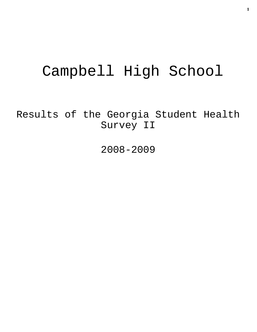# Campbell High School

Results of the Georgia Student Health Survey II

2008-2009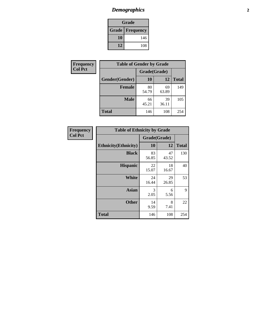# *Demographics* **2**

| Grade                    |     |  |  |  |
|--------------------------|-----|--|--|--|
| <b>Grade   Frequency</b> |     |  |  |  |
| 10                       | 146 |  |  |  |
| 12                       | 108 |  |  |  |

| Frequency      | <b>Table of Gender by Grade</b> |              |             |              |  |
|----------------|---------------------------------|--------------|-------------|--------------|--|
| <b>Col Pct</b> |                                 | Grade(Grade) |             |              |  |
|                | Gender(Gender)                  | 10           | 12          | <b>Total</b> |  |
|                | <b>Female</b>                   | 80<br>54.79  | 69<br>63.89 | 149          |  |
|                | <b>Male</b>                     | 66<br>45.21  | 39<br>36.11 | 105          |  |
|                | <b>Total</b>                    | 146          | 108         | 254          |  |

| Frequency<br>Col Pct |
|----------------------|

| <b>Table of Ethnicity by Grade</b> |              |             |              |  |  |  |
|------------------------------------|--------------|-------------|--------------|--|--|--|
|                                    | Grade(Grade) |             |              |  |  |  |
| <b>Ethnicity</b> (Ethnicity)       | 10           | 12          | <b>Total</b> |  |  |  |
| <b>Black</b>                       | 83<br>56.85  | 47<br>43.52 | 130          |  |  |  |
| <b>Hispanic</b>                    | 22<br>15.07  | 18<br>16.67 | 40           |  |  |  |
| White                              | 24<br>16.44  | 29<br>26.85 | 53           |  |  |  |
| <b>Asian</b>                       | 3<br>2.05    | 6<br>5.56   | 9            |  |  |  |
| <b>Other</b>                       | 14<br>9.59   | 8<br>7.41   | 22           |  |  |  |
| <b>Total</b>                       | 146          | 108         | 254          |  |  |  |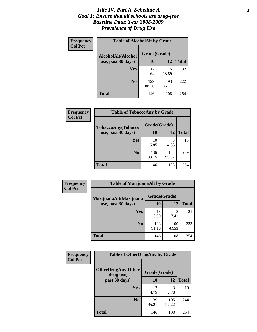### *Title IV, Part A, Schedule A* **3** *Goal 1: Ensure that all schools are drug-free Baseline Data: Year 2008-2009 Prevalence of Drug Use*

| Frequency<br><b>Col Pct</b> | <b>Table of AlcoholAlt by Grade</b> |              |             |              |  |  |
|-----------------------------|-------------------------------------|--------------|-------------|--------------|--|--|
|                             | AlcoholAlt(Alcohol                  | Grade(Grade) |             |              |  |  |
|                             | use, past 30 days)                  | <b>10</b>    | 12          | <b>Total</b> |  |  |
|                             | <b>Yes</b>                          | 17<br>11.64  | 15<br>13.89 | 32           |  |  |
|                             | N <sub>0</sub>                      | 129<br>88.36 | 93<br>86.11 | 222          |  |  |
|                             | Total                               | 146          | 108         | 254          |  |  |

| Frequency<br><b>Col Pct</b> | <b>Table of TobaccoAny by Grade</b> |              |              |              |  |  |
|-----------------------------|-------------------------------------|--------------|--------------|--------------|--|--|
|                             | TobaccoAny(Tobacco                  | Grade(Grade) |              |              |  |  |
|                             | use, past 30 days)                  | 10           | 12           | <b>Total</b> |  |  |
|                             | Yes                                 | 10<br>6.85   | 5<br>4.63    | 15           |  |  |
|                             | N <sub>0</sub>                      | 136<br>93.15 | 103<br>95.37 | 239          |  |  |
|                             | <b>Total</b>                        | 146          | 108          | 254          |  |  |

| Frequency      | <b>Table of MarijuanaAlt by Grade</b> |              |              |              |  |  |
|----------------|---------------------------------------|--------------|--------------|--------------|--|--|
| <b>Col Pct</b> | MarijuanaAlt(Marijuana                | Grade(Grade) |              |              |  |  |
|                | use, past 30 days)                    | 10           | 12           | <b>Total</b> |  |  |
|                | Yes                                   | 13<br>8.90   | 8<br>7.41    | 21           |  |  |
|                | N <sub>0</sub>                        | 133<br>91.10 | 100<br>92.59 | 233          |  |  |
|                | <b>Total</b>                          | 146          | 108          | 254          |  |  |

| <b>Frequency</b><br><b>Col Pct</b> | <b>Table of OtherDrugAny by Grade</b>                  |              |              |              |  |
|------------------------------------|--------------------------------------------------------|--------------|--------------|--------------|--|
|                                    | <b>OtherDrugAny(Other</b><br>Grade(Grade)<br>drug use, |              |              |              |  |
|                                    | past 30 days)                                          | 10           | 12           | <b>Total</b> |  |
|                                    | Yes                                                    | 4.79         | 3<br>2.78    | 10           |  |
|                                    | N <sub>0</sub>                                         | 139<br>95.21 | 105<br>97.22 | 244          |  |
|                                    | <b>Total</b>                                           | 146          | 108          | 254          |  |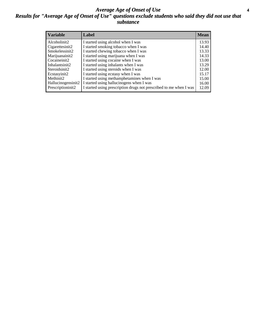### *Average Age of Onset of Use* **4** *Results for "Average Age of Onset of Use" questions exclude students who said they did not use that substance*

| <b>Variable</b>    | Label                                                              | <b>Mean</b> |
|--------------------|--------------------------------------------------------------------|-------------|
| Alcoholinit2       | I started using alcohol when I was                                 | 13.93       |
| Cigarettesinit2    | I started smoking tobacco when I was                               | 14.40       |
| Smokelessinit2     | I started chewing tobacco when I was                               | 13.33       |
| Marijuanainit2     | I started using marijuana when I was                               | 14.33       |
| Cocaineinit2       | I started using cocaine when I was                                 | 13.00       |
| Inhalantsinit2     | I started using inhalants when I was                               | 13.29       |
| Steroidsinit2      | I started using steroids when I was                                | 12.00       |
| Ecstasyinit2       | I started using ecstasy when I was                                 | 15.17       |
| Methinit2          | I started using methamphetamines when I was                        | 15.00       |
| Hallucinogensinit2 | I started using hallucinogens when I was                           | 16.00       |
| Prescriptioninit2  | I started using prescription drugs not prescribed to me when I was | 12.09       |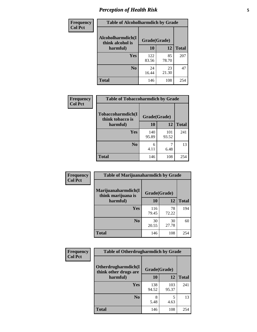# *Perception of Health Risk* **5**

| Frequency      | <b>Table of Alcoholharmdich by Grade</b> |              |             |              |  |
|----------------|------------------------------------------|--------------|-------------|--------------|--|
| <b>Col Pct</b> | Alcoholharmdich(I<br>think alcohol is    | Grade(Grade) |             |              |  |
|                | harmful)                                 | 10           | 12          | <b>Total</b> |  |
|                | <b>Yes</b>                               | 122<br>83.56 | 85<br>78.70 | 207          |  |
|                | N <sub>0</sub>                           | 24<br>16.44  | 23<br>21.30 | 47           |  |
|                | <b>Total</b>                             | 146          | 108         | 254          |  |

| <b>Frequency</b> | <b>Table of Tobaccoharmdich by Grade</b>          |              |              |              |
|------------------|---------------------------------------------------|--------------|--------------|--------------|
| <b>Col Pct</b>   | Tobaccoharmdich(I<br>think tobacco is<br>harmful) | Grade(Grade) |              |              |
|                  |                                                   | 10           | 12           | <b>Total</b> |
|                  | Yes                                               | 140<br>95.89 | 101<br>93.52 | 241          |
|                  | N <sub>0</sub>                                    | 6<br>4.11    | 6.48         | 13           |
|                  | Total                                             | 146          | 108          | 254          |

| Frequency      | <b>Table of Marijuanaharmdich by Grade</b>                |              |             |              |  |  |
|----------------|-----------------------------------------------------------|--------------|-------------|--------------|--|--|
| <b>Col Pct</b> | Marijuanaharmdich(I<br>Grade(Grade)<br>think marijuana is |              |             |              |  |  |
|                | harmful)                                                  | <b>10</b>    | 12          | <b>Total</b> |  |  |
|                | Yes                                                       | 116<br>79.45 | 78<br>72.22 | 194          |  |  |
|                | N <sub>0</sub>                                            | 30<br>20.55  | 30<br>27.78 | 60           |  |  |
|                | <b>Total</b>                                              | 146          | 108         | 254          |  |  |

| Frequency      | <b>Table of Otherdrugharmdich by Grade</b>                   |              |              |              |  |
|----------------|--------------------------------------------------------------|--------------|--------------|--------------|--|
| <b>Col Pct</b> | Otherdrugharmdich(I<br>Grade(Grade)<br>think other drugs are |              |              |              |  |
|                | harmful)                                                     | <b>10</b>    | 12           | <b>Total</b> |  |
|                | <b>Yes</b>                                                   | 138<br>94.52 | 103<br>95.37 | 241          |  |
|                | N <sub>0</sub>                                               | 5.48         | 5<br>4.63    | 13           |  |
|                | <b>Total</b>                                                 | 146          | 108          | 254          |  |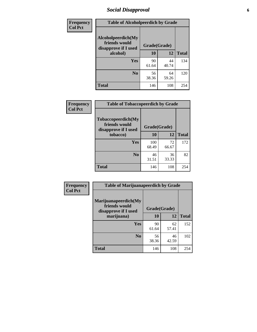# *Social Disapproval* **6**

| Frequency      | <b>Table of Alcoholpeerdich by Grade</b>                                |              |             |              |  |
|----------------|-------------------------------------------------------------------------|--------------|-------------|--------------|--|
| <b>Col Pct</b> | Alcoholpeerdich(My<br>friends would<br>disapprove if I used<br>alcohol) | Grade(Grade) |             |              |  |
|                |                                                                         | 10           | 12          | <b>Total</b> |  |
|                | <b>Yes</b>                                                              | 90<br>61.64  | 44<br>40.74 | 134          |  |
|                | N <sub>0</sub>                                                          | 56<br>38.36  | 64<br>59.26 | 120          |  |
|                | <b>Total</b>                                                            | 146          | 108         | 254          |  |

| <b>Frequency</b> |
|------------------|
| <b>Col Pct</b>   |

| <b>Table of Tobaccopeerdich by Grade</b>                    |              |             |              |  |
|-------------------------------------------------------------|--------------|-------------|--------------|--|
| Tobaccopeerdich(My<br>friends would<br>disapprove if I used | Grade(Grade) |             |              |  |
| tobacco)                                                    | 10           | 12          | <b>Total</b> |  |
| Yes                                                         | 100<br>68.49 | 72<br>66.67 | 172          |  |
| $\bf N$ <sub>0</sub>                                        | 46<br>31.51  | 36<br>33.33 | 82           |  |
| <b>Total</b>                                                | 146          | 108         | 254          |  |

| Frequency      | <b>Table of Marijuanapeerdich by Grade</b>                    |              |             |              |  |
|----------------|---------------------------------------------------------------|--------------|-------------|--------------|--|
| <b>Col Pct</b> | Marijuanapeerdich(My<br>friends would<br>disapprove if I used | Grade(Grade) |             |              |  |
|                | marijuana)                                                    | 10           | 12          | <b>Total</b> |  |
|                | <b>Yes</b>                                                    | 90<br>61.64  | 62<br>57.41 | 152          |  |
|                | N <sub>0</sub>                                                | 56<br>38.36  | 46<br>42.59 | 102          |  |
|                | <b>Total</b>                                                  | 146          | 108         | 254          |  |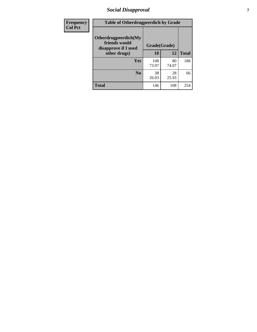# *Social Disapproval* **7**

| Frequency      | <b>Table of Otherdrugpeerdich by Grade</b>                    |              |             |              |  |
|----------------|---------------------------------------------------------------|--------------|-------------|--------------|--|
| <b>Col Pct</b> | Otherdrugpeerdich(My<br>friends would<br>disapprove if I used | Grade(Grade) |             |              |  |
|                | other drugs)                                                  | 10           | 12          | <b>Total</b> |  |
|                | Yes                                                           | 108<br>73.97 | 80<br>74.07 | 188          |  |
|                | N <sub>0</sub>                                                | 38<br>26.03  | 28<br>25.93 | 66           |  |
|                | <b>Total</b>                                                  | 146          | 108         | 254          |  |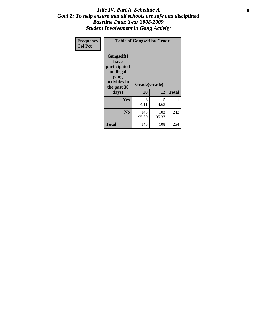### Title IV, Part A, Schedule A **8** *Goal 2: To help ensure that all schools are safe and disciplined Baseline Data: Year 2008-2009 Student Involvement in Gang Activity*

| Frequency      | <b>Table of Gangself by Grade</b>                                                                 |                    |              |              |
|----------------|---------------------------------------------------------------------------------------------------|--------------------|--------------|--------------|
| <b>Col Pct</b> | Gangself(I<br>have<br>participated<br>in illegal<br>gang<br>activities in<br>the past 30<br>days) | Grade(Grade)<br>10 | 12           | <b>Total</b> |
|                | Yes                                                                                               | 6<br>4.11          | 5<br>4.63    | 11           |
|                | N <sub>0</sub>                                                                                    | 140<br>95.89       | 103<br>95.37 | 243          |
|                | <b>Total</b>                                                                                      | 146                | 108          | 254          |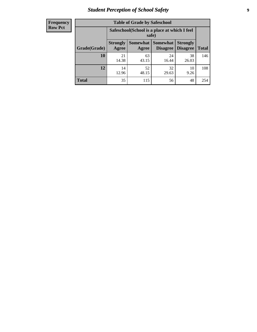# *Student Perception of School Safety* **9**

| <b>Frequency</b><br>Row Pct |
|-----------------------------|
|                             |

| <b>Table of Grade by Safeschool</b> |                          |                                                                                                |             |             |     |  |  |  |
|-------------------------------------|--------------------------|------------------------------------------------------------------------------------------------|-------------|-------------|-----|--|--|--|
|                                     |                          | Safeschool (School is a place at which I feel<br>safe)                                         |             |             |     |  |  |  |
| Grade(Grade)                        | <b>Strongly</b><br>Agree | Somewhat   Somewhat<br><b>Strongly</b><br><b>Disagree</b><br>Disagree<br><b>Total</b><br>Agree |             |             |     |  |  |  |
| 10                                  | 21<br>14.38              | 63<br>43.15                                                                                    | 24<br>16.44 | 38<br>26.03 | 146 |  |  |  |
| 12                                  | 14<br>12.96              | 52<br>48.15                                                                                    | 32<br>29.63 | 10<br>9.26  | 108 |  |  |  |
| <b>Total</b>                        | 35                       | 115                                                                                            | 56          | 48          | 254 |  |  |  |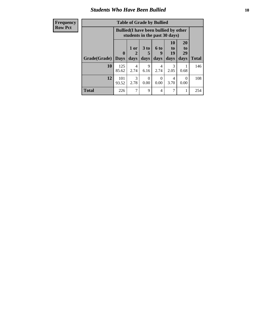### *Students Who Have Been Bullied* **10**

| <b>Frequency</b> |              |                                                                               | <b>Table of Grade by Bullied</b> |                 |           |                       |                       |              |
|------------------|--------------|-------------------------------------------------------------------------------|----------------------------------|-----------------|-----------|-----------------------|-----------------------|--------------|
| <b>Row Pct</b>   |              | <b>Bullied</b> (I have been bullied by other<br>students in the past 30 days) |                                  |                 |           |                       |                       |              |
|                  |              | $\mathbf{0}$                                                                  | 1 or<br>2                        | 3 <sub>to</sub> | 6 to<br>9 | <b>10</b><br>to<br>19 | <b>20</b><br>to<br>29 |              |
|                  | Grade(Grade) | <b>Days</b>                                                                   | days                             | days            | days      | days                  | days                  | <b>Total</b> |
|                  | 10           | 125<br>85.62                                                                  | 4<br>2.74                        | 9<br>6.16       | 4<br>2.74 | 3<br>2.05             | 0.68                  | 146          |
|                  | 12           | 101<br>93.52                                                                  | $\mathcal{R}$<br>2.78            | 0<br>0.00       | 0<br>0.00 | 4<br>3.70             | $\Omega$<br>0.00      | 108          |
|                  | <b>Total</b> | 226                                                                           | 7                                | $\mathbf Q$     | 4         | 7                     | 1                     | 254          |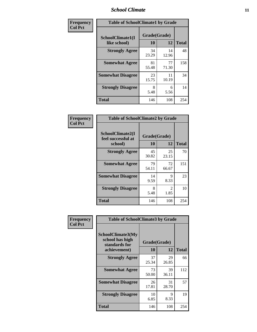### *School Climate* **11**

| Frequency      | <b>Table of SchoolClimate1 by Grade</b> |                    |             |              |  |
|----------------|-----------------------------------------|--------------------|-------------|--------------|--|
| <b>Col Pct</b> | SchoolClimate1(I<br>like school)        | Grade(Grade)<br>10 | 12          | <b>Total</b> |  |
|                | <b>Strongly Agree</b>                   | 34<br>23.29        | 14<br>12.96 | 48           |  |
|                | <b>Somewhat Agree</b>                   | 81<br>55.48        | 77<br>71.30 | 158          |  |
|                | <b>Somewhat Disagree</b>                | 23<br>15.75        | 11<br>10.19 | 34           |  |
|                | <b>Strongly Disagree</b>                | 8<br>5.48          | 6<br>5.56   | 14           |  |
|                | <b>Total</b>                            | 146                | 108         | 254          |  |

| Frequency      | <b>Table of SchoolClimate2 by Grade</b>           |                    |                        |              |  |  |
|----------------|---------------------------------------------------|--------------------|------------------------|--------------|--|--|
| <b>Col Pct</b> | SchoolClimate2(I<br>feel successful at<br>school) | Grade(Grade)<br>10 | 12                     | <b>Total</b> |  |  |
|                | <b>Strongly Agree</b>                             | 45<br>30.82        | 25<br>23.15            | 70           |  |  |
|                | <b>Somewhat Agree</b>                             | 79<br>54.11        | 72<br>66.67            | 151          |  |  |
|                | <b>Somewhat Disagree</b>                          | 14<br>9.59         | 9<br>8.33              | 23           |  |  |
|                | <b>Strongly Disagree</b>                          | 8<br>5.48          | $\overline{2}$<br>1.85 | 10           |  |  |
|                | <b>Total</b>                                      | 146                | 108                    | 254          |  |  |

| Frequency      | <b>Table of SchoolClimate3 by Grade</b>                      |                           |             |              |  |
|----------------|--------------------------------------------------------------|---------------------------|-------------|--------------|--|
| <b>Col Pct</b> | <b>SchoolClimate3(My</b><br>school has high<br>standards for | Grade(Grade)<br><b>10</b> | 12          | <b>Total</b> |  |
|                | achievement)                                                 |                           |             |              |  |
|                | <b>Strongly Agree</b>                                        | 37<br>25.34               | 29<br>26.85 | 66           |  |
|                | <b>Somewhat Agree</b>                                        | 73<br>50.00               | 39<br>36.11 | 112          |  |
|                | <b>Somewhat Disagree</b>                                     | 26<br>17.81               | 31<br>28.70 | 57           |  |
|                | <b>Strongly Disagree</b>                                     | 10<br>6.85                | 9<br>8.33   | 19           |  |
|                | Total                                                        | 146                       | 108         | 254          |  |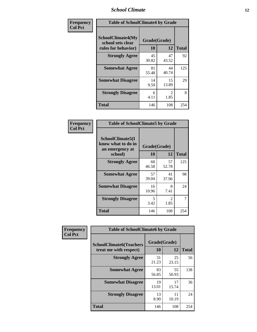### *School Climate* **12**

| Frequency      | <b>Table of SchoolClimate4 by Grade</b>                       |                    |                        |              |
|----------------|---------------------------------------------------------------|--------------------|------------------------|--------------|
| <b>Col Pct</b> | SchoolClimate4(My<br>school sets clear<br>rules for behavior) | Grade(Grade)<br>10 | 12                     | <b>Total</b> |
|                | <b>Strongly Agree</b>                                         | 45<br>30.82        | 47<br>43.52            | 92           |
|                | <b>Somewhat Agree</b>                                         | 81<br>55.48        | 44<br>40.74            | 125          |
|                | <b>Somewhat Disagree</b>                                      | 14<br>9.59         | 15<br>13.89            | 29           |
|                | <b>Strongly Disagree</b>                                      | 6<br>4.11          | $\mathfrak{D}$<br>1.85 | 8            |
|                | <b>Total</b>                                                  | 146                | 108                    | 254          |

| <b>Table of SchoolClimate5 by Grade</b>                   |                    |              |     |  |  |
|-----------------------------------------------------------|--------------------|--------------|-----|--|--|
| SchoolClimate5(I<br>know what to do in<br>an emergency at | Grade(Grade)<br>10 | <b>Total</b> |     |  |  |
| school)                                                   |                    | 12           |     |  |  |
| <b>Strongly Agree</b>                                     | 68<br>46.58        | 57<br>52.78  | 125 |  |  |
| <b>Somewhat Agree</b>                                     | 57<br>39.04        | 41<br>37.96  | 98  |  |  |
| <b>Somewhat Disagree</b>                                  | 16<br>10.96        | 8<br>7.41    | 24  |  |  |
| <b>Strongly Disagree</b>                                  | 5<br>3.42          | 2<br>1.85    | 7   |  |  |
| Total                                                     | 146                | 108          | 254 |  |  |

| Frequency      | <b>Table of SchoolClimate6 by Grade</b>                  |                    |             |              |  |
|----------------|----------------------------------------------------------|--------------------|-------------|--------------|--|
| <b>Col Pct</b> | <b>SchoolClimate6(Teachers</b><br>treat me with respect) | Grade(Grade)<br>10 | 12          | <b>Total</b> |  |
|                | <b>Strongly Agree</b>                                    | 31<br>21.23        | 25<br>23.15 | 56           |  |
|                | <b>Somewhat Agree</b>                                    | 83<br>56.85        | 55<br>50.93 | 138          |  |
|                | <b>Somewhat Disagree</b>                                 | 19<br>13.01        | 17<br>15.74 | 36           |  |
|                | <b>Strongly Disagree</b>                                 | 13<br>8.90         | 11<br>10.19 | 24           |  |
|                | <b>Total</b>                                             | 146                | 108         | 254          |  |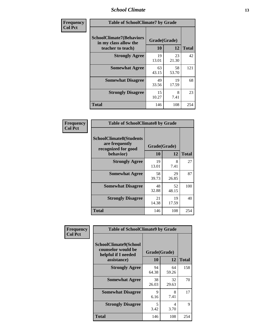### *School Climate* **13**

| Frequency      | <b>Table of SchoolClimate7 by Grade</b>                                       |                           |             |              |
|----------------|-------------------------------------------------------------------------------|---------------------------|-------------|--------------|
| <b>Col Pct</b> | <b>SchoolClimate7(Behaviors</b><br>in my class allow the<br>teacher to teach) | Grade(Grade)<br><b>10</b> | 12          | <b>Total</b> |
|                | <b>Strongly Agree</b>                                                         | 19<br>13.01               | 23<br>21.30 | 42           |
|                | <b>Somewhat Agree</b>                                                         | 63<br>43.15               | 58<br>53.70 | 121          |
|                | <b>Somewhat Disagree</b>                                                      | 49<br>33.56               | 19<br>17.59 | 68           |
|                | <b>Strongly Disagree</b>                                                      | 15<br>10.27               | 8<br>7.41   | 23           |
|                | <b>Total</b>                                                                  | 146                       | 108         | 254          |

| Frequency      | <b>Table of SchoolClimate8 by Grade</b>                                 |              |             |              |
|----------------|-------------------------------------------------------------------------|--------------|-------------|--------------|
| <b>Col Pct</b> | <b>SchoolClimate8(Students</b><br>are frequently<br>recognized for good | Grade(Grade) |             |              |
|                | behavior)                                                               | 10           | 12          | <b>Total</b> |
|                | <b>Strongly Agree</b>                                                   | 19<br>13.01  | 8<br>7.41   | 27           |
|                | <b>Somewhat Agree</b>                                                   | 58<br>39.73  | 29<br>26.85 | 87           |
|                | <b>Somewhat Disagree</b>                                                | 48<br>32.88  | 52<br>48.15 | 100          |
|                | <b>Strongly Disagree</b>                                                | 21<br>14.38  | 19<br>17.59 | 40           |
|                | <b>Total</b>                                                            | 146          | 108         | 254          |

| Frequency      | <b>Table of SchoolClimate9 by Grade</b>                            |              |             |              |
|----------------|--------------------------------------------------------------------|--------------|-------------|--------------|
| <b>Col Pct</b> | SchoolClimate9(School<br>counselor would be<br>helpful if I needed | Grade(Grade) |             |              |
|                | assistance)                                                        | 10           | 12          | <b>Total</b> |
|                | <b>Strongly Agree</b>                                              | 94<br>64.38  | 64<br>59.26 | 158          |
|                | <b>Somewhat Agree</b>                                              | 38<br>26.03  | 32<br>29.63 | 70           |
|                | <b>Somewhat Disagree</b>                                           | 9<br>6.16    | 8<br>7.41   | 17           |
|                | <b>Strongly Disagree</b>                                           | 5<br>3.42    | 4<br>3.70   | 9            |
|                | Total                                                              | 146          | 108         | 254          |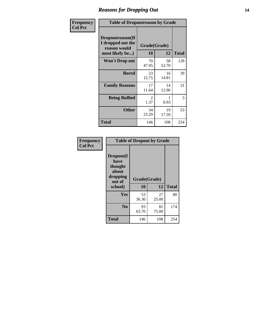### *Reasons for Dropping Out* **14**

| Frequency      | <b>Table of Dropoutreason by Grade</b>                                   |             |                    |              |
|----------------|--------------------------------------------------------------------------|-------------|--------------------|--------------|
| <b>Col Pct</b> | Dropoutreason(If<br>I dropped out the<br>reason would<br>most likely be) | 10          | Grade(Grade)<br>12 | <b>Total</b> |
|                | Won't Drop out                                                           | 70<br>47.95 | 58<br>53.70        | 128          |
|                | <b>Bored</b>                                                             | 23<br>15.75 | 16<br>14.81        | 39           |
|                | <b>Family Reasons</b>                                                    | 17<br>11.64 | 14<br>12.96        | 31           |
|                | <b>Being Bullied</b>                                                     | 2<br>1.37   | 0.93               | 3            |
|                | <b>Other</b>                                                             | 34<br>23.29 | 19<br>17.59        | 53           |
|                | <b>Total</b>                                                             | 146         | 108                | 254          |

| Frequency<br><b>Col Pct</b> | <b>Table of Dropout by Grade</b>                                       |                    |              |     |  |
|-----------------------------|------------------------------------------------------------------------|--------------------|--------------|-----|--|
|                             | Dropout(I<br>have<br>thought<br>about<br>dropping<br>out of<br>school) | Grade(Grade)<br>10 | <b>Total</b> |     |  |
|                             |                                                                        |                    | 12           |     |  |
|                             | Yes                                                                    | 53<br>36.30        | 27<br>25.00  | 80  |  |
|                             | N <sub>0</sub>                                                         | 93<br>63.70        | 81<br>75.00  | 174 |  |
|                             | <b>Total</b>                                                           | 146                | 108          | 254 |  |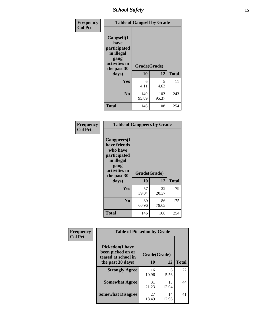*School Safety* **15**

| Frequency      | <b>Table of Gangself by Grade</b>                                                                         |                    |              |              |
|----------------|-----------------------------------------------------------------------------------------------------------|--------------------|--------------|--------------|
| <b>Col Pct</b> | <b>Gangself</b> (I<br>have<br>participated<br>in illegal<br>gang<br>activities in<br>the past 30<br>days) | Grade(Grade)<br>10 | 12           | <b>Total</b> |
|                | Yes                                                                                                       | 6<br>4.11          | 5<br>4.63    | 11           |
|                | N <sub>0</sub>                                                                                            | 140<br>95.89       | 103<br>95.37 | 243          |
|                | <b>Total</b>                                                                                              | 146                | 108          | 254          |

| Frequency<br><b>Col Pct</b> | <b>Table of Gangpeers by Grade</b>                                                                                             |                    |             |              |
|-----------------------------|--------------------------------------------------------------------------------------------------------------------------------|--------------------|-------------|--------------|
|                             | <b>Gangpeers</b> (I<br>have friends<br>who have<br>participated<br>in illegal<br>gang<br>activities in<br>the past 30<br>days) | Grade(Grade)<br>10 | 12          | <b>Total</b> |
|                             | <b>Yes</b>                                                                                                                     | 57<br>39.04        | 22<br>20.37 | 79           |
|                             | N <sub>0</sub>                                                                                                                 | 89<br>60.96        | 86<br>79.63 | 175          |
|                             | <b>Total</b>                                                                                                                   | 146                | 108         | 254          |

| Frequency      | <b>Table of Pickedon by Grade</b>                                   |              |             |              |
|----------------|---------------------------------------------------------------------|--------------|-------------|--------------|
| <b>Col Pct</b> | <b>Pickedon</b> (I have<br>been picked on or<br>teased at school in | Grade(Grade) |             |              |
|                | the past 30 days)                                                   | 10           | 12          | <b>Total</b> |
|                | <b>Strongly Agree</b>                                               | 16<br>10.96  | 6<br>5.56   | 22           |
|                | <b>Somewhat Agree</b>                                               | 31<br>21.23  | 13<br>12.04 | 44           |
|                | <b>Somewhat Disagree</b>                                            | 27<br>18.49  | 14<br>12.96 | 41           |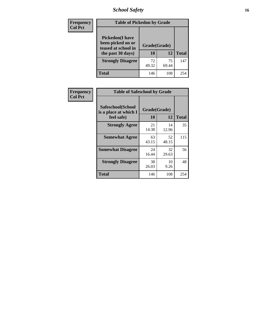# *School Safety* **16**

| <b>Frequency</b> |                                                                                          | <b>Table of Pickedon by Grade</b> |                    |     |  |  |  |  |  |  |
|------------------|------------------------------------------------------------------------------------------|-----------------------------------|--------------------|-----|--|--|--|--|--|--|
| <b>Col Pct</b>   | <b>Pickedon</b> (I have<br>been picked on or<br>teased at school in<br>the past 30 days) | 10                                | Grade(Grade)<br>12 |     |  |  |  |  |  |  |
|                  | <b>Strongly Disagree</b>                                                                 | 72<br>49.32                       | 75<br>69.44        | 147 |  |  |  |  |  |  |
|                  | Total                                                                                    | 146                               | 108                | 254 |  |  |  |  |  |  |

| Frequency      | <b>Table of Safeschool by Grade</b>                      |                    |             |              |
|----------------|----------------------------------------------------------|--------------------|-------------|--------------|
| <b>Col Pct</b> | Safeschool(School<br>is a place at which I<br>feel safe) | Grade(Grade)<br>10 | 12          | <b>Total</b> |
|                | <b>Strongly Agree</b>                                    | 21<br>14.38        | 14<br>12.96 | 35           |
|                | <b>Somewhat Agree</b>                                    | 63<br>43.15        | 52<br>48.15 | 115          |
|                | <b>Somewhat Disagree</b>                                 | 24<br>16.44        | 32<br>29.63 | 56           |
|                | <b>Strongly Disagree</b>                                 | 38<br>26.03        | 10<br>9.26  | 48           |
|                | <b>Total</b>                                             | 146                | 108         | 254          |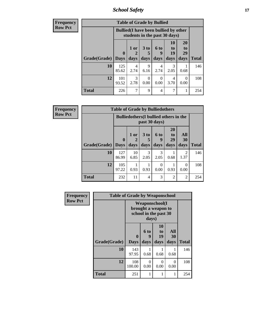*School Safety* **17**

| <b>Frequency</b> | <b>Table of Grade by Bullied</b> |                                                                               |                        |                     |                   |                        |                               |              |  |  |
|------------------|----------------------------------|-------------------------------------------------------------------------------|------------------------|---------------------|-------------------|------------------------|-------------------------------|--------------|--|--|
| <b>Row Pct</b>   |                                  | <b>Bullied</b> (I have been bullied by other<br>students in the past 30 days) |                        |                     |                   |                        |                               |              |  |  |
|                  | Grade(Grade)   Days              | $\mathbf 0$                                                                   | 1 or<br>days           | $3$ to<br>5<br>days | 6 to<br>9<br>days | 10<br>to<br>19<br>days | <b>20</b><br>to<br>29<br>days | <b>Total</b> |  |  |
|                  | 10                               | 125<br>85.62                                                                  | $\overline{4}$<br>2.74 | 9<br>6.16           | 4<br>2.74         | 3<br>2.05              | 0.68                          | 146          |  |  |
|                  | 12                               | 101<br>93.52                                                                  | 3<br>2.78              | $\Omega$<br>0.00    | 0<br>0.00         | 4<br>3.70              | $\Omega$<br>0.00              | 108          |  |  |
|                  | <b>Total</b>                     | 226                                                                           | 7                      | 9                   | 4                 | 7                      |                               | 254          |  |  |

| <b>Frequency</b> | <b>Table of Grade by Bulliedothers</b> |              |                                                                |              |                          |                               |                        |              |  |  |  |
|------------------|----------------------------------------|--------------|----------------------------------------------------------------|--------------|--------------------------|-------------------------------|------------------------|--------------|--|--|--|
| <b>Row Pct</b>   |                                        |              | <b>Bulliedothers</b> (I bullied others in the<br>past 30 days) |              |                          |                               |                        |              |  |  |  |
|                  | <b>Grade</b> (Grade) Days              | $\mathbf{0}$ | 1 or<br>days                                                   | 3 to<br>days | <b>6 to</b><br>9<br>days | <b>20</b><br>to<br>29<br>days | All<br>30<br>days      | <b>Total</b> |  |  |  |
|                  | 10                                     | 127<br>86.99 | 10<br>6.85                                                     | 3<br>2.05    | 3<br>2.05                | 0.68                          | $\overline{2}$<br>1.37 | 146          |  |  |  |
|                  | 12                                     | 105<br>97.22 | 0.93                                                           | 0.93         | $\Omega$<br>0.00         | 0.93                          | $\Omega$<br>0.00       | 108          |  |  |  |
|                  | <b>Total</b>                           | 232          | 11                                                             | 4            | 3                        | 2                             | $\overline{2}$         | 254          |  |  |  |

| Frequency      | <b>Table of Grade by Weaponschool</b> |                                                                        |                   |                        |                   |              |  |  |  |
|----------------|---------------------------------------|------------------------------------------------------------------------|-------------------|------------------------|-------------------|--------------|--|--|--|
| <b>Row Pct</b> |                                       | <b>Weaponschool</b> (I<br>brought a weapon to<br>school in the past 30 |                   |                        |                   |              |  |  |  |
|                | Grade(Grade)                          | 0<br><b>Days</b>                                                       | 6 to<br>9<br>days | 10<br>to<br>19<br>days | All<br>30<br>days | <b>Total</b> |  |  |  |
|                | 10                                    | 143<br>97.95                                                           | 0.68              | 0.68                   | 1<br>0.68         | 146          |  |  |  |
|                | 12                                    | 108<br>100.00                                                          | $\Omega$<br>0.00  | $\Omega$<br>0.00       | $\Omega$<br>0.00  | 108          |  |  |  |
|                | <b>Total</b>                          | 251                                                                    | 1                 |                        | 1                 | 254          |  |  |  |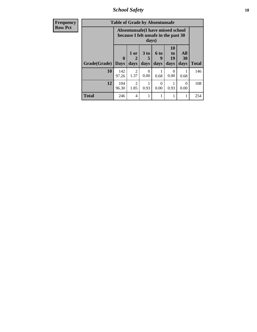*School Safety* **18**

| <b>Frequency</b> | <b>Table of Grade by Absentunsafe</b> |                         |                        |                                                                                    |                   |                                    |                   |              |  |  |
|------------------|---------------------------------------|-------------------------|------------------------|------------------------------------------------------------------------------------|-------------------|------------------------------------|-------------------|--------------|--|--|
| <b>Row Pct</b>   |                                       |                         |                        | Absentunsafe(I have missed school<br>because I felt unsafe in the past 30<br>days) |                   |                                    |                   |              |  |  |
|                  | Grade(Grade)                          | $\bf{0}$<br><b>Days</b> | 1 or<br>2<br>days      | 3 <sub>to</sub><br>5<br>days                                                       | 6 to<br>9<br>days | 10<br>t <sub>0</sub><br>19<br>days | All<br>30<br>days | <b>Total</b> |  |  |
|                  | 10                                    | 142<br>97.26            | $\mathfrak{D}$<br>1.37 | 0<br>0.00                                                                          | 0.68              | 0<br>0.00                          | 0.68              | 146          |  |  |
|                  | 12                                    | 104<br>96.30            | $\mathfrak{D}$<br>1.85 | 0.93                                                                               | 0<br>0.00         | 0.93                               | $\Omega$<br>0.00  | 108          |  |  |
|                  | <b>Total</b>                          | 246                     | 4                      |                                                                                    |                   |                                    | 1                 | 254          |  |  |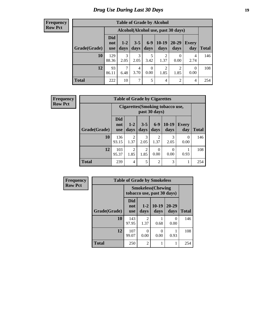# *Drug Use During Last 30 Days* **19**

#### **Frequency Row Pct**

| <b>Table of Grade by Alcohol</b> |                                                                                                                                                   |                                    |           |                  |                        |                        |                  |     |  |  |  |
|----------------------------------|---------------------------------------------------------------------------------------------------------------------------------------------------|------------------------------------|-----------|------------------|------------------------|------------------------|------------------|-----|--|--|--|
|                                  |                                                                                                                                                   | Alcohol(Alcohol use, past 30 days) |           |                  |                        |                        |                  |     |  |  |  |
| Grade(Grade)                     | <b>Did</b><br>$6-9$<br>$10-19$<br>20-29<br>$1-2$<br>$3 - 5$<br>Every<br>not<br>days<br>days<br>days<br>Total<br>days<br>day<br>days<br><b>use</b> |                                    |           |                  |                        |                        |                  |     |  |  |  |
| 10                               | 129<br>88.36                                                                                                                                      | $\mathcal{R}$<br>2.05              | 3<br>2.05 | 5<br>3.42        | 2<br>1.37              | 0.00                   | 4<br>2.74        | 146 |  |  |  |
| 12                               | 93<br>86.11                                                                                                                                       | 7<br>6.48                          | 4<br>3.70 | $\theta$<br>0.00 | $\overline{c}$<br>1.85 | $\mathfrak{D}$<br>1.85 | $\Omega$<br>0.00 | 108 |  |  |  |
| <b>Total</b>                     | 222                                                                                                                                               | 10                                 | 7         | 5                | $\overline{4}$         | $\overline{2}$         | 4                | 254 |  |  |  |

| <b>Frequency</b> |              | <b>Table of Grade by Cigarettes</b> |                        |               |                  |                                        |                     |              |  |
|------------------|--------------|-------------------------------------|------------------------|---------------|------------------|----------------------------------------|---------------------|--------------|--|
| <b>Row Pct</b>   |              |                                     |                        |               | past 30 days)    | <b>Cigarettes(Smoking tobacco use,</b> |                     |              |  |
|                  | Grade(Grade) | <b>Did</b><br>not<br><b>use</b>     | $1-2$<br>days          | $3-5$<br>days | $6-9$<br>days    | $10-19$<br>days                        | <b>Every</b><br>day | <b>Total</b> |  |
|                  | 10           | 136<br>93.15                        | $\overline{2}$<br>1.37 | 3<br>2.05     | 2<br>1.37        | 3<br>2.05                              | $\Omega$<br>0.00    | 146          |  |
|                  | 12           | 103<br>95.37                        | $\overline{2}$<br>1.85 | 2<br>1.85     | $\Omega$<br>0.00 | $\Omega$<br>0.00                       | 0.93                | 108          |  |
|                  | <b>Total</b> | 239                                 | 4                      | 5             | $\overline{2}$   | 3                                      | 1                   | 254          |  |

| Frequency      | <b>Table of Grade by Smokeless</b> |                                 |                                                         |                  |                   |              |  |  |  |  |
|----------------|------------------------------------|---------------------------------|---------------------------------------------------------|------------------|-------------------|--------------|--|--|--|--|
| <b>Row Pct</b> |                                    |                                 | <b>Smokeless</b> (Chewing<br>tobacco use, past 30 days) |                  |                   |              |  |  |  |  |
|                | Grade(Grade)                       | <b>Did</b><br>not<br><b>use</b> | $1 - 2$<br>days                                         | $10-19$<br>days  | $20 - 29$<br>days | <b>Total</b> |  |  |  |  |
|                | 10                                 | 143<br>97.95                    | 2<br>1.37                                               | 0.68             | 0<br>0.00         | 146          |  |  |  |  |
|                | 12                                 | 107<br>99.07                    | 0<br>0.00                                               | $\Omega$<br>0.00 | 0.93              | 108          |  |  |  |  |
|                | <b>Total</b>                       | 250                             | $\overline{2}$                                          |                  | 1                 | 254          |  |  |  |  |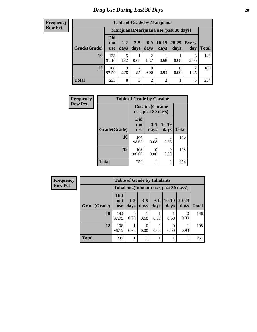#### **Frequency Row Pct**

| <b>Table of Grade by Marijuana</b> |                                                                                                                                                     |                                         |           |                |      |           |           |     |  |  |  |
|------------------------------------|-----------------------------------------------------------------------------------------------------------------------------------------------------|-----------------------------------------|-----------|----------------|------|-----------|-----------|-----|--|--|--|
|                                    |                                                                                                                                                     | Marijuana (Marijuana use, past 30 days) |           |                |      |           |           |     |  |  |  |
| Grade(Grade)                       | <b>Did</b><br>$6-9$<br>$10-19$<br>20-29<br>$3 - 5$<br>$1 - 2$<br>Every<br>not<br>days<br>days<br>days<br>days<br>day<br>Total<br>days<br><b>use</b> |                                         |           |                |      |           |           |     |  |  |  |
| 10                                 | 133<br>91.10                                                                                                                                        | 5<br>3.42                               | 0.68      | 2<br>1.37      | 0.68 | 0.68      | 3<br>2.05 | 146 |  |  |  |
| 12                                 | 100<br>92.59                                                                                                                                        | 3<br>2.78                               | 2<br>1.85 | 0<br>0.00      | 0.93 | 0<br>0.00 | 2<br>1.85 | 108 |  |  |  |
| <b>Total</b>                       | 233                                                                                                                                                 | 8                                       | 3         | $\overline{c}$ | 2    |           | 5         | 254 |  |  |  |

| Frequency      | <b>Table of Grade by Cocaine</b> |                                 |                                               |               |              |  |  |  |  |  |
|----------------|----------------------------------|---------------------------------|-----------------------------------------------|---------------|--------------|--|--|--|--|--|
| <b>Row Pct</b> |                                  |                                 | <b>Cocaine</b> (Cocaine<br>use, past 30 days) |               |              |  |  |  |  |  |
|                | Grade(Grade)                     | <b>Did</b><br>not<br><b>use</b> | $3 - 5$<br>days                               | 10-19<br>days | <b>Total</b> |  |  |  |  |  |
|                | 10                               | 144<br>98.63                    | 0.68                                          | 0.68          | 146          |  |  |  |  |  |
|                | 12                               | 108<br>100.00                   | 0.00                                          | 0<br>0.00     | 108          |  |  |  |  |  |
|                | <b>Total</b>                     | 252                             |                                               | 1             | 254          |  |  |  |  |  |

| Frequency      |              | <b>Table of Grade by Inhalants</b> |               |                 |               |                                        |                   |              |  |  |
|----------------|--------------|------------------------------------|---------------|-----------------|---------------|----------------------------------------|-------------------|--------------|--|--|
| <b>Row Pct</b> |              |                                    |               |                 |               | Inhalants (Inhalant use, past 30 days) |                   |              |  |  |
|                | Grade(Grade) | <b>Did</b><br>not<br><b>use</b>    | $1-2$<br>days | $3 - 5$<br>days | $6-9$<br>days | $10-19$<br>days                        | $20 - 29$<br>days | <b>Total</b> |  |  |
|                | 10           | 143<br>97.95                       | 0<br>0.00     | 0.68            | 0.68          | 0.68                                   | $\theta$<br>0.00  | 146          |  |  |
|                | 12           | 106<br>98.15                       | 0.93          | 0<br>0.00       | 0.00          | $\Omega$<br>0.00                       | 0.93              | 108          |  |  |
|                | <b>Total</b> | 249                                |               |                 |               |                                        |                   | 254          |  |  |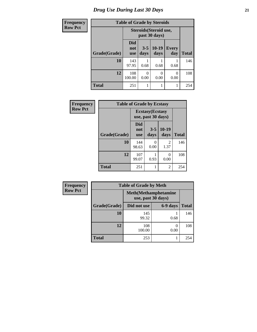# *Drug Use During Last 30 Days* **21**

| <b>Frequency</b> | <b>Table of Grade by Steroids</b> |                                         |                 |                          |                     |              |  |
|------------------|-----------------------------------|-----------------------------------------|-----------------|--------------------------|---------------------|--------------|--|
| <b>Row Pct</b>   |                                   | Steroids (Steroid use,<br>past 30 days) |                 |                          |                     |              |  |
|                  | Grade(Grade)                      | <b>Did</b><br>not<br><b>use</b>         | $3 - 5$<br>days | $10-19$<br>days          | <b>Every</b><br>day | <b>Total</b> |  |
|                  | 10                                | 143<br>97.95                            | 0.68            | 0.68                     | 0.68                | 146          |  |
|                  | 12                                | 108<br>100.00                           | 0<br>0.00       | $\left( \right)$<br>0.00 | 0<br>0.00           | 108          |  |
|                  | <b>Total</b>                      | 251                                     | 1               | 1                        |                     | 254          |  |

| Frequency      | <b>Table of Grade by Ecstasy</b> |                                               |                 |                        |              |
|----------------|----------------------------------|-----------------------------------------------|-----------------|------------------------|--------------|
| <b>Row Pct</b> |                                  | <b>Ecstasy</b> (Ecstasy<br>use, past 30 days) |                 |                        |              |
|                | Grade(Grade)                     | <b>Did</b><br>not<br><b>use</b>               | $3 - 5$<br>days | $10-19$<br>days        | <b>Total</b> |
|                | 10                               | 144<br>98.63                                  | 0<br>0.00       | $\mathfrak{D}$<br>1.37 | 146          |
|                | 12                               | 107<br>99.07                                  | 0.93            | 0<br>0.00              | 108          |
|                | <b>Total</b>                     | 251                                           |                 | 2                      | 254          |

| Frequency      | <b>Table of Grade by Meth</b> |                                                    |           |              |  |  |
|----------------|-------------------------------|----------------------------------------------------|-----------|--------------|--|--|
| <b>Row Pct</b> |                               | <b>Meth</b> (Methamphetamine<br>use, past 30 days) |           |              |  |  |
|                | Grade(Grade)                  | Did not use                                        | 6-9 days  | <b>Total</b> |  |  |
|                | 10                            | 145<br>99.32                                       | 0.68      | 146          |  |  |
|                | 12                            | 108<br>100.00                                      | 0<br>0.00 | 108          |  |  |
|                | <b>Total</b>                  | 253                                                |           | 254          |  |  |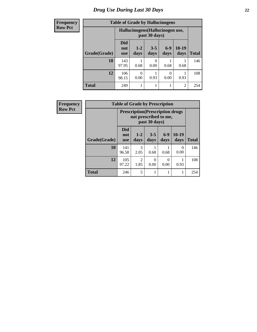| <b>Frequency</b> | <b>Table of Grade by Hallucinogens</b>            |                                 |                 |                 |                  |                 |              |
|------------------|---------------------------------------------------|---------------------------------|-----------------|-----------------|------------------|-----------------|--------------|
| <b>Row Pct</b>   | Hallucinogens (Hallucinogen use,<br>past 30 days) |                                 |                 |                 |                  |                 |              |
|                  | Grade(Grade)                                      | <b>Did</b><br>not<br><b>use</b> | $1 - 2$<br>days | $3 - 5$<br>days | $6-9$<br>days    | $10-19$<br>days | <b>Total</b> |
|                  | 10                                                | 143<br>97.95                    | 0.68            | 0<br>0.00       | 0.68             | 0.68            | 146          |
|                  | 12                                                | 106<br>98.15                    | 0<br>0.00       | 0.93            | $\Omega$<br>0.00 | 0.93            | 108          |
|                  | <b>Total</b>                                      | 249                             |                 |                 |                  | $\overline{2}$  | 254          |

| Frequency      | <b>Table of Grade by Prescription</b>                                              |                                 |                 |                 |                  |                 |              |  |
|----------------|------------------------------------------------------------------------------------|---------------------------------|-----------------|-----------------|------------------|-----------------|--------------|--|
| <b>Row Pct</b> | <b>Prescription</b> (Prescription drugs)<br>not prescribed to me,<br>past 30 days) |                                 |                 |                 |                  |                 |              |  |
|                | Grade(Grade)                                                                       | <b>Did</b><br>not<br><b>use</b> | $1 - 2$<br>days | $3 - 5$<br>days | $6-9$<br>days    | $10-19$<br>days | <b>Total</b> |  |
|                | 10                                                                                 | 141<br>96.58                    | 3<br>2.05       | 0.68            | 0.68             | 0<br>0.00       | 146          |  |
|                | 12                                                                                 | 105<br>97.22                    | 2<br>1.85       | 0<br>0.00       | $\Omega$<br>0.00 | 0.93            | 108          |  |
|                | <b>Total</b>                                                                       | 246                             | 5               |                 |                  |                 | 254          |  |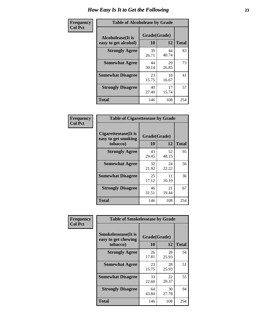| Frequency      | <b>Table of Alcoholease by Grade</b>              |                          |             |              |
|----------------|---------------------------------------------------|--------------------------|-------------|--------------|
| <b>Col Pct</b> | <b>Alcoholease</b> (It is<br>easy to get alcohol) | Grade(Grade)<br>10<br>12 |             | <b>Total</b> |
|                | <b>Strongly Agree</b>                             | 39<br>26.71              | 44<br>40.74 | 83           |
|                | <b>Somewhat Agree</b>                             | 44<br>30.14              | 29<br>26.85 | 73           |
|                | <b>Somewhat Disagree</b>                          | 23<br>15.75              | 18<br>16.67 | 41           |
|                | <b>Strongly Disagree</b>                          | 40<br>27.40              | 17<br>15.74 | 57           |
|                | <b>Total</b>                                      | 146                      | 108         | 254          |

| Frequency      | <b>Table of Cigarettesease by Grade</b>                 |                    |             |              |
|----------------|---------------------------------------------------------|--------------------|-------------|--------------|
| <b>Col Pct</b> | Cigarettesease(It is<br>easy to get smoking<br>tobacco) | Grade(Grade)<br>10 | 12          | <b>Total</b> |
|                | <b>Strongly Agree</b>                                   | 43<br>29.45        | 52<br>48.15 | 95           |
|                | <b>Somewhat Agree</b>                                   | 32<br>21.92        | 24<br>22.22 | 56           |
|                | <b>Somewhat Disagree</b>                                | 25<br>17.12        | 11<br>10.19 | 36           |
|                | <b>Strongly Disagree</b>                                | 46<br>31.51        | 21<br>19.44 | 67           |
|                | <b>Total</b>                                            | 146                | 108         | 254          |

| Frequency      | <b>Table of Smokelessease by Grade</b>             |              |             |              |  |  |
|----------------|----------------------------------------------------|--------------|-------------|--------------|--|--|
| <b>Col Pct</b> | <b>Smokelessease</b> (It is<br>easy to get chewing | Grade(Grade) |             |              |  |  |
|                | tobacco)                                           | 10           | 12          | <b>Total</b> |  |  |
|                | <b>Strongly Agree</b>                              | 26<br>17.81  | 28<br>25.93 | 54           |  |  |
|                | <b>Somewhat Agree</b>                              | 23<br>15.75  | 28<br>25.93 | 51           |  |  |
|                | <b>Somewhat Disagree</b>                           | 33<br>22.60  | 22<br>20.37 | 55           |  |  |
|                | <b>Strongly Disagree</b>                           | 64<br>43.84  | 30<br>27.78 | 94           |  |  |
|                | <b>Total</b>                                       | 146          | 108         | 254          |  |  |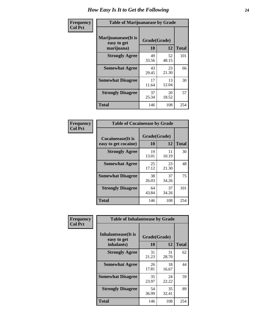| Frequency      | <b>Table of Marijuanaease by Grade</b>           |                    |             |              |
|----------------|--------------------------------------------------|--------------------|-------------|--------------|
| <b>Col Pct</b> | Marijuanaease(It is<br>easy to get<br>marijuana) | Grade(Grade)<br>10 | 12          | <b>Total</b> |
|                | <b>Strongly Agree</b>                            | 49<br>33.56        | 52<br>48.15 | 101          |
|                | <b>Somewhat Agree</b>                            | 43<br>29.45        | 23<br>21.30 | 66           |
|                | <b>Somewhat Disagree</b>                         | 17<br>11.64        | 13<br>12.04 | 30           |
|                | <b>Strongly Disagree</b>                         | 37<br>25.34        | 20<br>18.52 | 57           |
|                | <b>Total</b>                                     | 146                | 108         | 254          |

| <b>Table of Cocaineease by Grade</b>              |                    |              |     |  |  |  |  |
|---------------------------------------------------|--------------------|--------------|-----|--|--|--|--|
| <b>Cocaineease</b> (It is<br>easy to get cocaine) | Grade(Grade)<br>10 | <b>Total</b> |     |  |  |  |  |
| <b>Strongly Agree</b>                             | 19<br>13.01        | 11<br>10.19  | 30  |  |  |  |  |
| <b>Somewhat Agree</b>                             | 25<br>17.12        | 23<br>21.30  | 48  |  |  |  |  |
| <b>Somewhat Disagree</b>                          | 38<br>26.03        | 37<br>34.26  | 75  |  |  |  |  |
| <b>Strongly Disagree</b>                          | 64<br>43.84        | 37<br>34.26  | 101 |  |  |  |  |
| <b>Total</b>                                      | 146                | 108          | 254 |  |  |  |  |

| Frequency      | <b>Table of Inhalantsease by Grade</b> |              |             |              |  |  |
|----------------|----------------------------------------|--------------|-------------|--------------|--|--|
| <b>Col Pct</b> | Inhalantsease(It is<br>easy to get     | Grade(Grade) |             |              |  |  |
|                | inhalants)                             | 10           | 12          | <b>Total</b> |  |  |
|                | <b>Strongly Agree</b>                  | 31<br>21.23  | 31<br>28.70 | 62           |  |  |
|                | <b>Somewhat Agree</b>                  | 26<br>17.81  | 18<br>16.67 | 44           |  |  |
|                | <b>Somewhat Disagree</b>               | 35<br>23.97  | 24<br>22.22 | 59           |  |  |
|                | <b>Strongly Disagree</b>               | 54<br>36.99  | 35<br>32.41 | 89           |  |  |
|                | <b>Total</b>                           | 146          | 108         | 254          |  |  |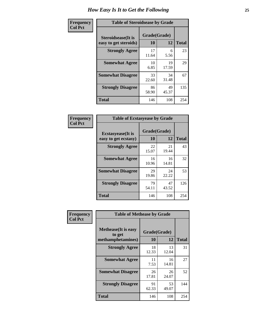| Frequency      | <b>Table of Steroidsease by Grade</b>               |                    |             |              |  |
|----------------|-----------------------------------------------------|--------------------|-------------|--------------|--|
| <b>Col Pct</b> | <b>Steroidsease</b> (It is<br>easy to get steroids) | Grade(Grade)<br>10 | 12          | <b>Total</b> |  |
|                | <b>Strongly Agree</b>                               | 17<br>11.64        | 6<br>5.56   | 23           |  |
|                | <b>Somewhat Agree</b>                               | 10<br>6.85         | 19<br>17.59 | 29           |  |
|                | <b>Somewhat Disagree</b>                            | 33<br>22.60        | 34<br>31.48 | 67           |  |
|                | <b>Strongly Disagree</b>                            | 86<br>58.90        | 49<br>45.37 | 135          |  |
|                | <b>Total</b>                                        | 146                | 108         | 254          |  |

| Frequency      | <b>Table of Ecstasyease by Grade</b>              |                    |              |     |  |  |  |  |  |
|----------------|---------------------------------------------------|--------------------|--------------|-----|--|--|--|--|--|
| <b>Col Pct</b> | <b>Ecstasyease</b> (It is<br>easy to get ecstasy) | Grade(Grade)<br>10 | <b>Total</b> |     |  |  |  |  |  |
|                | <b>Strongly Agree</b>                             | 22<br>15.07        | 21<br>19.44  | 43  |  |  |  |  |  |
|                | <b>Somewhat Agree</b>                             | 16<br>10.96        | 16<br>14.81  | 32  |  |  |  |  |  |
|                | <b>Somewhat Disagree</b>                          | 29<br>19.86        | 24<br>22.22  | 53  |  |  |  |  |  |
|                | <b>Strongly Disagree</b>                          | 79<br>54.11        | 47<br>43.52  | 126 |  |  |  |  |  |
|                | Total                                             | 146                | 108          | 254 |  |  |  |  |  |

| Frequency      | <b>Table of Methease by Grade</b>                          |                    |             |              |
|----------------|------------------------------------------------------------|--------------------|-------------|--------------|
| <b>Col Pct</b> | <b>Methease</b> (It is easy<br>to get<br>methamphetamines) | Grade(Grade)<br>10 | 12          | <b>Total</b> |
|                | <b>Strongly Agree</b>                                      | 18<br>12.33        | 13<br>12.04 | 31           |
|                | <b>Somewhat Agree</b>                                      | 11<br>7.53         | 16<br>14.81 | 27           |
|                | <b>Somewhat Disagree</b>                                   | 26<br>17.81        | 26<br>24.07 | 52           |
|                | <b>Strongly Disagree</b>                                   | 91<br>62.33        | 53<br>49.07 | 144          |
|                | <b>Total</b>                                               | 146                | 108         | 254          |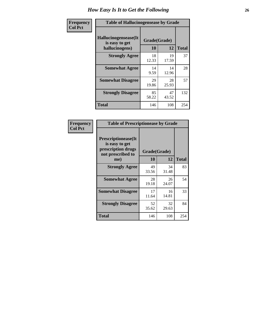| <b>Frequency</b> | <b>Table of Hallucinogensease by Grade</b>               |                    |             |              |  |  |  |  |  |
|------------------|----------------------------------------------------------|--------------------|-------------|--------------|--|--|--|--|--|
| <b>Col Pct</b>   | Hallucinogensease(It<br>is easy to get<br>hallucinogens) | Grade(Grade)<br>10 | 12          | <b>Total</b> |  |  |  |  |  |
|                  | <b>Strongly Agree</b>                                    | 18<br>12.33        | 19<br>17.59 | 37           |  |  |  |  |  |
|                  | <b>Somewhat Agree</b>                                    | 14<br>9.59         | 14<br>12.96 | 28           |  |  |  |  |  |
|                  | <b>Somewhat Disagree</b>                                 | 29<br>19.86        | 28<br>25.93 | 57           |  |  |  |  |  |
|                  | <b>Strongly Disagree</b>                                 | 85<br>58.22        | 47<br>43.52 | 132          |  |  |  |  |  |
|                  | <b>Total</b>                                             | 146                | 108         | 254          |  |  |  |  |  |

| <b>Frequency</b><br>Col Pct |
|-----------------------------|
|                             |

| <b>Table of Prescriptionease by Grade</b>                                                |             |              |              |  |  |  |  |  |
|------------------------------------------------------------------------------------------|-------------|--------------|--------------|--|--|--|--|--|
| <b>Prescriptionease</b> (It<br>is easy to get<br>prescription drugs<br>not prescribed to |             | Grade(Grade) |              |  |  |  |  |  |
| me)                                                                                      | 10          | 12           | <b>Total</b> |  |  |  |  |  |
| <b>Strongly Agree</b>                                                                    | 49<br>33.56 | 34<br>31.48  | 83           |  |  |  |  |  |
| <b>Somewhat Agree</b>                                                                    | 28<br>19.18 | 26<br>24.07  | 54           |  |  |  |  |  |
| <b>Somewhat Disagree</b>                                                                 | 17<br>11.64 | 16<br>14.81  | 33           |  |  |  |  |  |
| <b>Strongly Disagree</b>                                                                 | 52<br>35.62 | 32<br>29.63  | 84           |  |  |  |  |  |
| Total                                                                                    | 146         | 108          | 254          |  |  |  |  |  |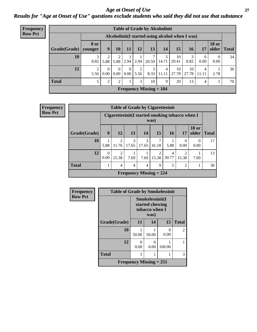### *Age at Onset of Use* **27** *Results for "Age at Onset of Use" questions exclude students who said they did not use that substance*

| Frequency      | <b>Table of Grade by Alcoholinit</b> |                        |                                                  |                  |                  |           |                           |                                  |             |             |                  |                       |              |
|----------------|--------------------------------------|------------------------|--------------------------------------------------|------------------|------------------|-----------|---------------------------|----------------------------------|-------------|-------------|------------------|-----------------------|--------------|
| <b>Row Pct</b> |                                      |                        | Alcoholinit (I started using alcohol when I was) |                  |                  |           |                           |                                  |             |             |                  |                       |              |
|                | Grade(Grade)                         | <b>8 or</b><br>younger | $\boldsymbol{9}$                                 | 10               | 11               | 12        | 13                        | 14                               | 15          | 16          | 17               | <b>18 or</b><br>older | <b>Total</b> |
|                | 10                                   | 3<br>8.82              | 5.88                                             | 5.88             | 2.94             | 2.94      | ⇁                         | 5<br>$20.59$   14.71             | 10<br>29.41 | 3<br>8.82   | $\theta$<br>0.00 | $\theta$<br>0.00      | 34           |
|                | 12                                   | $\overline{2}$<br>5.56 | $\Omega$<br>$0.00\,$                             | $\Omega$<br>0.00 | $\Omega$<br>0.00 | 2<br>5.56 | 3                         | $\overline{4}$<br>$8.33$   11.11 | 10<br>27.78 | 10<br>27.78 | 4<br>11.11       | 2.78                  | 36           |
|                | <b>Total</b>                         | 5                      | 2                                                | 2                |                  | 3         | 10                        | 9                                | 20          | 13          | 4                |                       | 70           |
|                |                                      |                        |                                                  |                  |                  |           | Frequency Missing $= 184$ |                                  |             |             |                  |                       |              |

| <b>Frequency</b> |              |                  | <b>Table of Grade by Cigarettesinit</b>         |                           |                |            |            |                  |                       |              |
|------------------|--------------|------------------|-------------------------------------------------|---------------------------|----------------|------------|------------|------------------|-----------------------|--------------|
| <b>Row Pct</b>   |              |                  | Cigarettesinit(I started smoking tobacco when I |                           |                | was)       |            |                  |                       |              |
|                  | Grade(Grade) | 9                | <b>12</b>                                       | 13                        | 14             | 15         | <b>16</b>  | 17               | <b>18 or</b><br>older | <b>Total</b> |
|                  | 10           | 5.88             | $\overline{2}$<br>11.76                         | 3<br>17.65                | 3<br>17.65     | 7<br>41.18 | 5.88       | $\theta$<br>0.00 | $\Omega$<br>0.00      | 17           |
|                  | 12           | $\Omega$<br>0.00 | $\overline{2}$<br>15.38                         | 7.69                      | 7.69           | 2<br>15.38 | 4<br>30.77 | ി<br>15.38       | 7.69                  | 13           |
|                  | <b>Total</b> |                  | 4                                               | $\overline{4}$            | $\overline{4}$ | 9          | 5          | $\overline{c}$   |                       | 30           |
|                  |              |                  |                                                 | Frequency Missing $= 224$ |                |            |            |                  |                       |              |

| Frequency      |              | <b>Table of Grade by Smokelessinit</b> |                                                              |           |                |  |  |  |  |
|----------------|--------------|----------------------------------------|--------------------------------------------------------------|-----------|----------------|--|--|--|--|
| <b>Row Pct</b> |              |                                        | Smokelessinit(I<br>started chewing<br>tobacco when I<br>was) |           |                |  |  |  |  |
|                | Grade(Grade) | 11                                     | 14                                                           | 15        | <b>Total</b>   |  |  |  |  |
|                | 10           | 50.00                                  | 50.00                                                        | 0<br>0.00 | $\mathfrak{D}$ |  |  |  |  |
|                | 12           | 0.00                                   | $\mathbf{\Omega}$<br>0.00                                    | 100.00    |                |  |  |  |  |
|                | <b>Total</b> |                                        |                                                              |           | 3              |  |  |  |  |
|                |              | Frequency Missing $= 251$              |                                                              |           |                |  |  |  |  |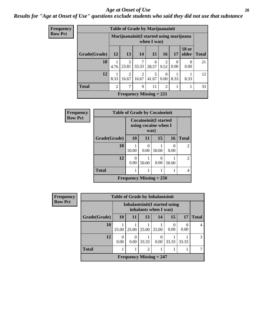#### *Age at Onset of Use* **28**

### *Results for "Age at Onset of Use" questions exclude students who said they did not use that substance*

| Frequency      |              | <b>Table of Grade by Marijuanainit</b> |                                                         |                         |            |                  |           |                       |              |  |
|----------------|--------------|----------------------------------------|---------------------------------------------------------|-------------------------|------------|------------------|-----------|-----------------------|--------------|--|
| <b>Row Pct</b> |              |                                        | Marijuanainit (I started using marijuana<br>when I was) |                         |            |                  |           |                       |              |  |
|                | Grade(Grade) | <b>12</b>                              | 13                                                      | 14                      | <b>15</b>  | <b>16</b>        | 17        | <b>18</b> or<br>older | <b>Total</b> |  |
|                | 10           | 4.76                                   | 5<br>23.81                                              | 7<br>33.33              | 6<br>28.57 | 2<br>9.52        | 0<br>0.00 | $\theta$<br>0.00      | 21           |  |
|                | 12           | 8.33                                   | $\overline{2}$<br>16.67                                 | $\mathfrak{D}$<br>16.67 | 5<br>41.67 | $\Omega$<br>0.00 | 8.33      | 8.33                  | 12           |  |
|                | <b>Total</b> | $\overline{2}$                         | ┑                                                       | 9                       | 11         | $\overline{2}$   |           |                       | 33           |  |
|                |              |                                        | Frequency Missing $= 221$                               |                         |            |                  |           |                       |              |  |

| Frequency      |                                |                                               | <b>Table of Grade by Cocaineinit</b> |                      |           |                |  |  |  |
|----------------|--------------------------------|-----------------------------------------------|--------------------------------------|----------------------|-----------|----------------|--|--|--|
| <b>Row Pct</b> |                                | Cocaineinit(I started<br>using cocaine when I |                                      |                      |           |                |  |  |  |
|                | Grade(Grade)                   | 10                                            | 11                                   | <b>15</b>            | <b>16</b> | <b>Total</b>   |  |  |  |
|                | 10                             | 50.00                                         | $\Omega$<br>0.00                     | 50.00                | 0.00      | $\overline{2}$ |  |  |  |
|                | 12                             | 0<br>0.00                                     | 50.00                                | $\mathbf{0}$<br>0.00 | 50.00     | $\overline{2}$ |  |  |  |
|                | <b>Total</b>                   |                                               |                                      |                      |           | 4              |  |  |  |
|                | <b>Frequency Missing = 250</b> |                                               |                                      |                      |           |                |  |  |  |

| <b>Frequency</b> | <b>Table of Grade by Inhalantsinit</b> |                  |                                                         |                |                                |       |       |              |  |  |
|------------------|----------------------------------------|------------------|---------------------------------------------------------|----------------|--------------------------------|-------|-------|--------------|--|--|
| <b>Row Pct</b>   |                                        |                  | Inhalantsinit (I started using<br>inhalants when I was) |                |                                |       |       |              |  |  |
|                  | Grade(Grade)                           | <b>10</b>        | <b>11</b>                                               | 13             | 14                             | 15    | 17    | <b>Total</b> |  |  |
|                  | 10                                     | 25.00            | 25.00                                                   | 25.00          | 25.00                          | 0.00  | 0.00  | 4            |  |  |
|                  | 12                                     | $\Omega$<br>0.00 | $\Omega$<br>0.00                                        | 33.33          | $\Omega$<br>0.00               | 33.33 | 33.33 | 3            |  |  |
|                  | <b>Total</b>                           |                  | 1                                                       | $\overline{c}$ |                                |       |       |              |  |  |
|                  |                                        |                  |                                                         |                | <b>Frequency Missing = 247</b> |       |       |              |  |  |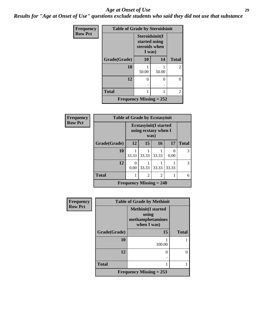#### *Age at Onset of Use* **29**

*Results for "Age at Onset of Use" questions exclude students who said they did not use that substance*

| Frequency      | <b>Table of Grade by Steroidsinit</b> |                                                            |       |                |  |  |  |  |
|----------------|---------------------------------------|------------------------------------------------------------|-------|----------------|--|--|--|--|
| <b>Row Pct</b> |                                       | Steroidsinit(I<br>started using<br>steroids when<br>I was) |       |                |  |  |  |  |
|                | Grade(Grade)                          | 10                                                         | 14    | <b>Total</b>   |  |  |  |  |
|                | 10                                    | 50.00                                                      | 50.00 | $\overline{2}$ |  |  |  |  |
|                | 12                                    | 0<br>٠                                                     | 0     | 0              |  |  |  |  |
|                | <b>Total</b>                          | 1                                                          |       | $\overline{2}$ |  |  |  |  |
|                | Frequency Missing $= 252$             |                                                            |       |                |  |  |  |  |

| <b>Frequency</b> | <b>Table of Grade by Ecstasyinit</b> |                                                       |                           |                |       |              |
|------------------|--------------------------------------|-------------------------------------------------------|---------------------------|----------------|-------|--------------|
| <b>Row Pct</b>   |                                      | <b>Ecstasyinit</b> (I started<br>using ecstasy when I |                           |                |       |              |
|                  | Grade(Grade)                         | 12                                                    | 15                        | 16             | 17    | <b>Total</b> |
|                  | 10                                   | 33.33                                                 | 33.33                     | 33.33          | 0.00  | 3            |
|                  | 12                                   | 0.00                                                  | 33.33                     | 33.33          | 33.33 | 3            |
|                  | <b>Total</b>                         |                                                       | $\overline{2}$            | $\overline{2}$ |       | 6            |
|                  |                                      |                                                       | Frequency Missing $= 248$ |                |       |              |

| <b>Frequency</b> | <b>Table of Grade by Methinit</b> |                                                                       |              |  |
|------------------|-----------------------------------|-----------------------------------------------------------------------|--------------|--|
| <b>Row Pct</b>   |                                   | <b>Methinit(I started</b><br>using<br>methamphetamines<br>when I was) |              |  |
|                  | Grade(Grade)                      | 15                                                                    | <b>Total</b> |  |
|                  | 10                                | 100.00                                                                |              |  |
|                  | 12                                | 0                                                                     |              |  |
|                  | <b>Total</b>                      |                                                                       |              |  |
|                  |                                   | <b>Frequency Missing = 253</b>                                        |              |  |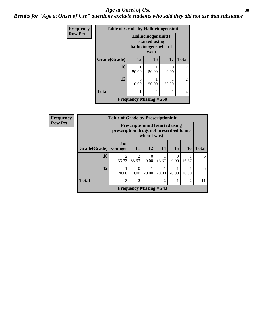#### Age at Onset of Use **30**

*Results for "Age at Onset of Use" questions exclude students who said they did not use that substance*

| <b>Frequency</b> | <b>Table of Grade by Hallucinogensinit</b> |                                                              |       |                           |                |
|------------------|--------------------------------------------|--------------------------------------------------------------|-------|---------------------------|----------------|
| <b>Row Pct</b>   |                                            | Hallucinogensinit(I<br>started using<br>hallucinogens when I |       |                           |                |
|                  | Grade(Grade)                               | 15                                                           | 16    | 17                        | <b>Total</b>   |
|                  | 10                                         | 50.00                                                        | 50.00 | $\mathbf{\Omega}$<br>0.00 | 2              |
|                  | 12                                         | 0<br>0.00                                                    | 50.00 | 50.00                     | $\overline{2}$ |
|                  | <b>Total</b>                               |                                                              | 2     |                           | 4              |
|                  | <b>Frequency Missing = 250</b>             |                                                              |       |                           |                |

| Frequency      | <b>Table of Grade by Prescriptioninit</b> |                                                                                                   |                |       |                           |                  |                |              |
|----------------|-------------------------------------------|---------------------------------------------------------------------------------------------------|----------------|-------|---------------------------|------------------|----------------|--------------|
| <b>Row Pct</b> |                                           | <b>Prescriptioninit(I started using</b><br>prescription drugs not prescribed to me<br>when I was) |                |       |                           |                  |                |              |
|                | Grade(Grade)   younger                    | 8 or                                                                                              | <b>11</b>      | 12    | 14                        | 15               | <b>16</b>      | <b>Total</b> |
|                | 10                                        | 2<br>33.33                                                                                        | 33.33          | 0.00  | 16.67                     | $\Omega$<br>0.00 | 16.67          | 6            |
|                | 12                                        | 20.00                                                                                             | 0.00           | 20.00 | 20.00                     | 20.00            | 20.00          | 5            |
|                | <b>Total</b>                              | 3                                                                                                 | $\overline{2}$ |       | $\overline{2}$            |                  | $\overline{2}$ | 11           |
|                |                                           |                                                                                                   |                |       | Frequency Missing $= 243$ |                  |                |              |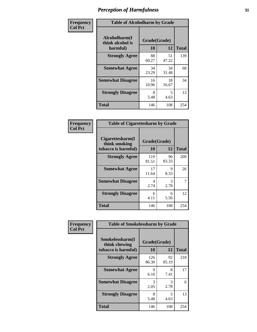| Frequency      | <b>Table of Alcoholharm by Grade</b>          |                    |             |              |
|----------------|-----------------------------------------------|--------------------|-------------|--------------|
| <b>Col Pct</b> | Alcoholharm(I<br>think alcohol is<br>harmful) | Grade(Grade)<br>10 | 12          | <b>Total</b> |
|                | <b>Strongly Agree</b>                         | 88<br>60.27        | 51<br>47.22 | 139          |
|                | <b>Somewhat Agree</b>                         | 34<br>23.29        | 34<br>31.48 | 68           |
|                | <b>Somewhat Disagree</b>                      | 16<br>10.96        | 18<br>16.67 | 34           |
|                | <b>Strongly Disagree</b>                      | 8<br>5.48          | 5<br>4.63   | 13           |
|                | <b>Total</b>                                  | 146                | 108         | 254          |

| <b>Table of Cigarettesharm by Grade</b>                  |                    |             |              |  |  |
|----------------------------------------------------------|--------------------|-------------|--------------|--|--|
| Cigarettesharm(I<br>think smoking<br>tobacco is harmful) | Grade(Grade)<br>10 | 12          | <b>Total</b> |  |  |
| <b>Strongly Agree</b>                                    | 119<br>81.51       | 90<br>83.33 | 209          |  |  |
| <b>Somewhat Agree</b>                                    | 17<br>11.64        | 9<br>8.33   | 26           |  |  |
| <b>Somewhat Disagree</b>                                 | 4<br>2.74          | 3<br>2.78   | 7            |  |  |
| <b>Strongly Disagree</b>                                 | 6<br>4.11          | 6<br>5.56   | 12           |  |  |
| <b>Total</b>                                             | 146                | 108         | 254          |  |  |

| Frequency      | <b>Table of Smokelessharm by Grade</b>                  |                    |             |              |  |
|----------------|---------------------------------------------------------|--------------------|-------------|--------------|--|
| <b>Col Pct</b> | Smokelessharm(I<br>think chewing<br>tobacco is harmful) | Grade(Grade)<br>10 | 12          | <b>Total</b> |  |
|                | <b>Strongly Agree</b>                                   | 126<br>86.30       | 92<br>85.19 | 218          |  |
|                | <b>Somewhat Agree</b>                                   | 9<br>6.16          | 8<br>7.41   | 17           |  |
|                | <b>Somewhat Disagree</b>                                | 3<br>2.05          | 3<br>2.78   | 6            |  |
|                | <b>Strongly Disagree</b>                                | 8<br>5.48          | 5<br>4.63   | 13           |  |
|                | <b>Total</b>                                            | 146                | 108         | 254          |  |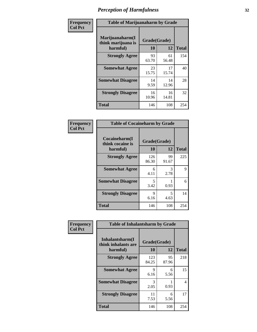| Frequency      | <b>Table of Marijuanaharm by Grade</b>            |                    |             |              |
|----------------|---------------------------------------------------|--------------------|-------------|--------------|
| <b>Col Pct</b> | Marijuanaharm(I<br>think marijuana is<br>harmful) | Grade(Grade)<br>10 | 12          | <b>Total</b> |
|                | <b>Strongly Agree</b>                             | 93<br>63.70        | 61<br>56.48 | 154          |
|                | <b>Somewhat Agree</b>                             | 23<br>15.75        | 17<br>15.74 | 40           |
|                | <b>Somewhat Disagree</b>                          | 14<br>9.59         | 14<br>12.96 | 28           |
|                | <b>Strongly Disagree</b>                          | 16<br>10.96        | 16<br>14.81 | 32           |
|                | <b>Total</b>                                      | 146                | 108         | 254          |

| <b>Table of Cocaineharm by Grade</b>          |                    |             |              |  |  |
|-----------------------------------------------|--------------------|-------------|--------------|--|--|
| Cocaineharm(I<br>think cocaine is<br>harmful) | Grade(Grade)<br>10 | 12          | <b>Total</b> |  |  |
| <b>Strongly Agree</b>                         | 126<br>86.30       | 99<br>91.67 | 225          |  |  |
| <b>Somewhat Agree</b>                         | 6<br>4.11          | 3<br>2.78   | 9            |  |  |
| <b>Somewhat Disagree</b>                      | 5<br>3.42          | 0.93        | 6            |  |  |
| <b>Strongly Disagree</b>                      | 9<br>6.16          | 5<br>4.63   | 14           |  |  |
| <b>Total</b>                                  | 146                | 108         | 254          |  |  |

| Frequency      | <b>Table of Inhalantsharm by Grade</b>             |                           |             |              |  |
|----------------|----------------------------------------------------|---------------------------|-------------|--------------|--|
| <b>Col Pct</b> | Inhalantsharm(I<br>think inhalants are<br>harmful) | Grade(Grade)<br><b>10</b> | 12          | <b>Total</b> |  |
|                | <b>Strongly Agree</b>                              | 123<br>84.25              | 95<br>87.96 | 218          |  |
|                | <b>Somewhat Agree</b>                              | 9<br>6.16                 | 6<br>5.56   | 15           |  |
|                | <b>Somewhat Disagree</b>                           | 3<br>2.05                 | 0.93        | 4            |  |
|                | <b>Strongly Disagree</b>                           | 11<br>7.53                | 6<br>5.56   | 17           |  |
|                | <b>Total</b>                                       | 146                       | 108         | 254          |  |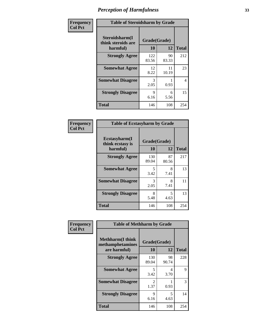| Frequency      | <b>Table of Steroidsharm by Grade</b>            |                    |             |              |
|----------------|--------------------------------------------------|--------------------|-------------|--------------|
| <b>Col Pct</b> | Steroidsharm(I<br>think steroids are<br>harmful) | Grade(Grade)<br>10 | 12          | <b>Total</b> |
|                | <b>Strongly Agree</b>                            | 122<br>83.56       | 90<br>83.33 | 212          |
|                | <b>Somewhat Agree</b>                            | 12<br>8.22         | 11<br>10.19 | 23           |
|                | <b>Somewhat Disagree</b>                         | 3<br>2.05          | 0.93        | 4            |
|                | <b>Strongly Disagree</b>                         | 9<br>6.16          | 6<br>5.56   | 15           |
|                | <b>Total</b>                                     | 146                | 108         | 254          |

| <b>Table of Ecstasyharm by Grade</b>          |                    |             |              |  |  |
|-----------------------------------------------|--------------------|-------------|--------------|--|--|
| Ecstasyharm(I<br>think ecstasy is<br>harmful) | Grade(Grade)<br>10 | 12          | <b>Total</b> |  |  |
| <b>Strongly Agree</b>                         | 130<br>89.04       | 87<br>80.56 | 217          |  |  |
| <b>Somewhat Agree</b>                         | 5<br>3.42          | 8<br>7.41   | 13           |  |  |
| <b>Somewhat Disagree</b>                      | 3<br>2.05          | 8<br>7.41   | 11           |  |  |
| <b>Strongly Disagree</b>                      | 8<br>5.48          | 5<br>4.63   | 13           |  |  |
| Total                                         | 146                | 108         | 254          |  |  |

| Frequency      | <b>Table of Methharm by Grade</b>                            |                    |             |              |
|----------------|--------------------------------------------------------------|--------------------|-------------|--------------|
| <b>Col Pct</b> | <b>Methharm</b> (I think<br>methamphetamines<br>are harmful) | Grade(Grade)<br>10 | 12          | <b>Total</b> |
|                | <b>Strongly Agree</b>                                        | 130<br>89.04       | 98<br>90.74 | 228          |
|                | <b>Somewhat Agree</b>                                        | 5<br>3.42          | 4<br>3.70   | 9            |
|                | <b>Somewhat Disagree</b>                                     | 2<br>1.37          | 0.93        | 3            |
|                | <b>Strongly Disagree</b>                                     | 9<br>6.16          | 5<br>4.63   | 14           |
|                | <b>Total</b>                                                 | 146                | 108         | 254          |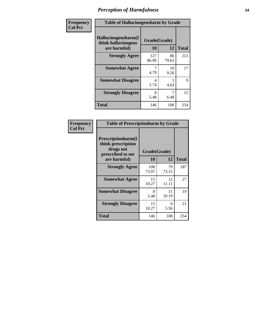| Frequency | <b>Table of Hallucinogensharm by Grade</b>                 |                    |                                  |              |
|-----------|------------------------------------------------------------|--------------------|----------------------------------|--------------|
| Col Pct   | Hallucinogensharm(I<br>think hallucinogens<br>are harmful) | Grade(Grade)<br>10 | 12                               | <b>Total</b> |
|           | <b>Strongly Agree</b>                                      | 127<br>86.99       | 86<br>79.63                      | 213          |
|           | <b>Somewhat Agree</b>                                      | 4.79               | 10<br>9.26                       | 17           |
|           | <b>Somewhat Disagree</b>                                   | 4<br>2.74          | $\overline{\phantom{0}}$<br>4.63 | 9            |
|           | <b>Strongly Disagree</b>                                   | 8<br>5.48          | 7<br>6.48                        | 15           |
|           | <b>Total</b>                                               | 146                | 108                              | 254          |

| <b>Table of Prescriptionharm by Grade</b>                                         |              |             |              |  |  |
|-----------------------------------------------------------------------------------|--------------|-------------|--------------|--|--|
| <b>Prescriptionharm</b> (I<br>think prescription<br>drugs not<br>prescribed to me | Grade(Grade) | 12          |              |  |  |
| are harmful)                                                                      | 10           |             | <b>Total</b> |  |  |
| <b>Strongly Agree</b>                                                             | 108<br>73.97 | 79<br>73.15 | 187          |  |  |
| <b>Somewhat Agree</b>                                                             | 15<br>10.27  | 12<br>11.11 | 27           |  |  |
| <b>Somewhat Disagree</b>                                                          | 8<br>5.48    | 11<br>10.19 | 19           |  |  |
| <b>Strongly Disagree</b>                                                          | 15<br>10.27  | 6<br>5.56   | 21           |  |  |
| <b>Total</b>                                                                      | 146          | 108         | 254          |  |  |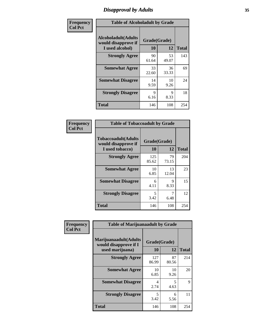# *Disapproval by Adults* **35**

| Frequency      | <b>Table of Alcoholadult by Grade</b>                         |                    |             |              |
|----------------|---------------------------------------------------------------|--------------------|-------------|--------------|
| <b>Col Pct</b> | Alcoholadult(Adults<br>would disapprove if<br>I used alcohol) | Grade(Grade)<br>10 | 12          | <b>Total</b> |
|                | <b>Strongly Agree</b>                                         | 90<br>61.64        | 53<br>49.07 | 143          |
|                | <b>Somewhat Agree</b>                                         | 33<br>22.60        | 36<br>33.33 | 69           |
|                | <b>Somewhat Disagree</b>                                      | 14<br>9.59         | 10<br>9.26  | 24           |
|                | <b>Strongly Disagree</b>                                      | 9<br>6.16          | 9<br>8.33   | 18           |
|                | <b>Total</b>                                                  | 146                | 108         | 254          |

| <b>Table of Tobaccoadult by Grade</b>                                 |                    |              |     |  |  |
|-----------------------------------------------------------------------|--------------------|--------------|-----|--|--|
| <b>Tobaccoadult</b> (Adults<br>would disapprove if<br>I used tobacco) | Grade(Grade)<br>10 | <b>Total</b> |     |  |  |
| <b>Strongly Agree</b>                                                 | 125<br>85.62       | 79<br>73.15  | 204 |  |  |
| <b>Somewhat Agree</b>                                                 | 10<br>6.85         | 13<br>12.04  | 23  |  |  |
| <b>Somewhat Disagree</b>                                              | 6<br>4.11          | 9<br>8.33    | 15  |  |  |
| <b>Strongly Disagree</b>                                              | 5<br>3.42          | 7<br>6.48    | 12  |  |  |
| <b>Total</b>                                                          | 146                | 108          | 254 |  |  |

| Frequency      | <b>Table of Marijuanaadult by Grade</b>                           |                    |             |              |
|----------------|-------------------------------------------------------------------|--------------------|-------------|--------------|
| <b>Col Pct</b> | Marijuanaadult(Adults<br>would disapprove if I<br>used marijuana) | Grade(Grade)<br>10 | 12          | <b>Total</b> |
|                | <b>Strongly Agree</b>                                             | 127<br>86.99       | 87<br>80.56 | 214          |
|                | <b>Somewhat Agree</b>                                             | 10<br>6.85         | 10<br>9.26  | 20           |
|                | <b>Somewhat Disagree</b>                                          | 4<br>2.74          | 5<br>4.63   | 9            |
|                | <b>Strongly Disagree</b>                                          | 5<br>3.42          | 6<br>5.56   | 11           |
|                | <b>Total</b>                                                      | 146                | 108         | 254          |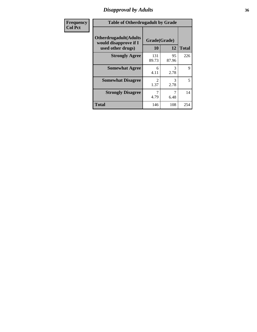### *Disapproval by Adults* **36**

| <b>Frequency</b> | <b>Table of Otherdrugadult by Grade</b>                                     |                        |             |              |
|------------------|-----------------------------------------------------------------------------|------------------------|-------------|--------------|
| <b>Col Pct</b>   | <b>Otherdrugadult</b> (Adults<br>would disapprove if I<br>used other drugs) | Grade(Grade)<br>10     | 12          | <b>Total</b> |
|                  | <b>Strongly Agree</b>                                                       | 131<br>89.73           | 95<br>87.96 | 226          |
|                  | <b>Somewhat Agree</b>                                                       | 6<br>4.11              | 3<br>2.78   | 9            |
|                  | <b>Somewhat Disagree</b>                                                    | $\mathfrak{D}$<br>1.37 | 3<br>2.78   | 5            |
|                  | <b>Strongly Disagree</b>                                                    | 4.79                   | 6.48        | 14           |
|                  | <b>Total</b>                                                                | 146                    | 108         | 254          |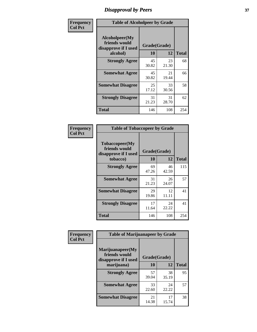# *Disapproval by Peers* **37**

| Frequency      | <b>Table of Alcoholpeer by Grade</b>                    |              |             |              |  |
|----------------|---------------------------------------------------------|--------------|-------------|--------------|--|
| <b>Col Pct</b> | Alcoholpeer(My<br>friends would<br>disapprove if I used | Grade(Grade) |             |              |  |
|                | alcohol)                                                | 10           | 12          | <b>Total</b> |  |
|                | <b>Strongly Agree</b>                                   | 45<br>30.82  | 23<br>21.30 | 68           |  |
|                | <b>Somewhat Agree</b>                                   | 45<br>30.82  | 21<br>19.44 | 66           |  |
|                | <b>Somewhat Disagree</b>                                | 25<br>17.12  | 33<br>30.56 | 58           |  |
|                | <b>Strongly Disagree</b>                                | 31<br>21.23  | 31<br>28.70 | 62           |  |
|                | Total                                                   | 146          | 108         | 254          |  |

| Frequency      | <b>Table of Tobaccopeer by Grade</b>                                |                    |             |              |
|----------------|---------------------------------------------------------------------|--------------------|-------------|--------------|
| <b>Col Pct</b> | Tobaccopeer(My<br>friends would<br>disapprove if I used<br>tobacco) | Grade(Grade)<br>10 | 12          | <b>Total</b> |
|                | <b>Strongly Agree</b>                                               | 69<br>47.26        | 46<br>42.59 | 115          |
|                | <b>Somewhat Agree</b>                                               | 31<br>21.23        | 26<br>24.07 | 57           |
|                | <b>Somewhat Disagree</b>                                            | 29<br>19.86        | 12<br>11.11 | 41           |
|                | <b>Strongly Disagree</b>                                            | 17<br>11.64        | 24<br>22.22 | 41           |
|                | Total                                                               | 146                | 108         | 254          |

| Frequency      | <b>Table of Marijuanapeer by Grade</b>                    |              |             |              |
|----------------|-----------------------------------------------------------|--------------|-------------|--------------|
| <b>Col Pct</b> | Marijuanapeer(My<br>friends would<br>disapprove if I used | Grade(Grade) |             |              |
|                | marijuana)                                                | 10           | 12          | <b>Total</b> |
|                | <b>Strongly Agree</b>                                     | 57<br>39.04  | 38<br>35.19 | 95           |
|                | <b>Somewhat Agree</b>                                     | 33<br>22.60  | 24<br>22.22 | 57           |
|                | <b>Somewhat Disagree</b>                                  | 21<br>14.38  | 17<br>15.74 | 38           |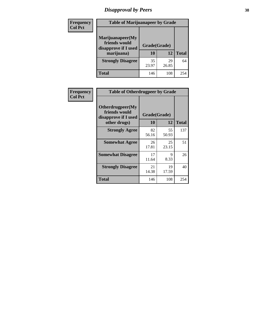# *Disapproval by Peers* **38**

| <b>Frequency</b> | <b>Table of Marijuanapeer by Grade</b>                                  |                           |             |              |  |
|------------------|-------------------------------------------------------------------------|---------------------------|-------------|--------------|--|
| <b>Col Pct</b>   | Marijuanapeer(My<br>friends would<br>disapprove if I used<br>marijuana) | Grade(Grade)<br><b>10</b> | 12          | <b>Total</b> |  |
|                  | <b>Strongly Disagree</b>                                                | 35<br>23.97               | 29<br>26.85 | 64           |  |
|                  | <b>Total</b>                                                            | 146                       | 108         | 254          |  |

| <b>Frequency</b> | <b>Table of Otherdrugpeer by Grade</b>                                    |                           |             |              |
|------------------|---------------------------------------------------------------------------|---------------------------|-------------|--------------|
| <b>Col Pct</b>   | Otherdrugpeer(My<br>friends would<br>disapprove if I used<br>other drugs) | Grade(Grade)<br><b>10</b> | 12          | <b>Total</b> |
|                  |                                                                           |                           |             |              |
|                  | <b>Strongly Agree</b>                                                     | 82<br>56.16               | 55<br>50.93 | 137          |
|                  | <b>Somewhat Agree</b>                                                     | 26<br>17.81               | 25<br>23.15 | 51           |
|                  | <b>Somewhat Disagree</b>                                                  | 17<br>11.64               | 9<br>8.33   | 26           |
|                  | <b>Strongly Disagree</b>                                                  | 21<br>14.38               | 19<br>17.59 | 40           |
|                  | <b>Total</b>                                                              | 146                       | 108         | 254          |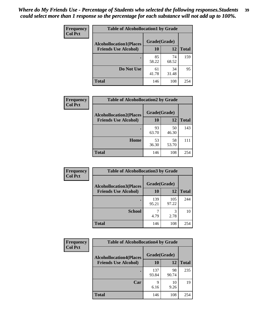| Frequency<br><b>Col Pct</b> | <b>Table of Alcohollocation1 by Grade</b>      |             |             |              |
|-----------------------------|------------------------------------------------|-------------|-------------|--------------|
|                             | Grade(Grade)<br><b>Alcohollocation1(Places</b> |             |             |              |
|                             | <b>Friends Use Alcohol)</b>                    | 10          | 12          | <b>Total</b> |
|                             |                                                | 85<br>58.22 | 74<br>68.52 | 159          |
|                             | Do Not Use                                     | 61<br>41.78 | 34<br>31.48 | 95           |
|                             | <b>Total</b>                                   | 146         | 108         | 254          |

| Frequency      | <b>Table of Alcohollocation2 by Grade</b>                     |                    |             |              |
|----------------|---------------------------------------------------------------|--------------------|-------------|--------------|
| <b>Col Pct</b> | <b>Alcohollocation2(Places</b><br><b>Friends Use Alcohol)</b> | Grade(Grade)<br>10 | 12          | <b>Total</b> |
|                |                                                               |                    |             |              |
|                |                                                               | 93<br>63.70        | 50<br>46.30 | 143          |
|                | Home                                                          | 53<br>36.30        | 58<br>53.70 | 111          |
|                | Total                                                         | 146                | 108         | 254          |

| <b>Frequency</b> | <b>Table of Alcohollocation 3 by Grade</b> |              |              |              |
|------------------|--------------------------------------------|--------------|--------------|--------------|
| <b>Col Pct</b>   | <b>Alcohollocation3(Places</b>             | Grade(Grade) |              |              |
|                  | <b>Friends Use Alcohol)</b>                | <b>10</b>    | 12           | <b>Total</b> |
|                  |                                            | 139<br>95.21 | 105<br>97.22 | 244          |
|                  | <b>School</b>                              | 4.79         | 3<br>2.78    | 10           |
|                  | <b>Total</b>                               | 146          | 108          | 254          |

| <b>Frequency</b> | <b>Table of Alcohollocation4 by Grade</b>      |              |             |              |  |
|------------------|------------------------------------------------|--------------|-------------|--------------|--|
| <b>Col Pct</b>   | Grade(Grade)<br><b>Alcohollocation4(Places</b> |              |             |              |  |
|                  | <b>Friends Use Alcohol)</b>                    | 10           | 12          | <b>Total</b> |  |
|                  |                                                | 137<br>93.84 | 98<br>90.74 | 235          |  |
|                  | Car                                            | 9<br>6.16    | 10<br>9.26  | 19           |  |
|                  | <b>Total</b>                                   | 146          | 108         | 254          |  |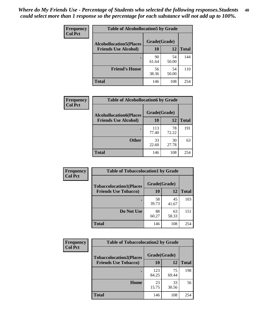| Frequency<br><b>Col Pct</b> | <b>Table of Alcohollocation5 by Grade</b>      |             |             |              |  |
|-----------------------------|------------------------------------------------|-------------|-------------|--------------|--|
|                             | Grade(Grade)<br><b>Alcohollocation5(Places</b> |             |             |              |  |
|                             | <b>Friends Use Alcohol)</b>                    | 10          | 12          | <b>Total</b> |  |
|                             |                                                | 90<br>61.64 | 54<br>50.00 | 144          |  |
|                             | <b>Friend's House</b>                          | 56<br>38.36 | 54<br>50.00 | 110          |  |
|                             | <b>Total</b>                                   | 146         | 108         | 254          |  |

| <b>Frequency</b> | <b>Table of Alcohollocation6 by Grade</b>                     |                    |             |              |
|------------------|---------------------------------------------------------------|--------------------|-------------|--------------|
| <b>Col Pct</b>   | <b>Alcohollocation6(Places</b><br><b>Friends Use Alcohol)</b> | Grade(Grade)<br>10 | 12          | <b>Total</b> |
|                  |                                                               |                    |             |              |
|                  |                                                               | 113<br>77.40       | 78<br>72.22 | 191          |
|                  | <b>Other</b>                                                  | 33<br>22.60        | 30<br>27.78 | 63           |
|                  | <b>Total</b>                                                  | 146                | 108         | 254          |

| Frequency      | <b>Table of Tobaccolocation1 by Grade</b> |              |             |              |
|----------------|-------------------------------------------|--------------|-------------|--------------|
| <b>Col Pct</b> | <b>Tobaccolocation1(Places</b>            | Grade(Grade) |             |              |
|                | <b>Friends Use Tobacco)</b>               | 10           | 12          | <b>Total</b> |
|                |                                           | 58<br>39.73  | 45<br>41.67 | 103          |
|                | Do Not Use                                | 88<br>60.27  | 63<br>58.33 | 151          |
|                | <b>Total</b>                              | 146          | 108         | 254          |

| Frequency      | <b>Table of Tobaccolocation2 by Grade</b> |              |             |              |  |
|----------------|-------------------------------------------|--------------|-------------|--------------|--|
| <b>Col Pct</b> | <b>Tobaccolocation2(Places</b>            | Grade(Grade) |             |              |  |
|                | <b>Friends Use Tobacco)</b>               | 10           | 12          | <b>Total</b> |  |
|                |                                           | 123<br>84.25 | 75<br>69.44 | 198          |  |
|                | Home                                      | 23<br>15.75  | 33<br>30.56 | 56           |  |
|                | <b>Total</b>                              | 146          | 108         | 254          |  |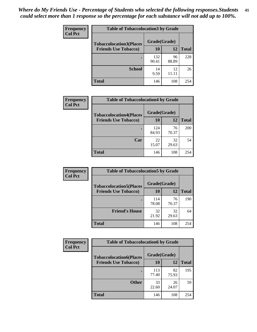| Frequency      | <b>Table of Tobaccolocation 3 by Grade</b> |              |             |              |  |
|----------------|--------------------------------------------|--------------|-------------|--------------|--|
| <b>Col Pct</b> | <b>Tobaccolocation3(Places</b>             | Grade(Grade) |             |              |  |
|                | <b>Friends Use Tobacco)</b>                | 10           | 12          | <b>Total</b> |  |
|                |                                            | 132<br>90.41 | 96<br>88.89 | 228          |  |
|                | <b>School</b>                              | 14<br>9.59   | 12<br>11 11 | 26           |  |
|                | <b>Total</b>                               | 146          | 108         | 254          |  |

| Frequency      | <b>Table of Tobaccolocation4 by Grade</b> |              |             |              |
|----------------|-------------------------------------------|--------------|-------------|--------------|
| <b>Col Pct</b> | <b>Tobaccolocation4(Places</b>            | Grade(Grade) |             |              |
|                | <b>Friends Use Tobacco)</b>               | 10           | 12          | <b>Total</b> |
|                |                                           | 124<br>84.93 | 76<br>70.37 | 200          |
|                | Car                                       | 22<br>15.07  | 32<br>29.63 | 54           |
|                | <b>Total</b>                              | 146          | 108         | 254          |

 $\overline{\phantom{a}}$ 

| Frequency      | <b>Table of Tobaccolocation5 by Grade</b> |              |             |              |
|----------------|-------------------------------------------|--------------|-------------|--------------|
| <b>Col Pct</b> | <b>Tobaccolocation5(Places</b>            | Grade(Grade) |             |              |
|                | <b>Friends Use Tobacco)</b>               | 10           | 12          | <b>Total</b> |
|                |                                           | 114<br>78.08 | 76<br>70.37 | 190          |
|                | <b>Friend's House</b>                     | 32<br>21.92  | 32<br>29.63 | 64           |
|                | <b>Total</b>                              | 146          | 108         | 254          |

| <b>Frequency</b> | <b>Table of Tobaccolocation6 by Grade</b> |              |             |              |  |
|------------------|-------------------------------------------|--------------|-------------|--------------|--|
| <b>Col Pct</b>   | <b>Tobaccolocation6(Places</b>            | Grade(Grade) |             |              |  |
|                  | <b>Friends Use Tobacco)</b>               | 10           | 12          | <b>Total</b> |  |
|                  |                                           | 113<br>77.40 | 82<br>75.93 | 195          |  |
|                  | <b>Other</b>                              | 33<br>22.60  | 26<br>24.07 | 59           |  |
|                  | <b>Total</b>                              | 146          | 108         | 254          |  |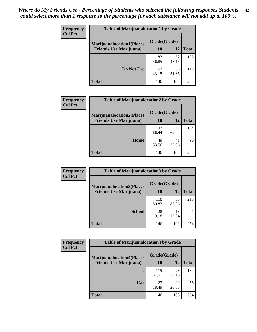| <b>Frequency</b> | <b>Table of Marijuanalocation1 by Grade</b> |              |             |              |
|------------------|---------------------------------------------|--------------|-------------|--------------|
| <b>Col Pct</b>   | <b>Marijuanalocation1(Places</b>            | Grade(Grade) |             |              |
|                  | <b>Friends Use Marijuana</b> )              | 10           | 12          | <b>Total</b> |
|                  |                                             | 83<br>56.85  | 52<br>48.15 | 135          |
|                  | Do Not Use                                  | 63<br>43.15  | 56<br>51.85 | 119          |
|                  | <b>Total</b>                                | 146          | 108         | 254          |

| <b>Frequency</b> | <b>Table of Marijuanalocation2 by Grade</b>                        |                    |             |              |
|------------------|--------------------------------------------------------------------|--------------------|-------------|--------------|
| <b>Col Pct</b>   | <b>Marijuanalocation2(Places</b><br><b>Friends Use Marijuana</b> ) | Grade(Grade)<br>10 | 12          | <b>Total</b> |
|                  |                                                                    | 97<br>66.44        | 67<br>62.04 | 164          |
|                  | <b>Home</b>                                                        | 49<br>33.56        | 41<br>37.96 | 90           |
|                  | <b>Total</b>                                                       | 146                | 108         | 254          |

| Frequency<br><b>Col Pct</b> | <b>Table of Marijuanalocation3 by Grade</b> |              |             |              |
|-----------------------------|---------------------------------------------|--------------|-------------|--------------|
|                             | <b>Marijuanalocation3</b> (Places           | Grade(Grade) |             |              |
|                             | <b>Friends Use Marijuana</b> )              | 10           | 12          | <b>Total</b> |
|                             |                                             | 118<br>80.82 | 95<br>87.96 | 213          |
|                             | <b>School</b>                               | 28<br>19.18  | 13<br>12.04 | 41           |
|                             | <b>Total</b>                                | 146          | 108         | 254          |

| <b>Frequency</b> | <b>Table of Marijuanalocation4 by Grade</b> |              |             |              |  |
|------------------|---------------------------------------------|--------------|-------------|--------------|--|
| <b>Col Pct</b>   | <b>Marijuanalocation4(Places</b>            | Grade(Grade) |             |              |  |
|                  | <b>Friends Use Marijuana</b> )              | <b>10</b>    | 12          | <b>Total</b> |  |
|                  |                                             | 119<br>81.51 | 79<br>73.15 | 198          |  |
|                  | Car                                         | 27<br>18.49  | 29<br>26.85 | 56           |  |
|                  | <b>Total</b>                                | 146          | 108         | 254          |  |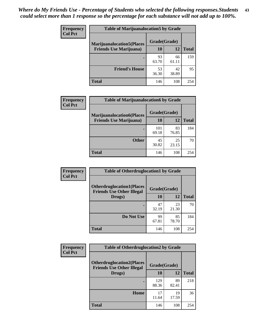| <b>Frequency</b> | <b>Table of Marijuanalocation5 by Grade</b> |              |             |              |
|------------------|---------------------------------------------|--------------|-------------|--------------|
| <b>Col Pct</b>   | <b>Marijuanalocation5(Places</b>            | Grade(Grade) |             |              |
|                  | <b>Friends Use Marijuana</b> )              | 10           | 12          | <b>Total</b> |
|                  |                                             | 93<br>63.70  | 66<br>61.11 | 159          |
|                  | <b>Friend's House</b>                       | 53<br>36.30  | 42<br>38.89 | 95           |
|                  | Total                                       | 146          | 108         | 254          |

| <b>Frequency</b> | <b>Table of Marijuanalocation6 by Grade</b>                        |                           |             |       |
|------------------|--------------------------------------------------------------------|---------------------------|-------------|-------|
| <b>Col Pct</b>   | <b>Marijuanalocation6(Places</b><br><b>Friends Use Marijuana</b> ) | Grade(Grade)<br><b>10</b> | 12          | Total |
|                  |                                                                    | 101<br>69.18              | 83<br>76.85 | 184   |
|                  | <b>Other</b>                                                       | 45<br>30.82               | 25<br>23.15 | 70    |
|                  | <b>Total</b>                                                       | 146                       | 108         | 254   |

| Frequency      | <b>Table of Otherdruglocation1 by Grade</b>                          |              |             |              |
|----------------|----------------------------------------------------------------------|--------------|-------------|--------------|
| <b>Col Pct</b> | <b>Otherdruglocation1(Places</b><br><b>Friends Use Other Illegal</b> | Grade(Grade) |             |              |
|                | Drugs)                                                               | 10           | 12          | <b>Total</b> |
|                |                                                                      | 47<br>32.19  | 23<br>21.30 | 70           |
|                | Do Not Use                                                           | 99<br>67.81  | 85<br>78.70 | 184          |
|                | <b>Total</b>                                                         | 146          | 108         | 254          |

| Frequency      | <b>Table of Otherdruglocation2 by Grade</b>                          |              |             |              |
|----------------|----------------------------------------------------------------------|--------------|-------------|--------------|
| <b>Col Pct</b> | <b>Otherdruglocation2(Places</b><br><b>Friends Use Other Illegal</b> | Grade(Grade) |             |              |
|                | Drugs)                                                               | 10           | 12          | <b>Total</b> |
|                |                                                                      | 129<br>88.36 | 89<br>82.41 | 218          |
|                | Home                                                                 | 17<br>11.64  | 19<br>17.59 | 36           |
|                | <b>Total</b>                                                         | 146          | 108         | 254          |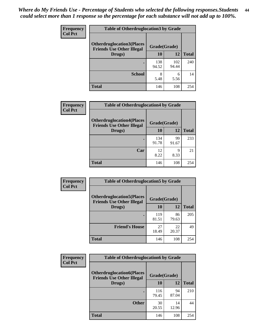| <b>Frequency</b> | <b>Table of Otherdruglocation 3 by Grade</b> |                                                  |              |              |
|------------------|----------------------------------------------|--------------------------------------------------|--------------|--------------|
| <b>Col Pct</b>   | <b>Otherdruglocation3(Places</b>             | Grade(Grade)<br><b>Friends Use Other Illegal</b> |              |              |
|                  | Drugs)                                       | 10                                               | 12           | <b>Total</b> |
|                  |                                              | 138<br>94.52                                     | 102<br>94.44 | 240          |
|                  | <b>School</b>                                | 8<br>5.48                                        | 6<br>5.56    | 14           |
|                  | <b>Total</b>                                 | 146                                              | 108          | 254          |

| Frequency      | <b>Table of Otherdruglocation4 by Grade</b>                          |              |              |              |
|----------------|----------------------------------------------------------------------|--------------|--------------|--------------|
| <b>Col Pct</b> | <b>Otherdruglocation4(Places</b><br><b>Friends Use Other Illegal</b> |              | Grade(Grade) |              |
|                | Drugs)                                                               | 10           | 12           | <b>Total</b> |
|                |                                                                      | 134<br>91.78 | 99<br>91.67  | 233          |
|                | Car                                                                  | 12<br>8.22   | q<br>8.33    | 21           |
|                | <b>Total</b>                                                         | 146          | 108          | 254          |

| Frequency      | <b>Table of Otherdruglocation5 by Grade</b>                          |              |             |              |
|----------------|----------------------------------------------------------------------|--------------|-------------|--------------|
| <b>Col Pct</b> | <b>Otherdruglocation5(Places</b><br><b>Friends Use Other Illegal</b> | Grade(Grade) |             |              |
|                | Drugs)                                                               | 10           | 12          | <b>Total</b> |
|                |                                                                      | 119<br>81.51 | 86<br>79.63 | 205          |
|                | <b>Friend's House</b>                                                | 27<br>18.49  | 22<br>20.37 | 49           |
|                | <b>Total</b>                                                         | 146          | 108         | 254          |

| <b>Frequency</b> | <b>Table of Otherdruglocation6 by Grade</b>                          |              |             |              |
|------------------|----------------------------------------------------------------------|--------------|-------------|--------------|
| <b>Col Pct</b>   | <b>Otherdruglocation6(Places</b><br><b>Friends Use Other Illegal</b> | Grade(Grade) |             |              |
|                  | Drugs)                                                               | 10           | 12          | <b>Total</b> |
|                  |                                                                      | 116<br>79.45 | 94<br>87.04 | 210          |
|                  | <b>Other</b>                                                         | 30<br>20.55  | 14<br>12.96 | 44           |
|                  | <b>Total</b>                                                         | 146          | 108         | 254          |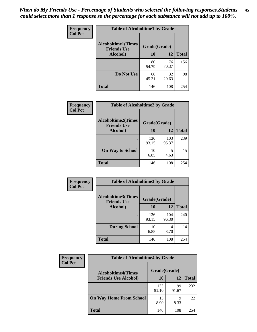| Frequency      | <b>Table of Alcoholtime1 by Grade</b>           |              |             |              |
|----------------|-------------------------------------------------|--------------|-------------|--------------|
| <b>Col Pct</b> | <b>Alcoholtime1(Times</b><br><b>Friends Use</b> | Grade(Grade) |             |              |
|                | Alcohol)                                        | <b>10</b>    | 12          | <b>Total</b> |
|                |                                                 | 80<br>54.79  | 76<br>70.37 | 156          |
|                | Do Not Use                                      | 66<br>45.21  | 32<br>29.63 | 98           |
|                | <b>Total</b>                                    | 146          | 108         | 254          |

| Frequency      | <b>Table of Alcoholtime2 by Grade</b>           |              |              |              |
|----------------|-------------------------------------------------|--------------|--------------|--------------|
| <b>Col Pct</b> | <b>Alcoholtime2(Times</b><br><b>Friends Use</b> | Grade(Grade) |              |              |
|                | Alcohol)                                        | 10           | 12           | <b>Total</b> |
|                |                                                 | 136<br>93.15 | 103<br>95.37 | 239          |
|                | <b>On Way to School</b>                         | 10<br>6.85   | 5<br>4.63    | 15           |
|                | <b>Total</b>                                    | 146          | 108          | 254          |

| Frequency      | <b>Table of Alcoholtime3 by Grade</b>           |              |              |              |
|----------------|-------------------------------------------------|--------------|--------------|--------------|
| <b>Col Pct</b> | <b>Alcoholtime3(Times</b><br><b>Friends Use</b> | Grade(Grade) |              |              |
|                | Alcohol)                                        | 10           | 12           | <b>Total</b> |
|                |                                                 | 136<br>93.15 | 104<br>96.30 | 240          |
|                | <b>During School</b>                            | 10<br>6.85   | 4<br>3.70    | 14           |
|                | Total                                           | 146          | 108          | 254          |

| <b>Frequency</b><br><b>Col Pct</b> | <b>Table of Alcoholtime4 by Grade</b> |              |             |              |
|------------------------------------|---------------------------------------|--------------|-------------|--------------|
|                                    | <b>Alcoholtime4(Times</b>             | Grade(Grade) |             |              |
|                                    | <b>Friends Use Alcohol)</b>           | 10           | 12          | <b>Total</b> |
|                                    |                                       | 133<br>91.10 | 99<br>91.67 | 232          |
|                                    | <b>On Way Home From School</b>        | 13<br>8.90   | 9<br>8.33   | 22           |
|                                    | <b>Total</b>                          | 146          | 108         | 254          |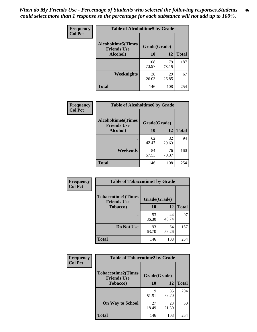*When do My Friends Use - Percentage of Students who selected the following responses.Students could select more than 1 response so the percentage for each substance will not add up to 100%.* **46**

| Frequency      | <b>Table of Alcoholtime5 by Grade</b>           |              |             |              |
|----------------|-------------------------------------------------|--------------|-------------|--------------|
| <b>Col Pct</b> | <b>Alcoholtime5(Times</b><br><b>Friends Use</b> | Grade(Grade) |             |              |
|                | Alcohol)                                        | 10           | 12          | <b>Total</b> |
|                |                                                 | 108<br>73.97 | 79<br>73.15 | 187          |
|                | Weeknights                                      | 38<br>26.03  | 29<br>26.85 | 67           |
|                | <b>Total</b>                                    | 146          | 108         | 254          |

| <b>Frequency</b> |                                                 | <b>Table of Alcoholtime6 by Grade</b> |             |              |  |  |
|------------------|-------------------------------------------------|---------------------------------------|-------------|--------------|--|--|
| <b>Col Pct</b>   | <b>Alcoholtime6(Times</b><br><b>Friends Use</b> | Grade(Grade)                          |             |              |  |  |
|                  | Alcohol)                                        | 10                                    | 12          | <b>Total</b> |  |  |
|                  |                                                 | 62<br>42.47                           | 32<br>29.63 | 94           |  |  |
|                  | Weekends                                        | 84<br>57.53                           | 76<br>70.37 | 160          |  |  |
|                  | <b>Total</b>                                    | 146                                   | 108         | 254          |  |  |

| Frequency      | <b>Table of Tobaccotime1 by Grade</b>           |              |             |              |
|----------------|-------------------------------------------------|--------------|-------------|--------------|
| <b>Col Pct</b> | <b>Tobaccotime1(Times</b><br><b>Friends Use</b> | Grade(Grade) |             |              |
|                | <b>Tobacco</b> )                                | 10           | 12          | <b>Total</b> |
|                | ٠                                               | 53<br>36.30  | 44<br>40.74 | 97           |
|                | Do Not Use                                      | 93<br>63.70  | 64<br>59.26 | 157          |
|                | <b>Total</b>                                    | 146          | 108         | 254          |

| <b>Frequency</b> | <b>Table of Tobaccotime2 by Grade</b>           |              |             |              |
|------------------|-------------------------------------------------|--------------|-------------|--------------|
| <b>Col Pct</b>   | <b>Tobaccotime2(Times</b><br><b>Friends Use</b> | Grade(Grade) |             |              |
|                  | <b>Tobacco</b> )                                | 10           | 12          | <b>Total</b> |
|                  |                                                 | 119<br>81.51 | 85<br>78.70 | 204          |
|                  | <b>On Way to School</b>                         | 27<br>18.49  | 23<br>21.30 | 50           |
|                  | <b>Total</b>                                    | 146          | 108         | 254          |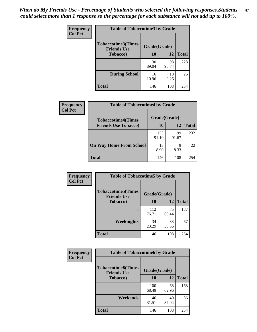*When do My Friends Use - Percentage of Students who selected the following responses.Students could select more than 1 response so the percentage for each substance will not add up to 100%.* **47**

| <b>Frequency</b> | <b>Table of Tobaccotime3 by Grade</b>           |              |             |              |  |
|------------------|-------------------------------------------------|--------------|-------------|--------------|--|
| <b>Col Pct</b>   | <b>Tobaccotime3(Times</b><br><b>Friends Use</b> | Grade(Grade) |             |              |  |
|                  | <b>Tobacco</b> )                                | 10           | 12          | <b>Total</b> |  |
|                  |                                                 | 130<br>89.04 | 98<br>90.74 | 228          |  |
|                  | <b>During School</b>                            | 16<br>10.96  | 10<br>9.26  | 26           |  |
|                  | <b>Total</b>                                    | 146          | 108         | 254          |  |

| <b>Frequency</b> | <b>Table of Tobaccotime4 by Grade</b> |              |             |              |
|------------------|---------------------------------------|--------------|-------------|--------------|
| <b>Col Pct</b>   | <b>Tobaccotime4(Times</b>             | Grade(Grade) |             |              |
|                  | <b>Friends Use Tobacco)</b>           | 10           | 12          | <b>Total</b> |
|                  |                                       | 133<br>91.10 | 99<br>91.67 | 232          |
|                  | <b>On Way Home From School</b>        | 13<br>8.90   | 9<br>8.33   | 22           |
|                  | <b>Total</b>                          | 146          | 108         | 254          |

| <b>Frequency</b> | <b>Table of Tobaccotime5 by Grade</b>            |              |             |              |
|------------------|--------------------------------------------------|--------------|-------------|--------------|
| <b>Col Pct</b>   | <b>Tobaccotime5</b> (Times<br><b>Friends Use</b> | Grade(Grade) |             |              |
|                  | <b>Tobacco</b> )                                 | 10           | 12          | <b>Total</b> |
|                  |                                                  | 112<br>76.71 | 75<br>69.44 | 187          |
|                  | Weeknights                                       | 34<br>23.29  | 33<br>30.56 | 67           |
|                  | <b>Total</b>                                     | 146          | 108         | 254          |

| Frequency      | <b>Table of Tobaccotime6 by Grade</b>           |              |             |              |
|----------------|-------------------------------------------------|--------------|-------------|--------------|
| <b>Col Pct</b> | <b>Tobaccotime6(Times</b><br><b>Friends Use</b> | Grade(Grade) |             |              |
|                | <b>Tobacco</b> )                                | 10           | 12          | <b>Total</b> |
|                |                                                 | 100<br>68.49 | 68<br>62.96 | 168          |
|                | Weekends                                        | 46<br>31.51  | 40<br>37.04 | 86           |
|                | <b>Total</b>                                    | 146          | 108         | 254          |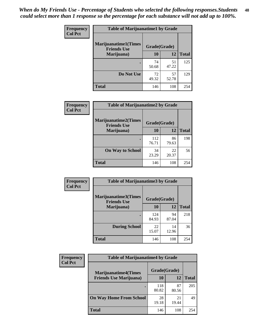| Frequency      | <b>Table of Marijuanatime1 by Grade</b>           |              |             |              |
|----------------|---------------------------------------------------|--------------|-------------|--------------|
| <b>Col Pct</b> | <b>Marijuanatime1(Times</b><br><b>Friends Use</b> | Grade(Grade) |             |              |
|                | Marijuana)                                        | 10           | 12          | <b>Total</b> |
|                |                                                   | 74<br>50.68  | 51<br>47.22 | 125          |
|                | Do Not Use                                        | 72<br>49.32  | 57<br>52.78 | 129          |
|                | <b>Total</b>                                      | 146          | 108         | 254          |

| Frequency      | <b>Table of Marijuanatime2 by Grade</b>           |              |             |              |
|----------------|---------------------------------------------------|--------------|-------------|--------------|
| <b>Col Pct</b> | <b>Marijuanatime2(Times</b><br><b>Friends Use</b> | Grade(Grade) |             |              |
|                | Marijuana)                                        | 10           | 12          | <b>Total</b> |
|                |                                                   | 112<br>76.71 | 86<br>79.63 | 198          |
|                | <b>On Way to School</b>                           | 34<br>23.29  | 22<br>20.37 | 56           |
|                | <b>Total</b>                                      | 146          | 108         | 254          |

| Frequency<br><b>Col Pct</b> | <b>Table of Marijuanatime3 by Grade</b>    |              |             |              |
|-----------------------------|--------------------------------------------|--------------|-------------|--------------|
|                             | Marijuanatime3(Times<br><b>Friends Use</b> | Grade(Grade) |             |              |
|                             | Marijuana)                                 | 10           | 12          | <b>Total</b> |
|                             |                                            | 124<br>84.93 | 94<br>87.04 | 218          |
|                             | <b>During School</b>                       | 22<br>15.07  | 14<br>12.96 | 36           |
|                             | <b>Total</b>                               | 146          | 108         | 254          |

| <b>Frequency</b> | <b>Table of Marijuanatime4 by Grade</b> |              |             |              |
|------------------|-----------------------------------------|--------------|-------------|--------------|
| <b>Col Pct</b>   | <b>Marijuanatime4</b> (Times            | Grade(Grade) |             |              |
|                  | <b>Friends Use Marijuana</b> )          | 10           | 12          | <b>Total</b> |
|                  |                                         | 118<br>80.82 | 87<br>80.56 | 205          |
|                  | <b>On Way Home From School</b>          | 28<br>19.18  | 21<br>19.44 | 49           |
|                  | <b>Total</b>                            | 146          | 108         | 254          |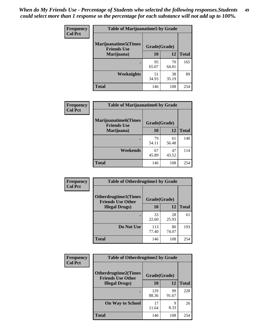| Frequency      | <b>Table of Marijuanatime5 by Grade</b>            |              |             |              |
|----------------|----------------------------------------------------|--------------|-------------|--------------|
| <b>Col Pct</b> | <b>Marijuanatime5</b> (Times<br><b>Friends Use</b> | Grade(Grade) |             |              |
|                | Marijuana)                                         | 10           | 12          | <b>Total</b> |
|                |                                                    | 95<br>65.07  | 70<br>64.81 | 165          |
|                | Weeknights                                         | 51<br>34.93  | 38<br>35.19 | 89           |
|                | <b>Total</b>                                       | 146          | 108         | 254          |

| <b>Frequency</b><br><b>Col Pct</b> | <b>Table of Marijuanatime6 by Grade</b>            |              |             |              |
|------------------------------------|----------------------------------------------------|--------------|-------------|--------------|
|                                    | <b>Marijuanatime6</b> (Times<br><b>Friends Use</b> | Grade(Grade) |             |              |
|                                    | Marijuana)                                         | 10           | 12          | <b>Total</b> |
|                                    |                                                    | 79<br>54.11  | 61<br>56.48 | 140          |
|                                    | Weekends                                           | 67<br>45.89  | 47<br>43.52 | 114          |
|                                    | <b>Total</b>                                       | 146          | 108         | 254          |

| <b>Frequency</b> | <b>Table of Otherdrugtime1 by Grade</b>                 |              |             |              |  |
|------------------|---------------------------------------------------------|--------------|-------------|--------------|--|
| <b>Col Pct</b>   | <b>Otherdrugtime1(Times</b><br><b>Friends Use Other</b> | Grade(Grade) |             |              |  |
|                  | <b>Illegal Drugs</b> )                                  | 10           | 12          | <b>Total</b> |  |
|                  |                                                         | 33<br>22.60  | 28<br>25.93 | 61           |  |
|                  | Do Not Use                                              | 113<br>77.40 | 80<br>74.07 | 193          |  |
|                  | <b>Total</b>                                            | 146          | 108         | 254          |  |

| Frequency      | <b>Table of Otherdrugtime2 by Grade</b>                 |              |             |              |  |
|----------------|---------------------------------------------------------|--------------|-------------|--------------|--|
| <b>Col Pct</b> | <b>Otherdrugtime2(Times</b><br><b>Friends Use Other</b> | Grade(Grade) |             |              |  |
|                | <b>Illegal Drugs</b> )                                  | 10           | 12          | <b>Total</b> |  |
|                |                                                         | 129<br>88.36 | 99<br>91.67 | 228          |  |
|                | <b>On Way to School</b>                                 | 17<br>11.64  | 9<br>8.33   | 26           |  |
|                | Total                                                   | 146          | 108         | 254          |  |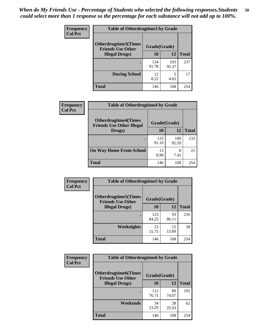| <b>Frequency</b> | <b>Table of Otherdrugtime3 by Grade</b>                 |              |              |              |  |
|------------------|---------------------------------------------------------|--------------|--------------|--------------|--|
| <b>Col Pct</b>   | <b>Otherdrugtime3(Times</b><br><b>Friends Use Other</b> | Grade(Grade) |              |              |  |
|                  | <b>Illegal Drugs</b> )                                  | 10           | 12           | <b>Total</b> |  |
|                  |                                                         | 134<br>91.78 | 103<br>95.37 | 237          |  |
|                  | <b>During School</b>                                    | 12<br>8.22   | 5<br>4.63    | 17           |  |
|                  | <b>Total</b>                                            | 146          | 108          | 254          |  |

| <b>Frequency</b> | <b>Table of Otherdrugtime4 by Grade</b>                         |              |              |              |  |  |
|------------------|-----------------------------------------------------------------|--------------|--------------|--------------|--|--|
| <b>Col Pct</b>   | <b>Otherdrugtime4(Times</b><br><b>Friends Use Other Illegal</b> | Grade(Grade) |              |              |  |  |
|                  | Drugs)                                                          | 10           | 12           | <b>Total</b> |  |  |
|                  |                                                                 | 133<br>91.10 | 100<br>92.59 | 233          |  |  |
|                  | <b>On Way Home From School</b>                                  | 13<br>8.90   | 8<br>7.41    | 21           |  |  |
|                  | <b>Total</b>                                                    | 146          | 108          | 254          |  |  |

| <b>Frequency</b><br><b>Col Pct</b> | <b>Table of Otherdrugtime5 by Grade</b>                  |              |             |              |
|------------------------------------|----------------------------------------------------------|--------------|-------------|--------------|
|                                    | <b>Otherdrugtime5</b> (Times<br><b>Friends Use Other</b> | Grade(Grade) |             |              |
|                                    | <b>Illegal Drugs</b> )                                   | 10           | 12          | <b>Total</b> |
|                                    |                                                          | 123<br>84.25 | 93<br>86.11 | 216          |
|                                    | <b>Weeknights</b>                                        | 23<br>15.75  | 15<br>13.89 | 38           |
|                                    | Total                                                    | 146          | 108         | 254          |

| <b>Frequency</b><br><b>Col Pct</b> | <b>Table of Otherdrugtime6 by Grade</b>                 |              |             |              |  |
|------------------------------------|---------------------------------------------------------|--------------|-------------|--------------|--|
|                                    | <b>Otherdrugtime6(Times</b><br><b>Friends Use Other</b> | Grade(Grade) |             |              |  |
|                                    | <b>Illegal Drugs</b> )                                  | 10           | 12          | <b>Total</b> |  |
|                                    |                                                         | 112<br>76.71 | 80<br>74.07 | 192          |  |
|                                    | Weekends                                                | 34<br>23.29  | 28<br>25.93 | 62           |  |
|                                    | Total                                                   | 146          | 108         | 254          |  |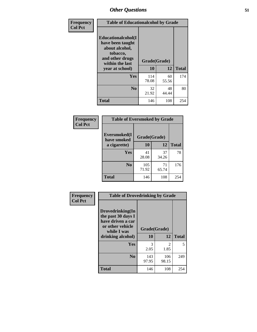| Frequency      | <b>Table of Educationalcohol by Grade</b>                                                                  |              |             |              |  |  |
|----------------|------------------------------------------------------------------------------------------------------------|--------------|-------------|--------------|--|--|
| <b>Col Pct</b> | Educationalcohol(I<br>have been taught<br>about alcohol,<br>tobacco,<br>and other drugs<br>within the last | Grade(Grade) |             |              |  |  |
|                | year at school)                                                                                            | 10           | 12          | <b>Total</b> |  |  |
|                | Yes                                                                                                        | 114<br>78.08 | 60<br>55.56 | 174          |  |  |
|                | N <sub>0</sub>                                                                                             | 32<br>21.92  | 48<br>44.44 | 80           |  |  |
|                | <b>Total</b>                                                                                               | 146          | 108         | 254          |  |  |

| Frequency      | <b>Table of Eversmoked by Grade</b>         |              |             |              |  |  |
|----------------|---------------------------------------------|--------------|-------------|--------------|--|--|
| <b>Col Pct</b> | Eversmoked(I<br>Grade(Grade)<br>have smoked |              |             |              |  |  |
|                | a cigarette)                                | 10<br>12     |             | <b>Total</b> |  |  |
|                | <b>Yes</b>                                  | 41<br>28.08  | 37<br>34.26 | 78           |  |  |
|                | N <sub>0</sub>                              | 105<br>71.92 | 71<br>65.74 | 176          |  |  |
|                | <b>Total</b>                                | 146          | 108         | 254          |  |  |

| Frequency<br><b>Col Pct</b> | <b>Table of Drovedrinking by Grade</b>                                                                              |                    |                        |              |  |  |
|-----------------------------|---------------------------------------------------------------------------------------------------------------------|--------------------|------------------------|--------------|--|--|
|                             | Drovedrinking(In<br>the past 30 days I<br>have driven a car<br>or other vehicle<br>while I was<br>drinking alcohol) | Grade(Grade)<br>10 | 12                     | <b>Total</b> |  |  |
|                             | <b>Yes</b>                                                                                                          | 3<br>2.05          | $\mathfrak{D}$<br>1.85 | 5            |  |  |
|                             | N <sub>0</sub>                                                                                                      | 143<br>97.95       | 106<br>98.15           | 249          |  |  |
|                             | <b>Total</b>                                                                                                        | 146                | 108                    | 254          |  |  |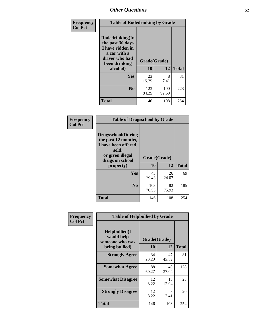| Frequency<br><b>Col Pct</b> | <b>Table of Rodedrinking by Grade</b>                                                                      |              |              |              |  |  |  |
|-----------------------------|------------------------------------------------------------------------------------------------------------|--------------|--------------|--------------|--|--|--|
|                             | Rodedrinking(In<br>the past 30 days<br>I have ridden in<br>a car with a<br>driver who had<br>been drinking |              | Grade(Grade) |              |  |  |  |
|                             | alcohol)                                                                                                   | 10           | 12           | <b>Total</b> |  |  |  |
|                             | <b>Yes</b>                                                                                                 | 23<br>15.75  | 8<br>7.41    | 31           |  |  |  |
|                             | N <sub>0</sub>                                                                                             | 123<br>84.25 | 100<br>92.59 | 223          |  |  |  |
|                             | <b>Total</b>                                                                                               | 146          | 108          | 254          |  |  |  |

#### **Frequency Col Pct**

| <b>Table of Drugsschool by Grade</b>                                                                                      |              |             |              |  |  |
|---------------------------------------------------------------------------------------------------------------------------|--------------|-------------|--------------|--|--|
| <b>Drugsschool</b> (During<br>the past 12 months,<br>I have been offered,<br>sold,<br>or given illegal<br>drugs on school | Grade(Grade) |             |              |  |  |
| property)                                                                                                                 | 10           | 12          | <b>Total</b> |  |  |
| Yes                                                                                                                       | 43<br>29.45  | 26<br>24.07 | 69           |  |  |
| N <sub>0</sub>                                                                                                            | 103<br>70.55 | 82<br>75.93 | 185          |  |  |
| <b>Total</b>                                                                                                              | 146          | 108         | 254          |  |  |

| <b>Table of Helpbullied by Grade</b> |  |  |  |  |  |  |
|--------------------------------------|--|--|--|--|--|--|
|                                      |  |  |  |  |  |  |
| <b>Total</b>                         |  |  |  |  |  |  |
| 81                                   |  |  |  |  |  |  |
| 128                                  |  |  |  |  |  |  |
| 25                                   |  |  |  |  |  |  |
| 20                                   |  |  |  |  |  |  |
| 254                                  |  |  |  |  |  |  |
|                                      |  |  |  |  |  |  |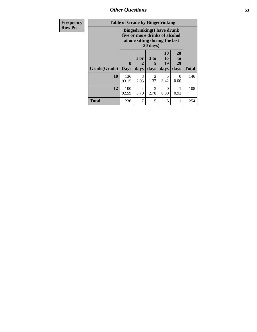*Other Questions* **53**

| Frequency      | <b>Table of Grade by Bingedrinking</b> |                                                                                                                    |                   |                                     |                        |                        |              |
|----------------|----------------------------------------|--------------------------------------------------------------------------------------------------------------------|-------------------|-------------------------------------|------------------------|------------------------|--------------|
| <b>Row Pct</b> |                                        | <b>Bingedrinking</b> (I have drunk<br>five or more drinks of alcohol<br>at one sitting during the last<br>30 days) |                   |                                     |                        |                        |              |
|                | Grade(Grade)                           | $\mathbf{0}$<br><b>Days</b>                                                                                        | 1 or<br>2<br>days | 3 <sub>to</sub><br>5<br>days        | 10<br>to<br>19<br>days | 20<br>to<br>29<br>days | <b>Total</b> |
|                | 10                                     | 136<br>93.15                                                                                                       | 3<br>2.05         | $\mathcal{D}_{\mathcal{L}}$<br>1.37 | 5<br>3.42              | 0<br>0.00              | 146          |
|                | 12                                     | 100<br>92.59                                                                                                       | 4<br>3.70         | 3<br>2.78                           | 0<br>0.00              | 0.93                   | 108          |
|                | <b>Total</b>                           | 236                                                                                                                | 7                 | 5                                   | 5                      |                        | 254          |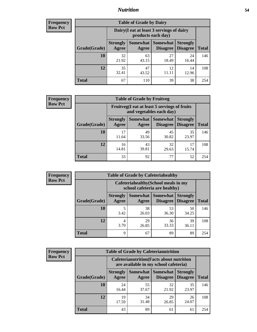### *Nutrition* **54**

| <b>Frequency</b> |
|------------------|
| <b>Row Pct</b>   |

| <b>Table of Grade by Dairy</b> |             |                                                                                                                                                                                                                     |             |             |     |  |  |  |
|--------------------------------|-------------|---------------------------------------------------------------------------------------------------------------------------------------------------------------------------------------------------------------------|-------------|-------------|-----|--|--|--|
|                                |             | Dairy (I eat at least 3 servings of dairy<br>products each day)<br><b>Somewhat</b><br><b>Somewhat</b><br><b>Strongly</b><br><b>Strongly</b><br><b>Disagree</b><br><b>Disagree</b><br><b>Total</b><br>Agree<br>Agree |             |             |     |  |  |  |
| Grade(Grade)                   |             |                                                                                                                                                                                                                     |             |             |     |  |  |  |
| 10                             | 32<br>21.92 | 63<br>43.15                                                                                                                                                                                                         | 27<br>18.49 | 24<br>16.44 | 146 |  |  |  |
| 12                             | 35<br>32.41 | 47<br>43.52                                                                                                                                                                                                         | 12<br>11.11 | 14<br>12.96 | 108 |  |  |  |
| <b>Total</b>                   | 67          | 110                                                                                                                                                                                                                 | 39          | 38          | 254 |  |  |  |

| <b>Frequency</b> |  |
|------------------|--|
| <b>Row Pct</b>   |  |

| <b>Table of Grade by Fruitveg</b> |                          |                                                                          |                                                       |              |     |  |  |
|-----------------------------------|--------------------------|--------------------------------------------------------------------------|-------------------------------------------------------|--------------|-----|--|--|
|                                   |                          | Fruitveg(I eat at least 5 servings of fruits<br>and vegetables each day) |                                                       |              |     |  |  |
| Grade(Grade)                      | <b>Strongly</b><br>Agree | <b>Somewhat</b> Somewhat<br>Agree                                        | <b>Strongly</b><br><b>Disagree</b><br><b>Disagree</b> | <b>Total</b> |     |  |  |
| 10                                | 17<br>11.64              | 49<br>33.56                                                              | 45<br>30.82                                           | 35<br>23.97  | 146 |  |  |
| 12                                | 16<br>14.81              | 43<br>39.81                                                              | 32<br>29.63                                           | 15.74        | 108 |  |  |
| <b>Total</b>                      | 33                       | 92                                                                       | 77                                                    | 52           | 254 |  |  |

| <b>Frequency</b> | <b>Table of Grade by Cafeteriahealthy</b> |                          |             |                                                                       |                                    |              |  |
|------------------|-------------------------------------------|--------------------------|-------------|-----------------------------------------------------------------------|------------------------------------|--------------|--|
| <b>Row Pct</b>   |                                           |                          |             | Cafeteriahealthy (School meals in my<br>school cafeteria are healthy) |                                    |              |  |
|                  | Grade(Grade)                              | <b>Strongly</b><br>Agree | Agree       | Somewhat   Somewhat  <br><b>Disagree</b>                              | <b>Strongly</b><br><b>Disagree</b> | <b>Total</b> |  |
|                  | 10                                        | 3.42                     | 38<br>26.03 | 53<br>36.30                                                           | 50<br>34.25                        | 146          |  |
|                  | 12                                        | 4<br>3.70                | 29<br>26.85 | 36<br>33.33                                                           | 39<br>36.11                        | 108          |  |
|                  | Total                                     | 9                        | 67          | 89                                                                    | 89                                 | 254          |  |

| <b>Frequency</b> |
|------------------|
| <b>Row Pct</b>   |

|                                                                                                                                           |                                                                                           |             | <b>Table of Grade by Cafeterianutrition</b> |             |              |  |  |
|-------------------------------------------------------------------------------------------------------------------------------------------|-------------------------------------------------------------------------------------------|-------------|---------------------------------------------|-------------|--------------|--|--|
|                                                                                                                                           | <b>Cafeterianutrition</b> (Facts about nutrition<br>are available in my school cafeteria) |             |                                             |             |              |  |  |
| Somewhat<br><b>Somewhat</b><br><b>Strongly</b><br><b>Strongly</b><br><b>Disagree</b><br>Agree<br>Grade(Grade)<br><b>Disagree</b><br>Agree |                                                                                           |             |                                             |             | <b>Total</b> |  |  |
| 10                                                                                                                                        | 24<br>16.44                                                                               | 55<br>37.67 | 32<br>21.92                                 | 35<br>23.97 | 146          |  |  |
| 12                                                                                                                                        | 19<br>17.59                                                                               | 34<br>31.48 | 29<br>26.85                                 | 26<br>24.07 | 108          |  |  |
| Total                                                                                                                                     | 43                                                                                        | 89          | 61                                          | 61          | 254          |  |  |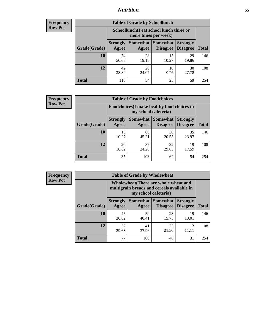### *Nutrition* **55**

| Frequency |
|-----------|
| Row Pct   |

| <b>Table of Grade by Schoollunch</b> |                                                                                                                               |                                                                 |             |             |     |  |  |  |
|--------------------------------------|-------------------------------------------------------------------------------------------------------------------------------|-----------------------------------------------------------------|-------------|-------------|-----|--|--|--|
|                                      |                                                                                                                               | Schoollunch(I eat school lunch three or<br>more times per week) |             |             |     |  |  |  |
| Grade(Grade)                         | Somewhat  <br><b>Somewhat</b><br><b>Strongly</b><br><b>Strongly</b><br><b>Disagree</b><br>Disagree<br>Agree<br>Total<br>Agree |                                                                 |             |             |     |  |  |  |
| 10                                   | 74<br>50.68                                                                                                                   | 28<br>19.18                                                     | 15<br>10.27 | 29<br>19.86 | 146 |  |  |  |
| 12                                   | 42<br>38.89                                                                                                                   | 26<br>24.07                                                     | 10<br>9.26  | 30<br>27.78 | 108 |  |  |  |
| <b>Total</b>                         | 116                                                                                                                           | 54                                                              | 25          | 59          | 254 |  |  |  |

| <b>Frequency</b> |  |
|------------------|--|
| <b>Row Pct</b>   |  |

| <b>Table of Grade by Foodchoices</b> |                          |                                                                                |             |             |     |  |  |  |
|--------------------------------------|--------------------------|--------------------------------------------------------------------------------|-------------|-------------|-----|--|--|--|
|                                      |                          | Foodchoices (I make healthy food choices in<br>my school cafeteria)            |             |             |     |  |  |  |
| Grade(Grade)                         | <b>Strongly</b><br>Agree | Somewhat   Somewhat<br><b>Strongly</b><br><b>Disagree</b><br>Disagree<br>Agree |             |             |     |  |  |  |
| 10                                   | 15<br>10.27              | 66<br>45.21                                                                    | 30<br>20.55 | 35<br>23.97 | 146 |  |  |  |
| 12                                   | 20<br>18.52              | 37<br>34.26                                                                    | 32<br>29.63 | 19<br>17.59 | 108 |  |  |  |
| <b>Total</b>                         | 35                       | 103                                                                            | 62          | 54          | 254 |  |  |  |

| <b>Frequency</b> | <b>Table of Grade by Wholewheat</b> |                                                                                                             |                     |                                    |                                    |              |  |  |  |
|------------------|-------------------------------------|-------------------------------------------------------------------------------------------------------------|---------------------|------------------------------------|------------------------------------|--------------|--|--|--|
| <b>Row Pct</b>   |                                     | Wholewheat (There are whole wheat and<br>multigrain breads and cereals available in<br>my school cafeteria) |                     |                                    |                                    |              |  |  |  |
|                  | Grade(Grade)                        | <b>Strongly</b><br>Agree                                                                                    | Somewhat  <br>Agree | <b>Somewhat</b><br><b>Disagree</b> | <b>Strongly</b><br><b>Disagree</b> | <b>Total</b> |  |  |  |
|                  | 10                                  | 45<br>30.82                                                                                                 | 59<br>40.41         | 23<br>15.75                        | 19<br>13.01                        | 146          |  |  |  |
|                  | 12                                  | 32<br>29.63                                                                                                 | 41<br>37.96         | 23<br>21.30                        | 12<br>11.11                        | 108          |  |  |  |
|                  | <b>Total</b>                        | 77                                                                                                          | 100                 | 46                                 | 31                                 | 254          |  |  |  |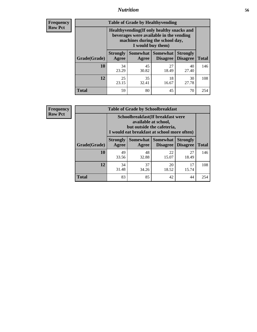### *Nutrition* **56**

**Frequency Row Pct**

| <b>Table of Grade by Healthyvending</b> |                                                                                                                                               |                          |                                    |                                    |              |  |
|-----------------------------------------|-----------------------------------------------------------------------------------------------------------------------------------------------|--------------------------|------------------------------------|------------------------------------|--------------|--|
|                                         | Healthyvending (If only healthy snacks and<br>beverages were available in the vending<br>machines during the school day,<br>I would buy them) |                          |                                    |                                    |              |  |
| Grade(Grade)                            | <b>Strongly</b><br>Agree                                                                                                                      | <b>Somewhat</b><br>Agree | <b>Somewhat</b><br><b>Disagree</b> | <b>Strongly</b><br><b>Disagree</b> | <b>Total</b> |  |
| 10                                      | 34<br>23.29                                                                                                                                   | 45<br>30.82              | 27<br>18.49                        | 40<br>27.40                        | 146          |  |
| 12                                      | 25<br>23.15                                                                                                                                   | 35<br>32.41              | 18<br>16.67                        | 30<br>27.78                        | 108          |  |
| <b>Total</b>                            | 59                                                                                                                                            | 80                       | 45                                 | 70                                 | 254          |  |

**Frequency Row Pct**

| <b>Table of Grade by Schoolbreakfast</b> |                                                                                                                                        |             |                                        |                                    |              |  |
|------------------------------------------|----------------------------------------------------------------------------------------------------------------------------------------|-------------|----------------------------------------|------------------------------------|--------------|--|
|                                          | Schoolbreakfast(If breakfast were<br>available at school,<br>but outside the cafeteria,<br>I would eat breakfast at school more often) |             |                                        |                                    |              |  |
| Grade(Grade)                             | <b>Strongly</b><br>Agree                                                                                                               | Agree       | Somewhat   Somewhat<br><b>Disagree</b> | <b>Strongly</b><br><b>Disagree</b> | <b>Total</b> |  |
| 10                                       | 49<br>33.56                                                                                                                            | 48<br>32.88 | 22<br>15.07                            | 27<br>18.49                        | 146          |  |
| 12                                       | 34<br>31.48                                                                                                                            | 37<br>34.26 | 20<br>18.52                            | 17<br>15.74                        | 108          |  |
| <b>Total</b>                             | 83                                                                                                                                     | 85          | 42                                     | 44                                 | 254          |  |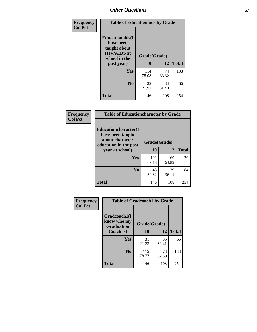| Frequency<br><b>Col Pct</b> | <b>Table of Educationaids by Grade</b>                                                                    |                    |             |              |
|-----------------------------|-----------------------------------------------------------------------------------------------------------|--------------------|-------------|--------------|
|                             | <b>Educationaids</b> (I<br>have been<br>taught about<br><b>HIV/AIDS</b> at<br>school in the<br>past year) | Grade(Grade)<br>10 | 12          | <b>Total</b> |
|                             | Yes                                                                                                       | 114<br>78.08       | 74<br>68.52 | 188          |
|                             | N <sub>0</sub>                                                                                            | 32<br>21.92        | 34<br>31.48 | 66           |
|                             | <b>Total</b>                                                                                              | 146                | 108         | 254          |

| Frequency      | <b>Table of Educationcharacter by Grade</b>      |              |             |              |  |
|----------------|--------------------------------------------------|--------------|-------------|--------------|--|
| <b>Col Pct</b> | <b>Educationcharacter(I)</b><br>have been taught |              |             |              |  |
|                | about character<br>education in the past         | Grade(Grade) |             |              |  |
|                | year at school)                                  | 10           | 12          | <b>Total</b> |  |
|                | Yes                                              | 101<br>69.18 | 69<br>63.89 | 170          |  |
|                | N <sub>0</sub>                                   | 45<br>30.82  | 39<br>36.11 | 84           |  |
|                | <b>Total</b>                                     | 146          | 108         | 254          |  |

| Frequency      | <b>Table of Gradcoach1 by Grade</b> |              |             |              |
|----------------|-------------------------------------|--------------|-------------|--------------|
| <b>Col Pct</b> | Gradcoach1(I<br>know who my         | Grade(Grade) |             |              |
|                | <b>Graduation</b><br>Coach is)      | 10           | 12          | <b>Total</b> |
|                | Yes                                 | 31<br>21.23  | 35<br>32.41 | 66           |
|                | N <sub>0</sub>                      | 115<br>78.77 | 73<br>67.59 | 188          |
|                | <b>Total</b>                        | 146          | 108         | 254          |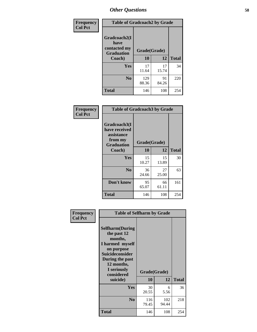| Frequency      | <b>Table of Gradcoach2 by Grade</b> |              |             |              |
|----------------|-------------------------------------|--------------|-------------|--------------|
| <b>Col Pct</b> | Gradcoach2(I<br>have                |              |             |              |
|                | contacted my<br><b>Graduation</b>   | Grade(Grade) |             |              |
|                | Coach)                              | 10           | 12          | <b>Total</b> |
|                | Yes                                 | 17<br>11.64  | 17<br>15.74 | 34           |
|                | N <sub>0</sub>                      | 129<br>88.36 | 91<br>84.26 | 220          |
|                | <b>Total</b>                        | 146          | 108         | 254          |

| <b>Frequency</b><br><b>Col Pct</b> | <b>Table of Gradcoach3 by Grade</b>                                         |              |             |              |
|------------------------------------|-----------------------------------------------------------------------------|--------------|-------------|--------------|
|                                    | Gradcoach3(I<br>have received<br>assistance<br>from my<br><b>Graduation</b> | Grade(Grade) |             |              |
|                                    | Coach)                                                                      | 10           | 12          | <b>Total</b> |
|                                    | Yes                                                                         | 15<br>10.27  | 15<br>13.89 | 30           |
|                                    | N <sub>0</sub>                                                              | 36<br>24.66  | 27<br>25.00 | 63           |
|                                    | Don't know                                                                  | 95<br>65.07  | 66<br>61.11 | 161          |
|                                    | <b>Total</b>                                                                | 146          | 108         | 254          |

|                             | <b>Table of Selfharm by Grade</b>                                                                                                                            |              |              |              |
|-----------------------------|--------------------------------------------------------------------------------------------------------------------------------------------------------------|--------------|--------------|--------------|
| Frequency<br><b>Col Pct</b> |                                                                                                                                                              |              |              |              |
|                             | <b>Selfharm</b> (During<br>the past 12<br>months,<br>I harmed myself<br>on purpose<br><b>Suicideconsider</b><br>During the past<br>12 months,<br>I seriously |              | Grade(Grade) |              |
|                             | considered<br>suicide)                                                                                                                                       | 10           | 12           | <b>Total</b> |
|                             | Yes                                                                                                                                                          | 30<br>20.55  | 6<br>5.56    | 36           |
|                             | N <sub>0</sub>                                                                                                                                               | 116<br>79.45 | 102<br>94.44 | 218          |
|                             | Total                                                                                                                                                        | 146          | 108          | 254          |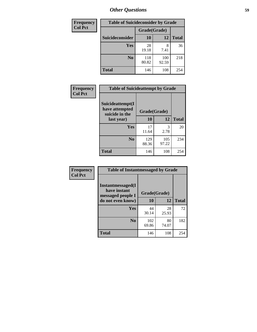| <b>Frequency</b> | <b>Table of Suicideconsider by Grade</b> |              |              |              |
|------------------|------------------------------------------|--------------|--------------|--------------|
| <b>Col Pct</b>   |                                          | Grade(Grade) |              |              |
|                  | Suicideconsider                          | <b>10</b>    | 12           | <b>Total</b> |
|                  | Yes                                      | 28<br>19.18  | 7.41         | 36           |
|                  | N <sub>0</sub>                           | 118<br>80.82 | 100<br>92.59 | 218          |
|                  | Total                                    | 146          | 108          | 254          |

| Frequency      | <b>Table of Suicideattempt by Grade</b>              |              |              |              |
|----------------|------------------------------------------------------|--------------|--------------|--------------|
| <b>Col Pct</b> | Suicideattempt(I<br>have attempted<br>suicide in the | Grade(Grade) |              |              |
|                | last year)                                           | 10           | 12           | <b>Total</b> |
|                | Yes                                                  | 17<br>11.64  | 3<br>2.78    | 20           |
|                | $\bf No$                                             | 129<br>88.36 | 105<br>97.22 | 234          |
|                | <b>Total</b>                                         | 146          | 108          | 254          |

| Frequency      | <b>Table of Instantmessaged by Grade</b>               |              |             |              |
|----------------|--------------------------------------------------------|--------------|-------------|--------------|
| <b>Col Pct</b> | Instantmessaged(I<br>have instant<br>messaged people I | Grade(Grade) |             |              |
|                | do not even know)                                      | 10           | 12          | <b>Total</b> |
|                | Yes                                                    | 44<br>30.14  | 28<br>25.93 | 72           |
|                | N <sub>0</sub>                                         | 102<br>69.86 | 80<br>74.07 | 182          |
|                | <b>Total</b>                                           | 146          | 108         | 254          |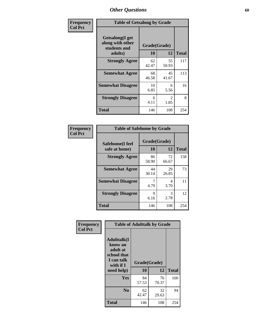| Frequency      | <b>Table of Getsalong by Grade</b>                          |              |                        |              |
|----------------|-------------------------------------------------------------|--------------|------------------------|--------------|
| <b>Col Pct</b> | <b>Getsalong</b> (I get<br>along with other<br>students and | Grade(Grade) |                        |              |
|                | adults)                                                     | 10           | 12                     | <b>Total</b> |
|                | <b>Strongly Agree</b>                                       | 62<br>42.47  | 55<br>50.93            | 117          |
|                | <b>Somewhat Agree</b>                                       | 68<br>46.58  | 45<br>41.67            | 113          |
|                | <b>Somewhat Disagree</b>                                    | 10<br>6.85   | 6<br>5.56              | 16           |
|                | <b>Strongly Disagree</b>                                    | 6<br>4.11    | $\mathfrak{D}$<br>1.85 | 8            |
|                | <b>Total</b>                                                | 146          | 108                    | 254          |

| Frequency      | <b>Table of Safehome by Grade</b> |                           |             |              |
|----------------|-----------------------------------|---------------------------|-------------|--------------|
| <b>Col Pct</b> | Safehome(I feel<br>safe at home)  | Grade(Grade)<br><b>10</b> | 12          | <b>Total</b> |
|                | <b>Strongly Agree</b>             | 86<br>58.90               | 72<br>66.67 | 158          |
|                | <b>Somewhat Agree</b>             | 44<br>30.14               | 29<br>26.85 | 73           |
|                | <b>Somewhat Disagree</b>          | 4.79                      | 4<br>3.70   | 11           |
|                | <b>Strongly Disagree</b>          | 9<br>6.16                 | 3<br>2.78   | 12           |
|                | <b>Total</b>                      | 146                       | 108         | 254          |

| Frequency      |                                                                                      | <b>Table of Adulttalk by Grade</b> |             |              |
|----------------|--------------------------------------------------------------------------------------|------------------------------------|-------------|--------------|
| <b>Col Pct</b> | <b>Adulttalk</b> (I<br>know an<br>adult at<br>school that<br>I can talk<br>with if I | Grade(Grade)                       |             |              |
|                | need help)                                                                           | 10                                 | 12          | <b>Total</b> |
|                | <b>Yes</b>                                                                           | 84<br>57.53                        | 76<br>70.37 | 160          |
|                | N <sub>0</sub>                                                                       | 62<br>42.47                        | 32<br>29.63 | 94           |
|                | <b>Total</b>                                                                         | 146                                | 108         | 254          |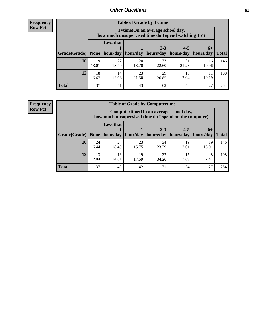**Frequency Row Pct**

| <b>Table of Grade by Tytime</b> |             |                                                                                         |             |             |             |             |              |  |  |
|---------------------------------|-------------|-----------------------------------------------------------------------------------------|-------------|-------------|-------------|-------------|--------------|--|--|
|                                 |             | Tytime (On an average school day,<br>how much unsupervised time do I spend watching TV) |             |             |             |             |              |  |  |
|                                 |             | <b>Less that</b><br>$2 - 3$<br>$4 - 5$<br>$6+$                                          |             |             |             |             |              |  |  |
| Grade(Grade)                    | None        | hour/day                                                                                | hour/day    | hours/day   | hours/day   | hours/day   | <b>Total</b> |  |  |
| 10                              | 19<br>13.01 | 27<br>18.49                                                                             | 20<br>13.70 | 33<br>22.60 | 31<br>21.23 | 16<br>10.96 | 146          |  |  |
| 12                              | 18<br>16.67 | 14<br>12.96                                                                             | 23<br>21.30 | 29<br>26.85 | 13<br>12.04 | 10.19       | 108          |  |  |
| <b>Total</b>                    | 37          | 41                                                                                      | 43          | 62          | 44          | 27          | 254          |  |  |

**Frequency Row Pct**

| <b>Table of Grade by Computertime</b> |             |                                                                                                                               |             |             |             |             |     |  |  |
|---------------------------------------|-------------|-------------------------------------------------------------------------------------------------------------------------------|-------------|-------------|-------------|-------------|-----|--|--|
|                                       |             | Computertime (On an average school day,<br>how much unsupervised time do I spend on the computer)                             |             |             |             |             |     |  |  |
| Grade(Grade)                          | None        | <b>Less that</b><br>$4 - 5$<br>$2 - 3$<br>$6+$<br>hour/day<br>hours/day<br>hours/day<br>hour/day<br>hours/day<br><b>Total</b> |             |             |             |             |     |  |  |
| 10                                    | 24<br>16.44 | 27<br>18.49                                                                                                                   | 23<br>15.75 | 34<br>23.29 | 19<br>13.01 | 19<br>13.01 | 146 |  |  |
| 12                                    | 13<br>12.04 | 16<br>14.81                                                                                                                   | 19<br>17.59 | 37<br>34.26 | 15<br>13.89 | 8<br>7.41   | 108 |  |  |
| <b>Total</b>                          | 37          | 43                                                                                                                            | 42          | 71          | 34          | 27          | 254 |  |  |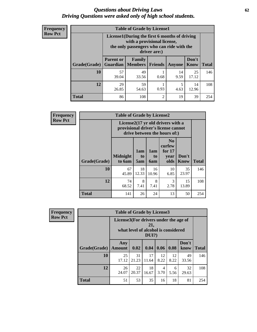#### *Questions about Driving Laws* **62** *Driving Questions were asked only of high school students.*

| <b>Frequency</b> |
|------------------|
| <b>Row Pct</b>   |

| <b>Table of Grade by License1</b> |                                                                                                                                           |                                                                                                     |                |            |             |     |  |  |  |
|-----------------------------------|-------------------------------------------------------------------------------------------------------------------------------------------|-----------------------------------------------------------------------------------------------------|----------------|------------|-------------|-----|--|--|--|
|                                   | License1(During the first 6 months of driving<br>with a provisional license,<br>the only passengers who can ride with the<br>driver are:) |                                                                                                     |                |            |             |     |  |  |  |
| Grade(Grade)                      | <b>Parent or</b><br><b>Guardian</b>                                                                                                       | Don't<br>Family<br><b>Total</b><br><b>Members</b><br><b>Friends</b><br><b>Know</b><br><b>Anyone</b> |                |            |             |     |  |  |  |
| 10                                | 57<br>39.04                                                                                                                               | 49<br>33.56                                                                                         | 0.68           | 14<br>9.59 | 25<br>17.12 | 146 |  |  |  |
| 12                                | 29<br>59<br>5<br>14<br>0.93<br>26.85<br>4.63<br>12.96<br>54.63                                                                            |                                                                                                     |                |            |             |     |  |  |  |
| Total                             | 86                                                                                                                                        | 108                                                                                                 | $\overline{c}$ | 19         | 39          | 254 |  |  |  |

| <b>Frequency</b> | <b>Table of Grade by License2</b>                                                                        |                           |                  |                                     |                                                      |                      |              |
|------------------|----------------------------------------------------------------------------------------------------------|---------------------------|------------------|-------------------------------------|------------------------------------------------------|----------------------|--------------|
| <b>Row Pct</b>   | License2(17 yr old drivers with a<br>provisional driver's license cannot<br>drive between the hours of:) |                           |                  |                                     |                                                      |                      |              |
|                  | Grade(Grade)                                                                                             | <b>Midnight</b><br>to 6am | 1am<br>to<br>5am | 1am<br>t <sub>0</sub><br><b>6am</b> | N <sub>0</sub><br>curfew<br>for $17$<br>year<br>olds | Don't<br><b>Know</b> | <b>Total</b> |
|                  | 10                                                                                                       | 67<br>45.89               | 18<br>12.33      | 16<br>10.96                         | 10<br>6.85                                           | 35<br>23.97          | 146          |
|                  | 12                                                                                                       | 74<br>68.52               | 8<br>7.41        | 8<br>7.41                           | 3<br>2.78                                            | 15<br>13.89          | 108          |
|                  | <b>Total</b>                                                                                             | 141                       | 26               | 24                                  | 13                                                   | 50                   | 254          |

| Frequency      | <b>Table of Grade by License3</b> |                                       |             |                                                        |            |            |               |              |
|----------------|-----------------------------------|---------------------------------------|-------------|--------------------------------------------------------|------------|------------|---------------|--------------|
| <b>Row Pct</b> |                                   | License3(For drivers under the age of |             | 21,<br>what level of alcohol is considered<br>$DUI$ ?) |            |            |               |              |
|                | Grade(Grade)                      | Any<br>Amount                         | 0.02        | 0.04                                                   | 0.06       | 0.08       | Don't<br>know | <b>Total</b> |
|                | <b>10</b>                         | 25<br>17.12                           | 31<br>21.23 | 17<br>11.64                                            | 12<br>8.22 | 12<br>8.22 | 49<br>33.56   | 146          |
|                | 12                                | 26<br>24.07                           | 22<br>20.37 | 18<br>16.67                                            | 4<br>3.70  | 6<br>5.56  | 32<br>29.63   | 108          |
|                | <b>Total</b>                      | 51                                    | 53          | 35                                                     | 16         | 18         | 81            | 254          |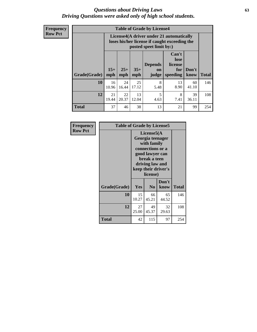#### *Questions about Driving Laws* **63** *Driving Questions were asked only of high school students.*

**Frequency Row Pct**

| <b>Table of Grade by License4</b> |              |                                                                                                                               |             |           |            |             |     |  |
|-----------------------------------|--------------|-------------------------------------------------------------------------------------------------------------------------------|-------------|-----------|------------|-------------|-----|--|
|                                   |              | License4(A driver under 21 automatically<br>loses his/her license if caught exceeding the<br>posted speet limit by:)          |             |           |            |             |     |  |
| Grade(Grade)                      | $15+$<br>mph | Can't<br>lose<br><b>Depends</b><br>license<br>$25+$<br>$35+$<br>Don't<br>for<br>on<br>mph<br>speeding<br>know<br>mph<br>judge |             |           |            |             |     |  |
| 10                                | 16<br>10.96  | 24<br>16.44                                                                                                                   | 25<br>17.12 | 8<br>5.48 | 13<br>8.90 | 60<br>41.10 | 146 |  |
| 12                                | 21<br>19.44  | 22<br>20.37                                                                                                                   | 13<br>12.04 | 5<br>4.63 | 8<br>7.41  | 39<br>36.11 | 108 |  |
| <b>Total</b>                      | 37           | 46                                                                                                                            | 38          | 13        | 21         | 99          | 254 |  |

| Frequency      | <b>Table of Grade by License5</b> |             |                                                                                                                                      |                     |       |  |  |  |  |
|----------------|-----------------------------------|-------------|--------------------------------------------------------------------------------------------------------------------------------------|---------------------|-------|--|--|--|--|
| <b>Row Pct</b> |                                   |             | License5(A)<br>Georgia teenager<br>with family<br>connections or a<br>good lawyer can<br>break a teen<br>driving law and<br>license) | keep their driver's |       |  |  |  |  |
|                | Grade(Grade)                      | <b>Yes</b>  | N <sub>0</sub>                                                                                                                       | Don't<br>know       | Total |  |  |  |  |
|                | 10                                | 15<br>10.27 | 66<br>45.21                                                                                                                          | 65<br>44.52         | 146   |  |  |  |  |
|                | 12                                | 27<br>25.00 | 49<br>45.37                                                                                                                          | 32<br>29.63         | 108   |  |  |  |  |
|                | <b>Total</b>                      | 42          | 115                                                                                                                                  | 97                  | 254   |  |  |  |  |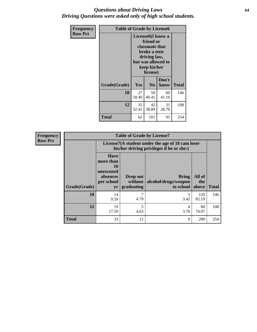#### *Questions about Driving Laws* **64** *Driving Questions were asked only of high school students.*

| <b>Frequency</b> | <b>Table of Grade by License6</b> |             |                                                                                                                           |                    |       |  |  |
|------------------|-----------------------------------|-------------|---------------------------------------------------------------------------------------------------------------------------|--------------------|-------|--|--|
| <b>Row Pct</b>   |                                   |             | License <sub>6</sub> (I know a<br>friend or<br>classmate that<br>broke a teen<br>driving law,<br>keep his/her<br>license) | but was allowed to |       |  |  |
|                  | Grade(Grade)                      | Yes         | N <sub>0</sub>                                                                                                            | Don't<br>know      | Total |  |  |
|                  | 10                                | 27<br>18.49 | 59<br>40.41                                                                                                               | 60<br>41.10        | 146   |  |  |
|                  | 12                                | 35<br>32.41 | 42<br>38.89                                                                                                               | 31<br>28.70        | 108   |  |  |
|                  | <b>Total</b>                      | 62          | 101                                                                                                                       | 91                 | 254   |  |  |

| <b>Frequency</b> | <b>Table of Grade by License7</b> |                                                                             |                                     |                                                                                               |                        |              |  |  |
|------------------|-----------------------------------|-----------------------------------------------------------------------------|-------------------------------------|-----------------------------------------------------------------------------------------------|------------------------|--------------|--|--|
| <b>Row Pct</b>   |                                   |                                                                             |                                     | License7(A student under the age of 18 cam loser<br>his/her driving privileges if he or she:) |                        |              |  |  |
|                  | Grade(Grade)                      | <b>Have</b><br>more than<br>10<br>unexcused<br>absences<br>per school<br>yr | Drop out<br>without  <br>graduating | <b>Bring</b><br>alcohol/drugs/weapon<br>to school                                             | All of<br>the<br>above | <b>Total</b> |  |  |
|                  | 10                                | 14<br>9.59                                                                  | 7<br>4.79                           | 3.42                                                                                          | 120<br>82.19           | 146          |  |  |
|                  | 12                                | 19<br>17.59                                                                 | 5<br>4.63                           | 4<br>3.70                                                                                     | 80<br>74.07            | 108          |  |  |
|                  | <b>Total</b>                      | 33                                                                          | 12                                  | 9                                                                                             | 200                    | 254          |  |  |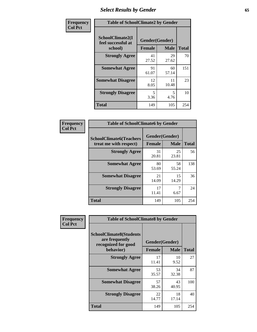# *Select Results by Gender* **65**

| Frequency      | <b>Table of SchoolClimate2 by Gender</b>          |                                 |             |              |  |
|----------------|---------------------------------------------------|---------------------------------|-------------|--------------|--|
| <b>Col Pct</b> | SchoolClimate2(I<br>feel successful at<br>school) | Gender(Gender)<br><b>Female</b> | <b>Male</b> | <b>Total</b> |  |
|                | <b>Strongly Agree</b>                             | 41<br>27.52                     | 29<br>27.62 | 70           |  |
|                | <b>Somewhat Agree</b>                             | 91<br>61.07                     | 60<br>57.14 | 151          |  |
|                | <b>Somewhat Disagree</b>                          | 12<br>8.05                      | 11<br>10.48 | 23           |  |
|                | <b>Strongly Disagree</b>                          | 5<br>3.36                       | 5<br>4.76   | 10           |  |
|                | <b>Total</b>                                      | 149                             | 105         | 254          |  |

| <b>Frequency</b> | <b>Table of SchoolClimate6 by Gender</b> |                |             |              |  |
|------------------|------------------------------------------|----------------|-------------|--------------|--|
| <b>Col Pct</b>   | <b>SchoolClimate6(Teachers</b>           | Gender(Gender) |             |              |  |
|                  | treat me with respect)                   | Female         | <b>Male</b> | <b>Total</b> |  |
|                  | <b>Strongly Agree</b>                    | 31<br>20.81    | 25<br>23.81 | 56           |  |
|                  | <b>Somewhat Agree</b>                    | 80<br>53.69    | 58<br>55.24 | 138          |  |
|                  | <b>Somewhat Disagree</b>                 | 21<br>14.09    | 15<br>14.29 | 36           |  |
|                  | <b>Strongly Disagree</b>                 | 17<br>11.41    | 6.67        | 24           |  |
|                  | <b>Total</b>                             | 149            | 105         | 254          |  |

| Frequency      | <b>Table of SchoolClimate8 by Gender</b>                                             |               |                               |              |
|----------------|--------------------------------------------------------------------------------------|---------------|-------------------------------|--------------|
| <b>Col Pct</b> | <b>SchoolClimate8(Students</b><br>are frequently<br>recognized for good<br>behavior) | <b>Female</b> | Gender(Gender)<br><b>Male</b> | <b>Total</b> |
|                | <b>Strongly Agree</b>                                                                | 17<br>11.41   | 10<br>9.52                    | 27           |
|                | <b>Somewhat Agree</b>                                                                | 53<br>35.57   | 34<br>32.38                   | 87           |
|                | <b>Somewhat Disagree</b>                                                             | 57<br>38.26   | 43<br>40.95                   | 100          |
|                | <b>Strongly Disagree</b>                                                             | 22<br>14.77   | 18<br>17.14                   | 40           |
|                | Total                                                                                | 149           | 105                           | 254          |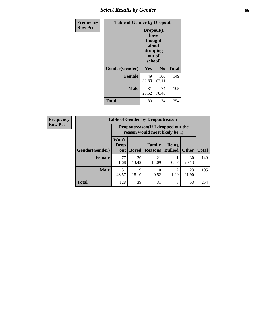# *Select Results by Gender* **66**

| Frequency      | <b>Table of Gender by Dropout</b> |                                                                        |                |              |
|----------------|-----------------------------------|------------------------------------------------------------------------|----------------|--------------|
| <b>Row Pct</b> |                                   | Dropout(I<br>have<br>thought<br>about<br>dropping<br>out of<br>school) |                |              |
|                | Gender(Gender)                    | Yes                                                                    | N <sub>0</sub> | <b>Total</b> |
|                | <b>Female</b>                     | 49<br>32.89                                                            | 100<br>67.11   | 149          |
|                | <b>Male</b>                       | 31<br>29.52                                                            | 74<br>70.48    | 105          |
|                | <b>Total</b>                      | 80                                                                     | 174            | 254          |

| <b>Frequency</b> | <b>Table of Gender by Dropoutreason</b> |                                                                    |              |                          |                                |              |              |
|------------------|-----------------------------------------|--------------------------------------------------------------------|--------------|--------------------------|--------------------------------|--------------|--------------|
| <b>Row Pct</b>   |                                         | Dropoutreason(If I dropped out the<br>reason would most likely be) |              |                          |                                |              |              |
|                  | Gender(Gender)                          | Won't<br>Drop<br>out                                               | <b>Bored</b> | Family<br><b>Reasons</b> | <b>Being</b><br><b>Bullied</b> | <b>Other</b> | <b>Total</b> |
|                  | <b>Female</b>                           | 77<br>51.68                                                        | 20<br>13.42  | 21<br>14.09              | 0.67                           | 30<br>20.13  | 149          |
|                  | <b>Male</b>                             | 51<br>48.57                                                        | 19<br>18.10  | 10<br>9.52               | ◠<br>1.90                      | 23<br>21.90  | 105          |
|                  | <b>Total</b>                            | 128                                                                | 39           | 31                       | 3                              | 53           | 254          |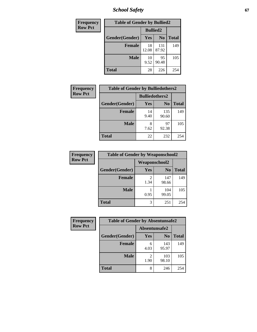*School Safety* **67**

| Frequency      | <b>Table of Gender by Bullied2</b> |                 |                |              |
|----------------|------------------------------------|-----------------|----------------|--------------|
| <b>Row Pct</b> |                                    | <b>Bullied2</b> |                |              |
|                | Gender(Gender)                     | Yes             | N <sub>0</sub> | <b>Total</b> |
|                | <b>Female</b>                      | 18<br>12.08     | 131<br>87.92   | 149          |
|                | <b>Male</b>                        | 10<br>9.52      | 95<br>90.48    | 105          |
|                | <b>Total</b>                       | 28              | 226            | 254          |

| Frequency      | <b>Table of Gender by Bulliedothers2</b> |                       |                |              |
|----------------|------------------------------------------|-----------------------|----------------|--------------|
| <b>Row Pct</b> |                                          | <b>Bulliedothers2</b> |                |              |
|                | Gender(Gender)                           | <b>Yes</b>            | N <sub>0</sub> | <b>Total</b> |
|                | <b>Female</b>                            | 14<br>9.40            | 135<br>90.60   | 149          |
|                | <b>Male</b>                              | 8<br>7.62             | 97<br>92.38    | 105          |
|                | <b>Total</b>                             | 22                    | 232            | 254          |

| <b>Frequency</b> | <b>Table of Gender by Weaponschool2</b> |                      |                |              |
|------------------|-----------------------------------------|----------------------|----------------|--------------|
| <b>Row Pct</b>   |                                         | <b>Weaponschool2</b> |                |              |
|                  | Gender(Gender)                          | Yes                  | N <sub>0</sub> | <b>Total</b> |
|                  | <b>Female</b>                           | 1.34                 | 147<br>98.66   | 149          |
|                  | <b>Male</b>                             | 0.95                 | 104<br>99.05   | 105          |
|                  | <b>Total</b>                            | 3                    | 251            | 254          |

| <b>Frequency</b> | <b>Table of Gender by Absentunsafe2</b> |               |                |              |
|------------------|-----------------------------------------|---------------|----------------|--------------|
| <b>Row Pct</b>   |                                         | Absentunsafe2 |                |              |
|                  | Gender(Gender)                          | Yes           | N <sub>0</sub> | <b>Total</b> |
|                  | <b>Female</b>                           | 6<br>4.03     | 143<br>95.97   | 149          |
|                  | <b>Male</b>                             | 1.90          | 103<br>98.10   | 105          |
|                  | <b>Total</b>                            | 8             | 246            | 254          |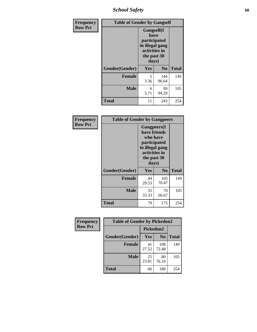*School Safety* **68**

| Frequency      | <b>Table of Gender by Gangself</b> |                                                                                                |              |              |
|----------------|------------------------------------|------------------------------------------------------------------------------------------------|--------------|--------------|
| <b>Row Pct</b> |                                    | Gangself(I<br>have<br>participated<br>in illegal gang<br>activities in<br>the past 30<br>days) |              |              |
|                | Gender(Gender)                     | Yes                                                                                            | $\bf No$     | <b>Total</b> |
|                | <b>Female</b>                      | 5<br>3.36                                                                                      | 144<br>96.64 | 149          |
|                | <b>Male</b>                        | 6<br>5.71                                                                                      | 99<br>94.29  | 105          |
|                | <b>Total</b>                       | 11                                                                                             | 243          | 254          |

| Frequency      |                | <b>Table of Gender by Gangpeers</b>                                                                                         |                |              |
|----------------|----------------|-----------------------------------------------------------------------------------------------------------------------------|----------------|--------------|
| <b>Row Pct</b> |                | <b>Gangpeers</b> (I<br>have friends<br>who have<br>participated<br>in illegal gang<br>activities in<br>the past 30<br>days) |                |              |
|                | Gender(Gender) | <b>Yes</b>                                                                                                                  | N <sub>0</sub> | <b>Total</b> |
|                | <b>Female</b>  | 44<br>29.53                                                                                                                 | 105<br>70.47   | 149          |
|                | <b>Male</b>    | 35<br>33.33                                                                                                                 | 70<br>66.67    | 105          |
|                | Total          | 79                                                                                                                          | 175            | 254          |

| Frequency      | <b>Table of Gender by Pickedon2</b> |             |                |              |
|----------------|-------------------------------------|-------------|----------------|--------------|
| <b>Row Pct</b> |                                     | Pickedon2   |                |              |
|                | Gender(Gender)                      | Yes         | N <sub>0</sub> | <b>Total</b> |
|                | <b>Female</b>                       | 41<br>27.52 | 108<br>72.48   | 149          |
|                | <b>Male</b>                         | 25<br>23.81 | 80<br>76.19    | 105          |
|                | <b>Total</b>                        | 66          | 188            | 254          |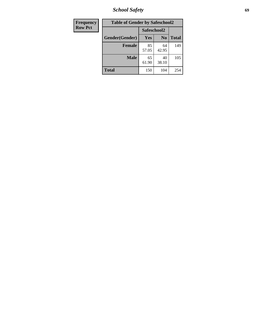*School Safety* **69**

| <b>Frequency</b> | <b>Table of Gender by Safeschool2</b> |             |                |              |  |
|------------------|---------------------------------------|-------------|----------------|--------------|--|
| <b>Row Pct</b>   |                                       | Safeschool2 |                |              |  |
|                  | Gender(Gender)                        | <b>Yes</b>  | N <sub>0</sub> | <b>Total</b> |  |
|                  | <b>Female</b>                         | 85<br>57.05 | 64<br>42.95    | 149          |  |
|                  | <b>Male</b>                           | 65<br>61.90 | 40<br>38.10    | 105          |  |
|                  | <b>Total</b>                          | 150         | 104            | 254          |  |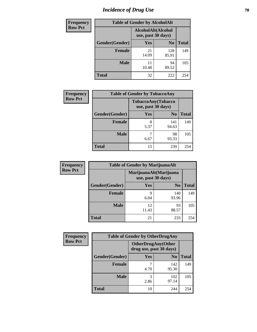# *Incidence of Drug Use* **70**

| Frequency      | <b>Table of Gender by AlcoholAlt</b> |                                          |                |              |
|----------------|--------------------------------------|------------------------------------------|----------------|--------------|
| <b>Row Pct</b> |                                      | AlcoholAlt(Alcohol<br>use, past 30 days) |                |              |
|                | Gender(Gender)                       | Yes                                      | N <sub>0</sub> | <b>Total</b> |
|                | <b>Female</b>                        | 21<br>14.09                              | 128<br>85.91   | 149          |
|                | <b>Male</b>                          | 11<br>10.48                              | 94<br>89.52    | 105          |
|                | <b>Total</b>                         | 32                                       | 222            | 254          |

| <b>Frequency</b> | <b>Table of Gender by TobaccoAny</b> |                    |                    |              |  |
|------------------|--------------------------------------|--------------------|--------------------|--------------|--|
| <b>Row Pct</b>   |                                      | use, past 30 days) | TobaccoAny(Tobacco |              |  |
|                  | Gender(Gender)                       | Yes                | N <sub>0</sub>     | <b>Total</b> |  |
|                  | <b>Female</b>                        | 8<br>5.37          | 141<br>94.63       | 149          |  |
|                  | <b>Male</b>                          | 6.67               | 98<br>93.33        | 105          |  |
|                  | <b>Total</b>                         | 15                 | 239                | 254          |  |

| <b>Frequency</b> | <b>Table of Gender by MarijuanaAlt</b> |                                              |                |              |
|------------------|----------------------------------------|----------------------------------------------|----------------|--------------|
| <b>Row Pct</b>   |                                        | MarijuanaAlt(Marijuana<br>use, past 30 days) |                |              |
|                  | Gender(Gender)                         | <b>Yes</b>                                   | N <sub>0</sub> | <b>Total</b> |
|                  | <b>Female</b>                          | 9<br>6.04                                    | 140<br>93.96   | 149          |
|                  | <b>Male</b>                            | 12<br>11.43                                  | 93<br>88.57    | 105          |
|                  | <b>Total</b>                           | 21                                           | 233            | 254          |

| <b>Frequency</b> | <b>Table of Gender by OtherDrugAny</b> |                         |                           |              |
|------------------|----------------------------------------|-------------------------|---------------------------|--------------|
| <b>Row Pct</b>   |                                        | drug use, past 30 days) | <b>OtherDrugAny(Other</b> |              |
|                  | Gender(Gender)                         | <b>Yes</b>              | N <sub>0</sub>            | <b>Total</b> |
|                  | <b>Female</b>                          | 4.70                    | 142<br>95.30              | 149          |
|                  | <b>Male</b>                            | 3<br>2.86               | 102<br>97.14              | 105          |
|                  | <b>Total</b>                           | 10                      | 244                       | 254          |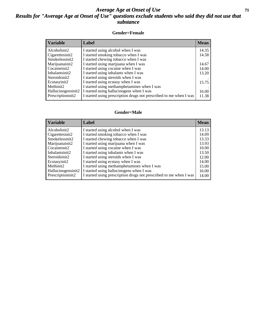#### *Average Age at Onset of Use* **71** *Results for "Average Age at Onset of Use" questions exclude students who said they did not use that substance*

#### **Gender=Female**

| <b>Variable</b>    | <b>Label</b>                                                       | <b>Mean</b> |
|--------------------|--------------------------------------------------------------------|-------------|
| Alcoholinit2       | I started using alcohol when I was                                 | 14.35       |
| Cigarettesinit2    | I started smoking tobacco when I was                               | 14.58       |
| Smokelessinit2     | I started chewing tobacco when I was                               |             |
| Marijuanainit2     | I started using marijuana when I was                               | 14.67       |
| Cocaineinit2       | I started using cocaine when I was                                 | 14.00       |
| Inhalantsinit2     | I started using inhalants when I was                               | 13.20       |
| Steroidsinit2      | I started using steroids when I was                                |             |
| Ecstasyinit2       | I started using ecstasy when I was                                 | 15.75       |
| Methinit2          | I started using methamphetamines when I was                        |             |
| Hallucinogensinit2 | I started using hallucinogens when I was                           | 16.00       |
| Prescription in t2 | I started using prescription drugs not prescribed to me when I was | 11.38       |

#### **Gender=Male**

| <b>Variable</b>                 | Label                                                              | <b>Mean</b> |
|---------------------------------|--------------------------------------------------------------------|-------------|
| Alcoholinit2                    | I started using alcohol when I was                                 | 13.13       |
| Cigarettesinit2                 | I started smoking tobacco when I was                               | 14.09       |
| Smokelessinit2                  | I started chewing tobacco when I was                               | 13.33       |
| Marijuanainit2                  | I started using marijuana when I was                               | 13.93       |
| Cocaineinit2                    | I started using cocaine when I was                                 | 10.00       |
| Inhalantsinit2                  | I started using inhalants when I was                               | 13.50       |
| Steroidsinit2                   | I started using steroids when I was                                | 12.00       |
| Ecstasyinit2                    | I started using ecstasy when I was                                 | 14.00       |
| Methinit2                       | I started using methamphetamines when I was                        | 15.00       |
| Hallucinogensinit2              | I started using hallucinogens when I was                           | 16.00       |
| Prescription in it <sub>2</sub> | I started using prescription drugs not prescribed to me when I was | 14.00       |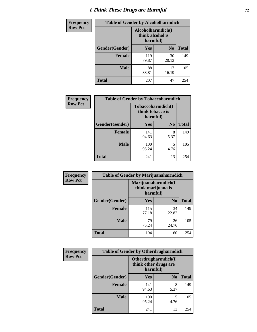# *I Think These Drugs are Harmful* **72**

| <b>Frequency</b> | <b>Table of Gender by Alcoholharmdich</b> |                                                   |                |              |  |
|------------------|-------------------------------------------|---------------------------------------------------|----------------|--------------|--|
| <b>Row Pct</b>   |                                           | Alcoholharmdich(I<br>think alcohol is<br>harmful) |                |              |  |
|                  | Gender(Gender)                            | Yes                                               | N <sub>0</sub> | <b>Total</b> |  |
|                  | <b>Female</b>                             | 119<br>79.87                                      | 30<br>20.13    | 149          |  |
|                  | <b>Male</b>                               | 88<br>83.81                                       | 17<br>16.19    | 105          |  |
|                  | <b>Total</b>                              | 207                                               | 47             | 254          |  |

| Frequency      | <b>Table of Gender by Tobaccoharmdich</b> |                  |                               |              |  |
|----------------|-------------------------------------------|------------------|-------------------------------|--------------|--|
| <b>Row Pct</b> |                                           | think tobacco is | Tobaccoharmdich(I<br>harmful) |              |  |
|                | Gender(Gender)                            | <b>Yes</b>       | N <sub>0</sub>                | <b>Total</b> |  |
|                | <b>Female</b>                             | 141<br>94.63     | 8<br>5.37                     | 149          |  |
|                | <b>Male</b>                               | 100<br>95.24     | 5<br>4.76                     | 105          |  |
|                | <b>Total</b>                              | 241              | 13                            | 254          |  |

| Frequency      | <b>Table of Gender by Marijuanaharmdich</b> |                                                       |                |              |  |
|----------------|---------------------------------------------|-------------------------------------------------------|----------------|--------------|--|
| <b>Row Pct</b> |                                             | Marijuanaharmdich(I<br>think marijuana is<br>harmful) |                |              |  |
|                | Gender(Gender)                              | <b>Yes</b>                                            | N <sub>0</sub> | <b>Total</b> |  |
|                | <b>Female</b>                               | 115<br>77.18                                          | 34<br>22.82    | 149          |  |
|                | <b>Male</b>                                 | 79<br>75.24                                           | 26<br>24.76    | 105          |  |
|                | <b>Total</b>                                | 194                                                   | 60             | 254          |  |

| Frequency      | <b>Table of Gender by Otherdrugharmdich</b> |                                                          |                |              |  |
|----------------|---------------------------------------------|----------------------------------------------------------|----------------|--------------|--|
| <b>Row Pct</b> |                                             | Otherdrugharmdich(I<br>think other drugs are<br>harmful) |                |              |  |
|                | Gender(Gender)                              | <b>Yes</b>                                               | N <sub>0</sub> | <b>Total</b> |  |
|                | <b>Female</b>                               | 141<br>94.63                                             | 8<br>5.37      | 149          |  |
|                | <b>Male</b>                                 | 100<br>95.24                                             | 5<br>4.76      | 105          |  |
|                | <b>Total</b>                                | 241                                                      | 13             | 254          |  |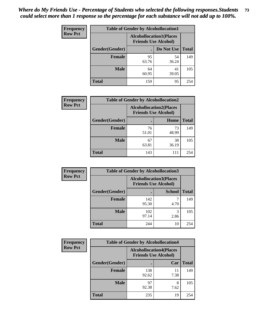| <b>Frequency</b> | <b>Table of Gender by Alcohollocation1</b> |                                                               |             |              |
|------------------|--------------------------------------------|---------------------------------------------------------------|-------------|--------------|
| <b>Row Pct</b>   |                                            | <b>Alcohollocation1(Places</b><br><b>Friends Use Alcohol)</b> |             |              |
|                  | Gender(Gender)                             |                                                               | Do Not Use  | <b>Total</b> |
|                  | <b>Female</b>                              | 95<br>63.76                                                   | 54<br>36.24 | 149          |
|                  | <b>Male</b>                                | 64<br>60.95                                                   | 41<br>39.05 | 105          |
|                  | <b>Total</b>                               | 159                                                           | 95          | 254          |

| <b>Frequency</b> | <b>Table of Gender by Alcohollocation2</b> |                                                               |             |              |
|------------------|--------------------------------------------|---------------------------------------------------------------|-------------|--------------|
| <b>Row Pct</b>   |                                            | <b>Alcohollocation2(Places</b><br><b>Friends Use Alcohol)</b> |             |              |
|                  | Gender(Gender)                             |                                                               | Home        | <b>Total</b> |
|                  | <b>Female</b>                              | 76<br>51.01                                                   | 73<br>48.99 | 149          |
|                  | <b>Male</b>                                | 67<br>63.81                                                   | 38<br>36.19 | 105          |
|                  | <b>Total</b>                               | 143                                                           | 111         | 254          |

| Frequency      | <b>Table of Gender by Alcohollocation3</b> |                                                               |               |              |
|----------------|--------------------------------------------|---------------------------------------------------------------|---------------|--------------|
| <b>Row Pct</b> |                                            | <b>Alcohollocation3(Places</b><br><b>Friends Use Alcohol)</b> |               |              |
|                | Gender(Gender)                             |                                                               | <b>School</b> | <b>Total</b> |
|                | <b>Female</b>                              | 142<br>95.30                                                  | 4.70          | 149          |
|                | <b>Male</b>                                | 102<br>97.14                                                  | 2.86          | 105          |
|                | <b>Total</b>                               | 244                                                           | 10            | 254          |

| <b>Frequency</b> | <b>Table of Gender by Alcohollocation4</b> |                                                               |            |              |
|------------------|--------------------------------------------|---------------------------------------------------------------|------------|--------------|
| <b>Row Pct</b>   |                                            | <b>Alcohollocation4(Places</b><br><b>Friends Use Alcohol)</b> |            |              |
|                  | Gender(Gender)                             |                                                               | Car        | <b>Total</b> |
|                  | Female                                     | 138<br>92.62                                                  | 11<br>7.38 | 149          |
|                  | <b>Male</b>                                | 97<br>92.38                                                   | 8<br>7.62  | 105          |
|                  | <b>Total</b>                               | 235                                                           | 19         | 254          |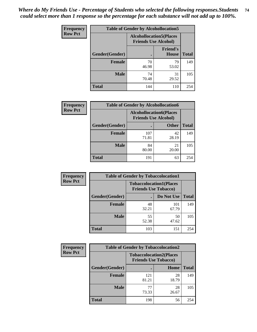| <b>Frequency</b> | <b>Table of Gender by Alcohollocation5</b> |                                                                |                                 |              |
|------------------|--------------------------------------------|----------------------------------------------------------------|---------------------------------|--------------|
| <b>Row Pct</b>   |                                            | <b>Alcohollocation5</b> (Places<br><b>Friends Use Alcohol)</b> |                                 |              |
|                  | Gender(Gender)                             | $\bullet$                                                      | <b>Friend's</b><br><b>House</b> | <b>Total</b> |
|                  | <b>Female</b>                              | 70<br>46.98                                                    | 79<br>53.02                     | 149          |
|                  | <b>Male</b>                                | 74<br>70.48                                                    | 31<br>29.52                     | 105          |
|                  | <b>Total</b>                               | 144                                                            | 110                             | 254          |

| Frequency      | <b>Table of Gender by Alcohollocation6</b> |                                                               |              |              |  |
|----------------|--------------------------------------------|---------------------------------------------------------------|--------------|--------------|--|
| <b>Row Pct</b> |                                            | <b>Alcohollocation6(Places</b><br><b>Friends Use Alcohol)</b> |              |              |  |
|                | Gender(Gender)                             |                                                               | <b>Other</b> | <b>Total</b> |  |
|                | <b>Female</b>                              | 107<br>71.81                                                  | 42<br>28.19  | 149          |  |
|                | <b>Male</b>                                | 84<br>80.00                                                   | 21<br>20.00  | 105          |  |
|                | <b>Total</b>                               | 191                                                           | 63           | 254          |  |

| Frequency      | <b>Table of Gender by Tobaccolocation1</b> |                                                               |              |              |  |
|----------------|--------------------------------------------|---------------------------------------------------------------|--------------|--------------|--|
| <b>Row Pct</b> |                                            | <b>Tobaccolocation1(Places</b><br><b>Friends Use Tobacco)</b> |              |              |  |
|                | Gender(Gender)                             |                                                               | Do Not Use   | <b>Total</b> |  |
|                | <b>Female</b>                              | 48<br>32.21                                                   | 101<br>67.79 | 149          |  |
|                | <b>Male</b>                                | 55<br>52.38                                                   | 50<br>47.62  | 105          |  |
|                | <b>Total</b>                               | 103                                                           | 151          | 254          |  |

| <b>Frequency</b> | <b>Table of Gender by Tobaccolocation2</b> |                                                               |             |              |  |
|------------------|--------------------------------------------|---------------------------------------------------------------|-------------|--------------|--|
| <b>Row Pct</b>   |                                            | <b>Tobaccolocation2(Places</b><br><b>Friends Use Tobacco)</b> |             |              |  |
|                  | Gender(Gender)                             |                                                               | <b>Home</b> | <b>Total</b> |  |
|                  | Female                                     | 121<br>81.21                                                  | 28<br>18.79 | 149          |  |
|                  | <b>Male</b>                                | 77<br>73.33                                                   | 28<br>26.67 | 105          |  |
|                  | <b>Total</b>                               | 198                                                           | 56          | 254          |  |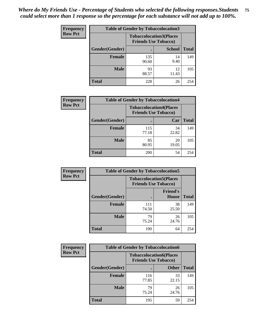| <b>Frequency</b> | <b>Table of Gender by Tobaccolocation3</b> |                                                               |               |              |
|------------------|--------------------------------------------|---------------------------------------------------------------|---------------|--------------|
| <b>Row Pct</b>   |                                            | <b>Tobaccolocation3(Places</b><br><b>Friends Use Tobacco)</b> |               |              |
|                  | Gender(Gender)                             |                                                               | <b>School</b> | <b>Total</b> |
|                  | <b>Female</b>                              | 135<br>90.60                                                  | 14<br>9.40    | 149          |
|                  | <b>Male</b>                                | 93<br>88.57                                                   | 12<br>11.43   | 105          |
|                  | Total                                      | 228                                                           | 26            | 254          |

| <b>Frequency</b> | <b>Table of Gender by Tobaccolocation4</b> |              |                                                               |              |
|------------------|--------------------------------------------|--------------|---------------------------------------------------------------|--------------|
| <b>Row Pct</b>   |                                            |              | <b>Tobaccolocation4(Places</b><br><b>Friends Use Tobacco)</b> |              |
|                  | Gender(Gender)                             |              | Car                                                           | <b>Total</b> |
|                  | <b>Female</b>                              | 115<br>77.18 | 34<br>22.82                                                   | 149          |
|                  | <b>Male</b>                                | 85<br>80.95  | 20<br>19.05                                                   | 105          |
|                  | <b>Total</b>                               | 200          | 54                                                            | 254          |

| <b>Frequency</b> | <b>Table of Gender by Tobaccolocation5</b> |                                                               |                          |              |
|------------------|--------------------------------------------|---------------------------------------------------------------|--------------------------|--------------|
| <b>Row Pct</b>   |                                            | <b>Tobaccolocation5(Places</b><br><b>Friends Use Tobacco)</b> |                          |              |
|                  | Gender(Gender)                             |                                                               | <b>Friend's</b><br>House | <b>Total</b> |
|                  | <b>Female</b>                              | 111<br>74.50                                                  | 38<br>25.50              | 149          |
|                  | <b>Male</b>                                | 79<br>75.24                                                   | 26<br>24.76              | 105          |
|                  | <b>Total</b>                               | 190                                                           | 64                       | 254          |

| <b>Frequency</b> |                | <b>Table of Gender by Tobaccolocation6</b>                    |              |              |
|------------------|----------------|---------------------------------------------------------------|--------------|--------------|
| <b>Row Pct</b>   |                | <b>Tobaccolocation6(Places</b><br><b>Friends Use Tobacco)</b> |              |              |
|                  | Gender(Gender) |                                                               | <b>Other</b> | <b>Total</b> |
|                  | Female         | 116<br>77.85                                                  | 33<br>22.15  | 149          |
|                  | <b>Male</b>    | 79<br>75.24                                                   | 26<br>24.76  | 105          |
|                  | <b>Total</b>   | 195                                                           | 59           | 254          |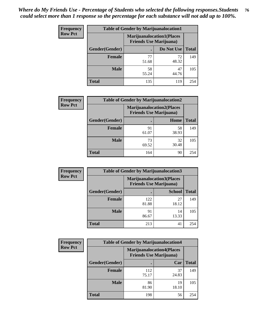| <b>Frequency</b> | <b>Table of Gender by Marijuanalocation1</b> |                                                                    |             |              |  |
|------------------|----------------------------------------------|--------------------------------------------------------------------|-------------|--------------|--|
| <b>Row Pct</b>   |                                              | <b>Marijuanalocation1(Places</b><br><b>Friends Use Marijuana</b> ) |             |              |  |
|                  | Gender(Gender)                               |                                                                    | Do Not Use  | <b>Total</b> |  |
|                  | <b>Female</b>                                | 77<br>51.68                                                        | 72<br>48.32 | 149          |  |
|                  | <b>Male</b>                                  | 58<br>55.24                                                        | 47<br>44.76 | 105          |  |
|                  | <b>Total</b>                                 | 135                                                                | 119         | 254          |  |

| <b>Frequency</b> | <b>Table of Gender by Marijuanalocation2</b> |                                                                    |             |              |  |
|------------------|----------------------------------------------|--------------------------------------------------------------------|-------------|--------------|--|
| <b>Row Pct</b>   |                                              | <b>Marijuanalocation2(Places</b><br><b>Friends Use Marijuana</b> ) |             |              |  |
|                  | Gender(Gender)                               |                                                                    | Home        | <b>Total</b> |  |
|                  | Female                                       | 91<br>61.07                                                        | 58<br>38.93 | 149          |  |
|                  | <b>Male</b>                                  | 73<br>69.52                                                        | 32<br>30.48 | 105          |  |
|                  | <b>Total</b>                                 | 164                                                                | 90          | 254          |  |

| Frequency      | <b>Table of Gender by Marijuanalocation3</b> |                                                                    |               |              |
|----------------|----------------------------------------------|--------------------------------------------------------------------|---------------|--------------|
| <b>Row Pct</b> |                                              | <b>Marijuanalocation3(Places</b><br><b>Friends Use Marijuana</b> ) |               |              |
|                | Gender(Gender)                               |                                                                    | <b>School</b> | <b>Total</b> |
|                | Female                                       | 122<br>81.88                                                       | 27<br>18.12   | 149          |
|                | <b>Male</b>                                  | 91<br>86.67                                                        | 14<br>13.33   | 105          |
|                | <b>Total</b>                                 | 213                                                                | 41            | 254          |

| Frequency      | <b>Table of Gender by Marijuanalocation4</b> |                                |                                  |              |  |
|----------------|----------------------------------------------|--------------------------------|----------------------------------|--------------|--|
| <b>Row Pct</b> |                                              | <b>Friends Use Marijuana</b> ) | <b>Marijuanalocation4(Places</b> |              |  |
|                | <b>Gender</b> (Gender)                       |                                | Car                              | <b>Total</b> |  |
|                | <b>Female</b>                                | 112<br>75.17                   | 37<br>24.83                      | 149          |  |
|                | <b>Male</b>                                  | 86<br>81.90                    | 19<br>18.10                      | 105          |  |
|                | <b>Total</b>                                 | 198                            | 56                               | 254          |  |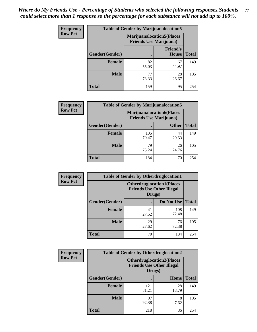| <b>Frequency</b> | <b>Table of Gender by Marijuanalocation5</b> |                                                                     |                                 |              |
|------------------|----------------------------------------------|---------------------------------------------------------------------|---------------------------------|--------------|
| <b>Row Pct</b>   |                                              | <b>Marijuanalocation5</b> (Places<br><b>Friends Use Marijuana</b> ) |                                 |              |
|                  | Gender(Gender)                               |                                                                     | <b>Friend's</b><br><b>House</b> | <b>Total</b> |
|                  | <b>Female</b>                                | 82<br>55.03                                                         | 67<br>44.97                     | 149          |
|                  | <b>Male</b>                                  | 77<br>73.33                                                         | 28<br>26.67                     | 105          |
|                  | <b>Total</b>                                 | 159                                                                 | 95                              | 254          |

| <b>Frequency</b> | <b>Table of Gender by Marijuanalocation6</b> |                                |                                  |              |  |
|------------------|----------------------------------------------|--------------------------------|----------------------------------|--------------|--|
| <b>Row Pct</b>   |                                              | <b>Friends Use Marijuana</b> ) | <b>Marijuanalocation6(Places</b> |              |  |
|                  | Gender(Gender)                               |                                | <b>Other</b>                     | <b>Total</b> |  |
|                  | <b>Female</b>                                | 105<br>70.47                   | 44<br>29.53                      | 149          |  |
|                  | <b>Male</b>                                  | 79<br>75.24                    | 26<br>24.76                      | 105          |  |
|                  | <b>Total</b>                                 | 184                            | 70                               | 254          |  |

| <b>Frequency</b> | <b>Table of Gender by Otherdruglocation1</b> |                                                                                |              |              |
|------------------|----------------------------------------------|--------------------------------------------------------------------------------|--------------|--------------|
| <b>Row Pct</b>   |                                              | <b>Otherdruglocation1(Places</b><br><b>Friends Use Other Illegal</b><br>Drugs) |              |              |
|                  | Gender(Gender)                               |                                                                                | Do Not Use   | <b>Total</b> |
|                  | <b>Female</b>                                | 41<br>27.52                                                                    | 108<br>72.48 | 149          |
|                  | <b>Male</b>                                  | 29<br>27.62                                                                    | 76<br>72.38  | 105          |
|                  | <b>Total</b>                                 | 70                                                                             | 184          | 254          |

| <b>Frequency</b> | <b>Table of Gender by Otherdruglocation2</b> |                                            |                                  |              |
|------------------|----------------------------------------------|--------------------------------------------|----------------------------------|--------------|
| <b>Row Pct</b>   |                                              | <b>Friends Use Other Illegal</b><br>Drugs) | <b>Otherdruglocation2(Places</b> |              |
|                  | Gender(Gender)                               |                                            | Home                             | <b>Total</b> |
|                  | <b>Female</b>                                | 121<br>81.21                               | 28<br>18.79                      | 149          |
|                  | <b>Male</b>                                  | 97<br>92.38                                | 8<br>7.62                        | 105          |
|                  | <b>Total</b>                                 | 218                                        | 36                               | 254          |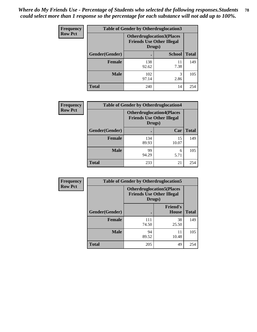| Frequency      | <b>Table of Gender by Otherdruglocation3</b> |                                                                                |               |              |
|----------------|----------------------------------------------|--------------------------------------------------------------------------------|---------------|--------------|
| <b>Row Pct</b> |                                              | <b>Otherdruglocation3(Places</b><br><b>Friends Use Other Illegal</b><br>Drugs) |               |              |
|                | Gender(Gender)                               |                                                                                | <b>School</b> | <b>Total</b> |
|                | Female                                       | 138<br>92.62                                                                   | 11<br>7.38    | 149          |
|                | <b>Male</b>                                  | 102<br>97.14                                                                   | 3<br>2.86     | 105          |
|                | <b>Total</b>                                 | 240                                                                            | 14            | 254          |

| Frequency      | <b>Table of Gender by Otherdruglocation4</b> |                                                                                |             |              |
|----------------|----------------------------------------------|--------------------------------------------------------------------------------|-------------|--------------|
| <b>Row Pct</b> |                                              | <b>Otherdruglocation4(Places</b><br><b>Friends Use Other Illegal</b><br>Drugs) |             |              |
|                | Gender(Gender)                               |                                                                                | Car         | <b>Total</b> |
|                | Female                                       | 134<br>89.93                                                                   | 15<br>10.07 | 149          |
|                | <b>Male</b>                                  | 99<br>94.29                                                                    | 6<br>5.71   | 105          |
|                | <b>Total</b>                                 | 233                                                                            | 21          | 254          |

| <b>Frequency</b> | <b>Table of Gender by Otherdruglocation5</b> |              |                                                                      |              |
|------------------|----------------------------------------------|--------------|----------------------------------------------------------------------|--------------|
| <b>Row Pct</b>   |                                              | Drugs)       | <b>Otherdruglocation5(Places</b><br><b>Friends Use Other Illegal</b> |              |
|                  | Gender(Gender)                               |              | <b>Friend's</b><br><b>House</b>                                      | <b>Total</b> |
|                  | <b>Female</b>                                | 111<br>74.50 | 38<br>25.50                                                          | 149          |
|                  | <b>Male</b>                                  | 94<br>89.52  | 11<br>10.48                                                          | 105          |
|                  | <b>Total</b>                                 | 205          | 49                                                                   | 254          |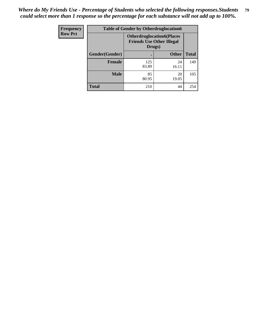| <b>Frequency</b> | <b>Table of Gender by Otherdruglocation6</b> |                                                                                |              |              |
|------------------|----------------------------------------------|--------------------------------------------------------------------------------|--------------|--------------|
| <b>Row Pct</b>   |                                              | <b>Otherdruglocation6(Places</b><br><b>Friends Use Other Illegal</b><br>Drugs) |              |              |
|                  | Gender(Gender)                               |                                                                                | <b>Other</b> | <b>Total</b> |
|                  | Female                                       | 125<br>83.89                                                                   | 24<br>16.11  | 149          |
|                  | <b>Male</b>                                  | 85<br>80.95                                                                    | 20<br>19.05  | 105          |
|                  | <b>Total</b>                                 | 210                                                                            | 44           | 254          |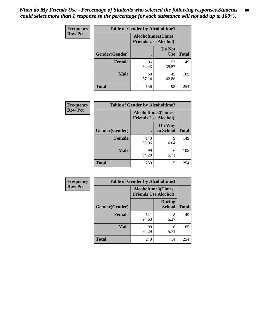| Frequency      | <b>Table of Gender by Alcoholtime1</b> |                                                          |                      |              |
|----------------|----------------------------------------|----------------------------------------------------------|----------------------|--------------|
| <b>Row Pct</b> |                                        | <b>Alcoholtime1(Times</b><br><b>Friends Use Alcohol)</b> |                      |              |
|                | Gender(Gender)                         | ٠                                                        | Do Not<br><b>Use</b> | <b>Total</b> |
|                | <b>Female</b>                          | 96<br>64.43                                              | 53<br>35.57          | 149          |
|                | <b>Male</b>                            | 60<br>57.14                                              | 45<br>42.86          | 105          |
|                | <b>Total</b>                           | 156                                                      | 98                   | 254          |

| <b>Frequency</b> | <b>Table of Gender by Alcoholtime2</b> |                                                          |                            |              |
|------------------|----------------------------------------|----------------------------------------------------------|----------------------------|--------------|
| <b>Row Pct</b>   |                                        | <b>Alcoholtime2(Times</b><br><b>Friends Use Alcohol)</b> |                            |              |
|                  | Gender(Gender)                         |                                                          | <b>On Way</b><br>to School | <b>Total</b> |
|                  | <b>Female</b>                          | 140<br>93.96                                             | 9<br>6.04                  | 149          |
|                  | <b>Male</b>                            | 99<br>94.29                                              | 6<br>5.71                  | 105          |
|                  | <b>Total</b>                           | 239                                                      | 15                         | 254          |

| Frequency      | <b>Table of Gender by Alcoholtime3</b> |                                                          |                                |              |
|----------------|----------------------------------------|----------------------------------------------------------|--------------------------------|--------------|
| <b>Row Pct</b> |                                        | <b>Alcoholtime3(Times</b><br><b>Friends Use Alcohol)</b> |                                |              |
|                | Gender(Gender)                         |                                                          | <b>During</b><br><b>School</b> | <b>Total</b> |
|                | Female                                 | 141<br>94.63                                             | 8<br>5.37                      | 149          |
|                | <b>Male</b>                            | 99<br>94.29                                              | 6<br>5.71                      | 105          |
|                | <b>Total</b>                           | 240                                                      | 14                             | 254          |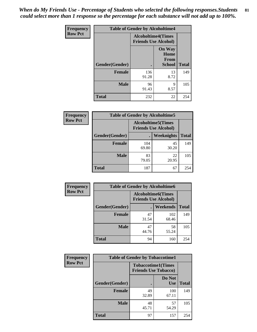*When do My Friends Use - Percentage of Students who selected the following responses.Students could select more than 1 response so the percentage for each substance will not add up to 100%.* **81**

| <b>Frequency</b> | <b>Table of Gender by Alcoholtime4</b> |                                                          |                                                |              |
|------------------|----------------------------------------|----------------------------------------------------------|------------------------------------------------|--------------|
| <b>Row Pct</b>   |                                        | <b>Alcoholtime4(Times</b><br><b>Friends Use Alcohol)</b> |                                                |              |
|                  | Gender(Gender)                         |                                                          | <b>On Way</b><br>Home<br>From<br><b>School</b> | <b>Total</b> |
|                  | <b>Female</b>                          | 136<br>91.28                                             | 13<br>8.72                                     | 149          |
|                  | <b>Male</b>                            | 96<br>91.43                                              | 9<br>8.57                                      | 105          |
|                  | <b>Total</b>                           | 232                                                      | 22                                             | 254          |

| <b>Frequency</b> | <b>Table of Gender by Alcoholtime5</b> |                                                           |             |              |
|------------------|----------------------------------------|-----------------------------------------------------------|-------------|--------------|
| <b>Row Pct</b>   |                                        | <b>Alcoholtime5</b> (Times<br><b>Friends Use Alcohol)</b> |             |              |
|                  | Gender(Gender)                         |                                                           | Weeknights  | <b>Total</b> |
|                  | <b>Female</b>                          | 104<br>69.80                                              | 45<br>30.20 | 149          |
|                  | <b>Male</b>                            | 83<br>79.05                                               | 22<br>20.95 | 105          |
|                  | <b>Total</b>                           | 187                                                       | 67          | 254          |

| <b>Frequency</b> |                | <b>Table of Gender by Alcoholtime6</b>                   |              |              |
|------------------|----------------|----------------------------------------------------------|--------------|--------------|
| <b>Row Pct</b>   |                | <b>Alcoholtime6(Times</b><br><b>Friends Use Alcohol)</b> |              |              |
|                  | Gender(Gender) |                                                          | Weekends     | <b>Total</b> |
|                  | Female         | 47<br>31.54                                              | 102<br>68.46 | 149          |
|                  | <b>Male</b>    | 47<br>44.76                                              | 58<br>55.24  | 105          |
|                  | <b>Total</b>   | 94                                                       | 160          | 254          |

| Frequency      | <b>Table of Gender by Tobaccotime1</b> |                                                          |                      |              |
|----------------|----------------------------------------|----------------------------------------------------------|----------------------|--------------|
| <b>Row Pct</b> |                                        | <b>Tobaccotime1(Times</b><br><b>Friends Use Tobacco)</b> |                      |              |
|                | Gender(Gender)                         |                                                          | Do Not<br><b>Use</b> | <b>Total</b> |
|                | <b>Female</b>                          | 49<br>32.89                                              | 100<br>67.11         | 149          |
|                | <b>Male</b>                            | 48<br>45.71                                              | 57<br>54.29          | 105          |
|                | <b>Total</b>                           | 97                                                       | 157                  | 254          |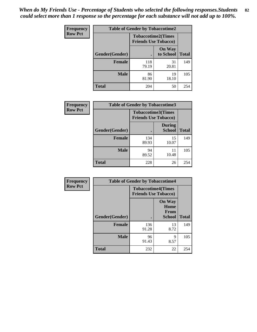*When do My Friends Use - Percentage of Students who selected the following responses.Students could select more than 1 response so the percentage for each substance will not add up to 100%.* **82**

| Frequency      | <b>Table of Gender by Tobaccotime2</b> |                                                          |                            |              |
|----------------|----------------------------------------|----------------------------------------------------------|----------------------------|--------------|
| <b>Row Pct</b> |                                        | <b>Tobaccotime2(Times</b><br><b>Friends Use Tobacco)</b> |                            |              |
|                | Gender(Gender)                         |                                                          | <b>On Way</b><br>to School | <b>Total</b> |
|                | Female                                 | 118<br>79.19                                             | 31<br>20.81                | 149          |
|                | <b>Male</b>                            | 86<br>81.90                                              | 19<br>18.10                | 105          |
|                | <b>Total</b>                           | 204                                                      | 50                         | 254          |

| Frequency      | <b>Table of Gender by Tobaccotime3</b> |                                                          |                                |              |
|----------------|----------------------------------------|----------------------------------------------------------|--------------------------------|--------------|
| <b>Row Pct</b> |                                        | <b>Tobaccotime3(Times</b><br><b>Friends Use Tobacco)</b> |                                |              |
|                | Gender(Gender)                         |                                                          | <b>During</b><br><b>School</b> | <b>Total</b> |
|                | <b>Female</b>                          | 134<br>89.93                                             | 15<br>10.07                    | 149          |
|                | <b>Male</b>                            | 94<br>89.52                                              | 11<br>10.48                    | 105          |
|                | <b>Total</b>                           | 228                                                      | 26                             | 254          |

| <b>Frequency</b> | <b>Table of Gender by Tobaccotime4</b> |                                                          |                                                       |              |
|------------------|----------------------------------------|----------------------------------------------------------|-------------------------------------------------------|--------------|
| <b>Row Pct</b>   |                                        | <b>Tobaccotime4(Times</b><br><b>Friends Use Tobacco)</b> |                                                       |              |
|                  | Gender(Gender)                         |                                                          | <b>On Way</b><br>Home<br><b>From</b><br><b>School</b> | <b>Total</b> |
|                  | <b>Female</b>                          | 136<br>91.28                                             | 13<br>8.72                                            | 149          |
|                  | <b>Male</b>                            | 96<br>91.43                                              | 9<br>8.57                                             | 105          |
|                  | <b>Total</b>                           | 232                                                      | 22                                                    | 254          |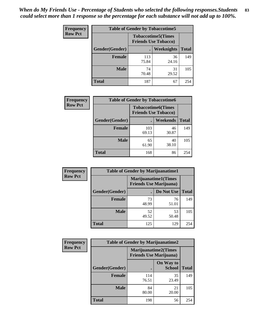| Frequency      | <b>Table of Gender by Tobaccotime5</b> |              |                                                          |              |  |
|----------------|----------------------------------------|--------------|----------------------------------------------------------|--------------|--|
| <b>Row Pct</b> |                                        |              | <b>Tobaccotime5(Times</b><br><b>Friends Use Tobacco)</b> |              |  |
|                | Gender(Gender)                         |              | Weeknights                                               | <b>Total</b> |  |
|                | <b>Female</b>                          | 113<br>75.84 | 36<br>24.16                                              | 149          |  |
|                | <b>Male</b>                            | 74<br>70.48  | 31<br>29.52                                              | 105          |  |
|                | <b>Total</b>                           | 187          | 67                                                       | 254          |  |

| Frequency      | <b>Table of Gender by Tobaccotime6</b> |                                                          |             |              |
|----------------|----------------------------------------|----------------------------------------------------------|-------------|--------------|
| <b>Row Pct</b> |                                        | <b>Tobaccotime6(Times</b><br><b>Friends Use Tobacco)</b> |             |              |
|                | Gender(Gender)                         |                                                          | Weekends    | <b>Total</b> |
|                | Female                                 | 103<br>69.13                                             | 46<br>30.87 | 149          |
|                | <b>Male</b>                            | 65<br>61.90                                              | 40<br>38.10 | 105          |
|                | <b>Total</b>                           | 168                                                      | 86          | 254          |

| Frequency      | <b>Table of Gender by Marijuanatime1</b> |                                                               |             |              |
|----------------|------------------------------------------|---------------------------------------------------------------|-------------|--------------|
| <b>Row Pct</b> |                                          | <b>Marijuanatime1(Times</b><br><b>Friends Use Marijuana</b> ) |             |              |
|                | Gender(Gender)                           |                                                               | Do Not Use  | <b>Total</b> |
|                | <b>Female</b>                            | 73<br>48.99                                                   | 76<br>51.01 | 149          |
|                | <b>Male</b>                              | 52<br>49.52                                                   | 53<br>50.48 | 105          |
|                | <b>Total</b>                             | 125                                                           | 129         | 254          |

| <b>Frequency</b> | <b>Table of Gender by Marijuanatime2</b> |                                                               |                            |              |
|------------------|------------------------------------------|---------------------------------------------------------------|----------------------------|--------------|
| <b>Row Pct</b>   |                                          | <b>Marijuanatime2(Times</b><br><b>Friends Use Marijuana</b> ) |                            |              |
|                  | Gender(Gender)                           |                                                               | On Way to<br><b>School</b> | <b>Total</b> |
|                  | Female                                   | 114<br>76.51                                                  | 35<br>23.49                | 149          |
|                  | <b>Male</b>                              | 84<br>80.00                                                   | 21<br>20.00                | 105          |
|                  | <b>Total</b>                             | 198                                                           | 56                         | 254          |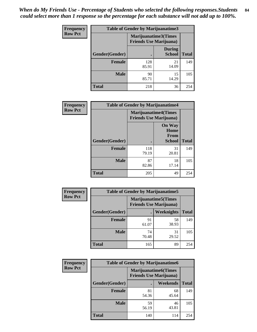| Frequency      | <b>Table of Gender by Marijuanatime3</b> |                                                        |                                |              |
|----------------|------------------------------------------|--------------------------------------------------------|--------------------------------|--------------|
| <b>Row Pct</b> |                                          | Marijuanatime3(Times<br><b>Friends Use Marijuana</b> ) |                                |              |
|                | <b>Gender</b> (Gender)                   |                                                        | <b>During</b><br><b>School</b> | <b>Total</b> |
|                | <b>Female</b>                            | 128<br>85.91                                           | 21<br>14.09                    | 149          |
|                | <b>Male</b>                              | 90<br>85.71                                            | 15<br>14.29                    | 105          |
|                | <b>Total</b>                             | 218                                                    | 36                             | 254          |

| Frequency      | <b>Table of Gender by Marijuanatime4</b> |                                                               |                                                       |              |
|----------------|------------------------------------------|---------------------------------------------------------------|-------------------------------------------------------|--------------|
| <b>Row Pct</b> |                                          | <b>Marijuanatime4(Times</b><br><b>Friends Use Marijuana</b> ) |                                                       |              |
|                | Gender(Gender)                           |                                                               | <b>On Way</b><br>Home<br><b>From</b><br><b>School</b> | <b>Total</b> |
|                | <b>Female</b>                            | 118<br>79.19                                                  | 31<br>20.81                                           | 149          |
|                | <b>Male</b>                              | 87<br>82.86                                                   | 18<br>17.14                                           | 105          |
|                | <b>Total</b>                             | 205                                                           | 49                                                    | 254          |

| Frequency      | <b>Table of Gender by Marijuanatime5</b> |                                                                |             |              |  |
|----------------|------------------------------------------|----------------------------------------------------------------|-------------|--------------|--|
| <b>Row Pct</b> |                                          | <b>Marijuanatime5</b> (Times<br><b>Friends Use Marijuana</b> ) |             |              |  |
|                | Gender(Gender)                           |                                                                | Weeknights  | <b>Total</b> |  |
|                | <b>Female</b>                            | 91<br>61.07                                                    | 58<br>38.93 | 149          |  |
|                | <b>Male</b>                              | 74<br>70.48                                                    | 31<br>29.52 | 105          |  |
|                | <b>Total</b>                             | 165                                                            | 89          | 254          |  |

| Frequency      | <b>Table of Gender by Marijuanatime6</b> |                                                               |                 |              |  |
|----------------|------------------------------------------|---------------------------------------------------------------|-----------------|--------------|--|
| <b>Row Pct</b> |                                          | <b>Marijuanatime6(Times</b><br><b>Friends Use Marijuana</b> ) |                 |              |  |
|                | Gender(Gender)                           |                                                               | <b>Weekends</b> | <b>Total</b> |  |
|                | <b>Female</b>                            | 81<br>54.36                                                   | 68<br>45.64     | 149          |  |
|                | <b>Male</b>                              | 59<br>56.19                                                   | 46<br>43.81     | 105          |  |
|                | <b>Total</b>                             | 140                                                           | 114             | 254          |  |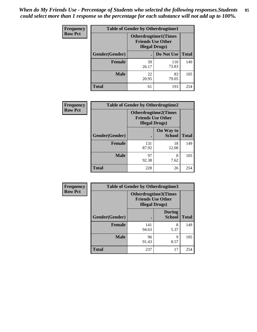| <b>Frequency</b> | <b>Table of Gender by Otherdrugtime1</b> |                                                                                   |              |              |  |
|------------------|------------------------------------------|-----------------------------------------------------------------------------------|--------------|--------------|--|
| <b>Row Pct</b>   |                                          | <b>Otherdrugtime1(Times</b><br><b>Friends Use Other</b><br><b>Illegal Drugs</b> ) |              |              |  |
|                  | Gender(Gender)                           |                                                                                   | Do Not Use   | <b>Total</b> |  |
|                  | <b>Female</b>                            | 39<br>26.17                                                                       | 110<br>73.83 | 149          |  |
|                  | <b>Male</b>                              | 22<br>20.95                                                                       | 83<br>79.05  | 105          |  |
|                  | <b>Total</b>                             | 61                                                                                | 193          | 254          |  |

| Frequency      | <b>Table of Gender by Otherdrugtime2</b> |                                                                                   |                            |              |
|----------------|------------------------------------------|-----------------------------------------------------------------------------------|----------------------------|--------------|
| <b>Row Pct</b> |                                          | <b>Otherdrugtime2(Times</b><br><b>Friends Use Other</b><br><b>Illegal Drugs</b> ) |                            |              |
|                | Gender(Gender)                           |                                                                                   | On Way to<br><b>School</b> | <b>Total</b> |
|                | <b>Female</b>                            | 131<br>87.92                                                                      | 18<br>12.08                | 149          |
|                | <b>Male</b>                              | 97<br>92.38                                                                       | 8<br>7.62                  | 105          |
|                | <b>Total</b>                             | 228                                                                               | 26                         | 254          |

| Frequency      | <b>Table of Gender by Otherdrugtime3</b> |                                                                                   |                                |              |
|----------------|------------------------------------------|-----------------------------------------------------------------------------------|--------------------------------|--------------|
| <b>Row Pct</b> |                                          | <b>Otherdrugtime3(Times</b><br><b>Friends Use Other</b><br><b>Illegal Drugs</b> ) |                                |              |
|                | Gender(Gender)                           |                                                                                   | <b>During</b><br><b>School</b> | <b>Total</b> |
|                | <b>Female</b>                            | 141<br>94.63                                                                      | 8<br>5.37                      | 149          |
|                | <b>Male</b>                              | 96<br>91.43                                                                       | 9<br>8.57                      | 105          |
|                | <b>Total</b>                             | 237                                                                               | 17                             | 254          |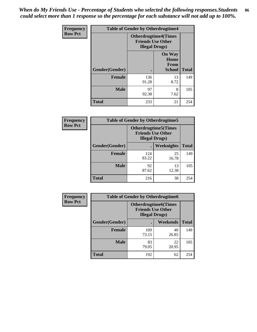*When do My Friends Use - Percentage of Students who selected the following responses.Students could select more than 1 response so the percentage for each substance will not add up to 100%.* **86**

| Frequency      | <b>Table of Gender by Otherdrugtime4</b> |                                                    |                                                       |              |
|----------------|------------------------------------------|----------------------------------------------------|-------------------------------------------------------|--------------|
| <b>Row Pct</b> |                                          | <b>Friends Use Other</b><br><b>Illegal Drugs</b> ) | <b>Otherdrugtime4(Times</b>                           |              |
|                | Gender(Gender)                           |                                                    | <b>On Way</b><br>Home<br><b>From</b><br><b>School</b> | <b>Total</b> |
|                | <b>Female</b>                            | 136<br>91.28                                       | 13<br>8.72                                            | 149          |
|                | <b>Male</b>                              | 97<br>92.38                                        | 8<br>7.62                                             | 105          |
|                | <b>Total</b>                             | 233                                                | 21                                                    | 254          |

| Frequency      | <b>Table of Gender by Otherdrugtime5</b> |                                                                                    |             |              |
|----------------|------------------------------------------|------------------------------------------------------------------------------------|-------------|--------------|
| <b>Row Pct</b> |                                          | <b>Otherdrugtime5</b> (Times<br><b>Friends Use Other</b><br><b>Illegal Drugs</b> ) |             |              |
|                | Gender(Gender)                           |                                                                                    | Weeknights  | <b>Total</b> |
|                | <b>Female</b>                            | 124<br>83.22                                                                       | 25<br>16.78 | 149          |
|                | <b>Male</b>                              | 92<br>87.62                                                                        | 13<br>12.38 | 105          |
|                | <b>Total</b>                             | 216                                                                                | 38          | 254          |

| <b>Frequency</b> | <b>Table of Gender by Otherdrugtime6</b> |                                                                                   |             |              |
|------------------|------------------------------------------|-----------------------------------------------------------------------------------|-------------|--------------|
| <b>Row Pct</b>   |                                          | <b>Otherdrugtime6(Times</b><br><b>Friends Use Other</b><br><b>Illegal Drugs</b> ) |             |              |
|                  | Gender(Gender)                           |                                                                                   | Weekends    | <b>Total</b> |
|                  | <b>Female</b>                            | 109<br>73.15                                                                      | 40<br>26.85 | 149          |
|                  | <b>Male</b>                              | 83<br>79.05                                                                       | 22<br>20.95 | 105          |
|                  | <b>Total</b>                             | 192                                                                               | 62          | 254          |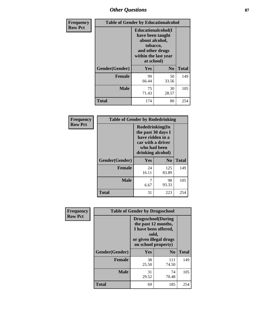## *Other Questions* **87**

| Frequency      | <b>Table of Gender by Educationalcohol</b>                                                                                            |             |                |              |
|----------------|---------------------------------------------------------------------------------------------------------------------------------------|-------------|----------------|--------------|
| <b>Row Pct</b> | <b>Educationalcohol</b> (I<br>have been taught<br>about alcohol,<br>tobacco,<br>and other drugs<br>within the last year<br>at school) |             |                |              |
|                | Gender(Gender)                                                                                                                        | <b>Yes</b>  | N <sub>0</sub> | <b>Total</b> |
|                | <b>Female</b>                                                                                                                         | 99<br>66.44 | 50<br>33.56    | 149          |
|                | <b>Male</b>                                                                                                                           | 75<br>71.43 | 30<br>28.57    | 105          |
|                | Total                                                                                                                                 | 174         | 80             | 254          |

| Frequency      |                | <b>Table of Gender by Rodedrinking</b>                                                                              |              |              |
|----------------|----------------|---------------------------------------------------------------------------------------------------------------------|--------------|--------------|
| <b>Row Pct</b> |                | Rodedrinking(In<br>the past 30 days I<br>have ridden in a<br>car with a driver<br>who had been<br>drinking alcohol) |              |              |
|                | Gender(Gender) | Yes<br>N <sub>0</sub>                                                                                               |              | <b>Total</b> |
|                | <b>Female</b>  | 24<br>16.11                                                                                                         | 125<br>83.89 | 149          |
|                | <b>Male</b>    | 6.67                                                                                                                | 98<br>93.33  | 105          |
|                | <b>Total</b>   | 31                                                                                                                  | 223          | 254          |

| Frequency      | <b>Table of Gender by Drugsschool</b> |                                                                                                                                     |                |              |  |
|----------------|---------------------------------------|-------------------------------------------------------------------------------------------------------------------------------------|----------------|--------------|--|
| <b>Row Pct</b> |                                       | <b>Drugsschool</b> (During<br>the past 12 months,<br>I have been offered,<br>sold,<br>or given illegal drugs<br>on school property) |                |              |  |
|                | Gender(Gender)                        | <b>Yes</b>                                                                                                                          | N <sub>0</sub> | <b>Total</b> |  |
|                | <b>Female</b>                         | 38<br>25.50                                                                                                                         | 111<br>74.50   | 149          |  |
|                | <b>Male</b>                           | 31<br>29.52                                                                                                                         | 74<br>70.48    | 105          |  |
|                | <b>Total</b>                          | 69                                                                                                                                  | 185            | 254          |  |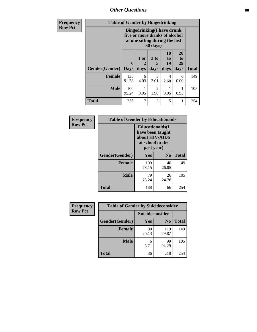*Other Questions* **88**

| Frequency      | <b>Table of Gender by Bingedrinking</b>                                                                                    |                             |              |                              |                        |                        |              |
|----------------|----------------------------------------------------------------------------------------------------------------------------|-----------------------------|--------------|------------------------------|------------------------|------------------------|--------------|
| <b>Row Pct</b> | <b>Bingedrinking(I have drunk</b><br>five or more drinks of alcohol<br>at one sitting during the last<br>$30 \text{ days}$ |                             |              |                              |                        |                        |              |
|                | Gender(Gender)                                                                                                             | $\mathbf{0}$<br><b>Days</b> | 1 or<br>days | 3 <sub>to</sub><br>5<br>days | 10<br>to<br>19<br>days | 20<br>to<br>29<br>days | <b>Total</b> |
|                | <b>Female</b>                                                                                                              | 136<br>91.28                | 6<br>4.03    | 3<br>2.01                    | 4<br>2.68              | 0<br>0.00              | 149          |
|                | <b>Male</b>                                                                                                                | 100<br>95.24                | 0.95         | $\mathfrak{D}$<br>1.90       | 0.95                   | 0.95                   | 105          |
|                | <b>Total</b>                                                                                                               | 236                         |              | 5                            | 5                      |                        | 254          |

| Frequency      | <b>Table of Gender by Educationaids</b> |                                                                                                 |                |              |  |
|----------------|-----------------------------------------|-------------------------------------------------------------------------------------------------|----------------|--------------|--|
| <b>Row Pct</b> |                                         | <b>Educationaids</b> (I<br>have been taught<br>about HIV/AIDS<br>at school in the<br>past year) |                |              |  |
|                | Gender(Gender)                          | Yes                                                                                             | N <sub>0</sub> | <b>Total</b> |  |
|                | <b>Female</b>                           | 109<br>73.15                                                                                    | 40<br>26.85    | 149          |  |
|                | <b>Male</b>                             | 79<br>75.24                                                                                     | 26<br>24.76    | 105          |  |
|                | <b>Total</b>                            | 188                                                                                             | 66             | 254          |  |

| Frequency      | <b>Table of Gender by Suicideconsider</b> |                 |                |              |
|----------------|-------------------------------------------|-----------------|----------------|--------------|
| <b>Row Pct</b> |                                           | Suicideconsider |                |              |
|                | Gender(Gender)                            | Yes             | N <sub>0</sub> | <b>Total</b> |
|                | <b>Female</b>                             | 30<br>20.13     | 119<br>79.87   | 149          |
|                | <b>Male</b>                               | 5.71            | 99<br>94.29    | 105          |
|                | <b>Total</b>                              | 36              | 218            | 254          |